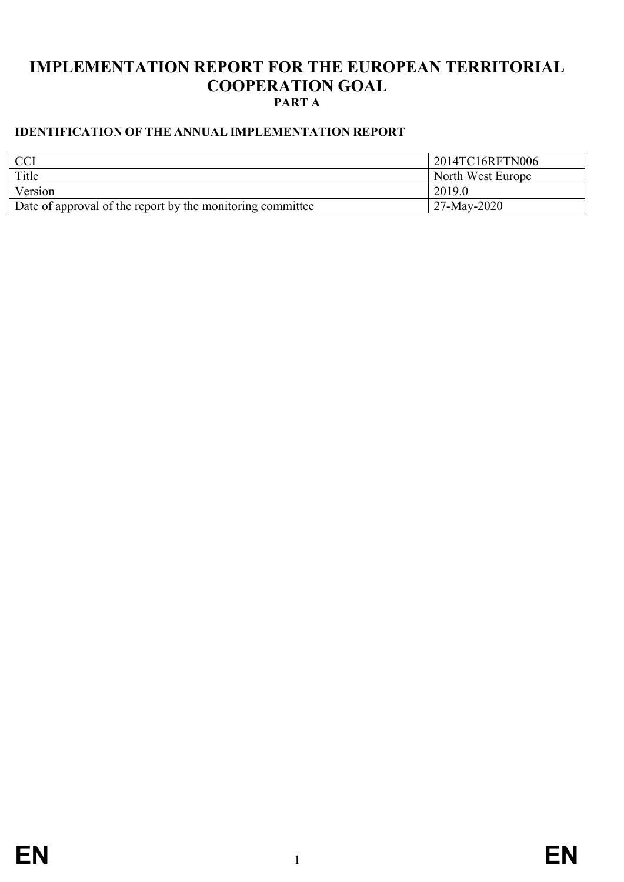## **IMPLEMENTATION REPORT FOR THE EUROPEAN TERRITORIAL COOPERATION GOAL PART A**

### <span id="page-0-0"></span>**IDENTIFICATION OF THE ANNUAL IMPLEMENTATION REPORT**

| <b>CCI</b>                                                        | 2014TC16RFTN006   |
|-------------------------------------------------------------------|-------------------|
| Title                                                             | North West Europe |
| Version                                                           | 2019.0            |
| $\Box$ Date of approval of the report by the monitoring committee | 27-May-2020       |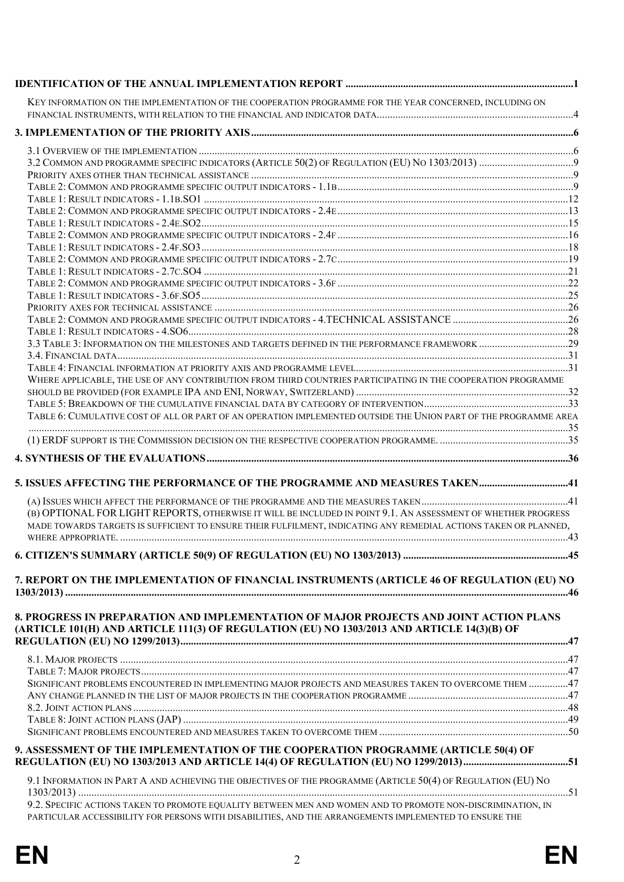| KEY INFORMATION ON THE IMPLEMENTATION OF THE COOPERATION PROGRAMME FOR THE YEAR CONCERNED, INCLUDING ON                                                                                                               |  |
|-----------------------------------------------------------------------------------------------------------------------------------------------------------------------------------------------------------------------|--|
|                                                                                                                                                                                                                       |  |
|                                                                                                                                                                                                                       |  |
|                                                                                                                                                                                                                       |  |
|                                                                                                                                                                                                                       |  |
|                                                                                                                                                                                                                       |  |
|                                                                                                                                                                                                                       |  |
|                                                                                                                                                                                                                       |  |
|                                                                                                                                                                                                                       |  |
|                                                                                                                                                                                                                       |  |
|                                                                                                                                                                                                                       |  |
|                                                                                                                                                                                                                       |  |
|                                                                                                                                                                                                                       |  |
|                                                                                                                                                                                                                       |  |
|                                                                                                                                                                                                                       |  |
|                                                                                                                                                                                                                       |  |
|                                                                                                                                                                                                                       |  |
|                                                                                                                                                                                                                       |  |
|                                                                                                                                                                                                                       |  |
| WHERE APPLICABLE, THE USE OF ANY CONTRIBUTION FROM THIRD COUNTRIES PARTICIPATING IN THE COOPERATION PROGRAMME                                                                                                         |  |
|                                                                                                                                                                                                                       |  |
|                                                                                                                                                                                                                       |  |
| TABLE 6: CUMULATIVE COST OF ALL OR PART OF AN OPERATION IMPLEMENTED OUTSIDE THE UNION PART OF THE PROGRAMME AREA                                                                                                      |  |
|                                                                                                                                                                                                                       |  |
|                                                                                                                                                                                                                       |  |
|                                                                                                                                                                                                                       |  |
|                                                                                                                                                                                                                       |  |
| 5. ISSUES AFFECTING THE PERFORMANCE OF THE PROGRAMME AND MEASURES TAKEN41                                                                                                                                             |  |
|                                                                                                                                                                                                                       |  |
| (B) OPTIONAL FOR LIGHT REPORTS, OTHERWISE IT WILL BE INCLUDED IN POINT 9.1. AN ASSESSMENT OF WHETHER PROGRESS                                                                                                         |  |
| MADE TOWARDS TARGETS IS SUFFICIENT TO ENSURE THEIR FULFILMENT, INDICATING ANY REMEDIAL ACTIONS TAKEN OR PLANNED,                                                                                                      |  |
|                                                                                                                                                                                                                       |  |
|                                                                                                                                                                                                                       |  |
| 7. REPORT ON THE IMPLEMENTATION OF FINANCIAL INSTRUMENTS (ARTICLE 46 OF REGULATION (EU) NO                                                                                                                            |  |
|                                                                                                                                                                                                                       |  |
|                                                                                                                                                                                                                       |  |
| 8. PROGRESS IN PREPARATION AND IMPLEMENTATION OF MAJOR PROJECTS AND JOINT ACTION PLANS<br>(ARTICLE 101(H) AND ARTICLE 111(3) OF REGULATION (EU) NO 1303/2013 AND ARTICLE 14(3)(B) OF                                  |  |
|                                                                                                                                                                                                                       |  |
|                                                                                                                                                                                                                       |  |
|                                                                                                                                                                                                                       |  |
|                                                                                                                                                                                                                       |  |
| SIGNIFICANT PROBLEMS ENCOUNTERED IN IMPLEMENTING MAJOR PROJECTS AND MEASURES TAKEN TO OVERCOME THEM 47                                                                                                                |  |
|                                                                                                                                                                                                                       |  |
|                                                                                                                                                                                                                       |  |
|                                                                                                                                                                                                                       |  |
|                                                                                                                                                                                                                       |  |
| 9. ASSESSMENT OF THE IMPLEMENTATION OF THE COOPERATION PROGRAMME (ARTICLE 50(4) OF<br>REGULATION (EU) NO 1303/2013 AND ARTICLE 14(4) OF REGULATION (EU) NO 1299/2013) 51                                              |  |
| 9.1 INFORMATION IN PART A AND ACHIEVING THE OBJECTIVES OF THE PROGRAMME (ARTICLE 50(4) OF REGULATION (EU) NO                                                                                                          |  |
| 9.2. SPECIFIC ACTIONS TAKEN TO PROMOTE EQUALITY BETWEEN MEN AND WOMEN AND TO PROMOTE NON-DISCRIMINATION, IN<br>PARTICULAR ACCESSIBILITY FOR PERSONS WITH DISABILITIES, AND THE ARRANGEMENTS IMPLEMENTED TO ENSURE THE |  |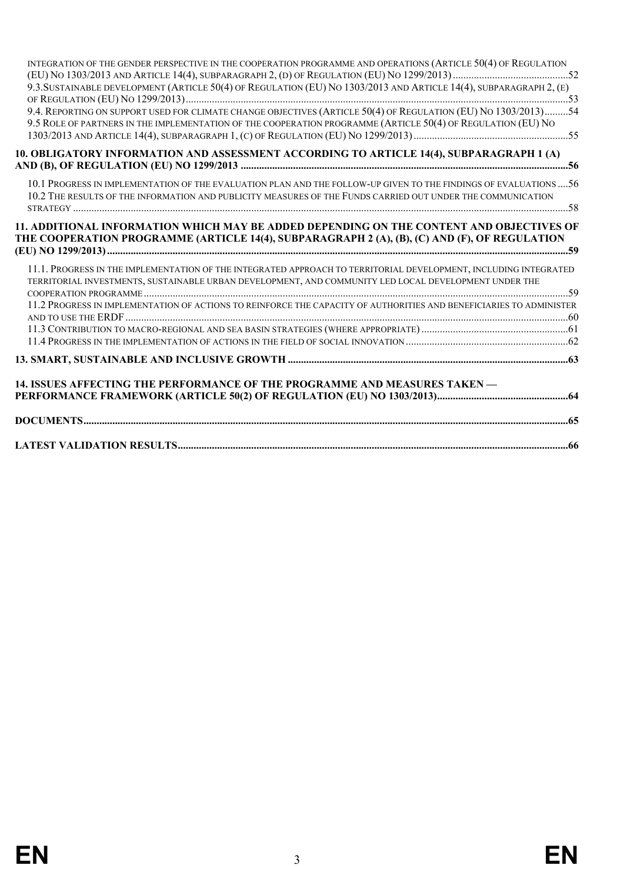| 11.2 PROGRESS IN IMPLEMENTATION OF ACTIONS TO REINFORCE THE CAPACITY OF AUTHORITIES AND BENEFICIARIES TO ADMINISTER<br>14. ISSUES AFFECTING THE PERFORMANCE OF THE PROGRAMME AND MEASURES TAKEN -                                    |  |
|--------------------------------------------------------------------------------------------------------------------------------------------------------------------------------------------------------------------------------------|--|
|                                                                                                                                                                                                                                      |  |
|                                                                                                                                                                                                                                      |  |
|                                                                                                                                                                                                                                      |  |
|                                                                                                                                                                                                                                      |  |
|                                                                                                                                                                                                                                      |  |
|                                                                                                                                                                                                                                      |  |
|                                                                                                                                                                                                                                      |  |
| 11.1. PROGRESS IN THE IMPLEMENTATION OF THE INTEGRATED APPROACH TO TERRITORIAL DEVELOPMENT, INCLUDING INTEGRATED<br>TERRITORIAL INVESTMENTS, SUSTAINABLE URBAN DEVELOPMENT, AND COMMUNITY LED LOCAL DEVELOPMENT UNDER THE            |  |
| 11. ADDITIONAL INFORMATION WHICH MAY BE ADDED DEPENDING ON THE CONTENT AND OBJECTIVES OF<br>THE COOPERATION PROGRAMME (ARTICLE 14(4), SUBPARAGRAPH 2 (A), (B), (C) AND (F), OF REGULATION                                            |  |
| 10.1 PROGRESS IN IMPLEMENTATION OF THE EVALUATION PLAN AND THE FOLLOW-UP GIVEN TO THE FINDINGS OF EVALUATIONS  56<br>10.2 THE RESULTS OF THE INFORMATION AND PUBLICITY MEASURES OF THE FUNDS CARRIED OUT UNDER THE COMMUNICATION     |  |
| 10. OBLIGATORY INFORMATION AND ASSESSMENT ACCORDING TO ARTICLE 14(4), SUBPARAGRAPH 1 (A)                                                                                                                                             |  |
| 9.5 ROLE OF PARTNERS IN THE IMPLEMENTATION OF THE COOPERATION PROGRAMME (ARTICLE 50(4) OF REGULATION (EU) NO                                                                                                                         |  |
|                                                                                                                                                                                                                                      |  |
| 9.3. SUSTAINABLE DEVELOPMENT (ARTICLE 50(4) OF REGULATION (EU) NO 1303/2013 AND ARTICLE 14(4), SUBPARAGRAPH 2, (E)<br>9.4. REPORTING ON SUPPORT USED FOR CLIMATE CHANGE OBJECTIVES (ARTICLE 50(4) OF REGULATION (EU) NO 1303/2013)54 |  |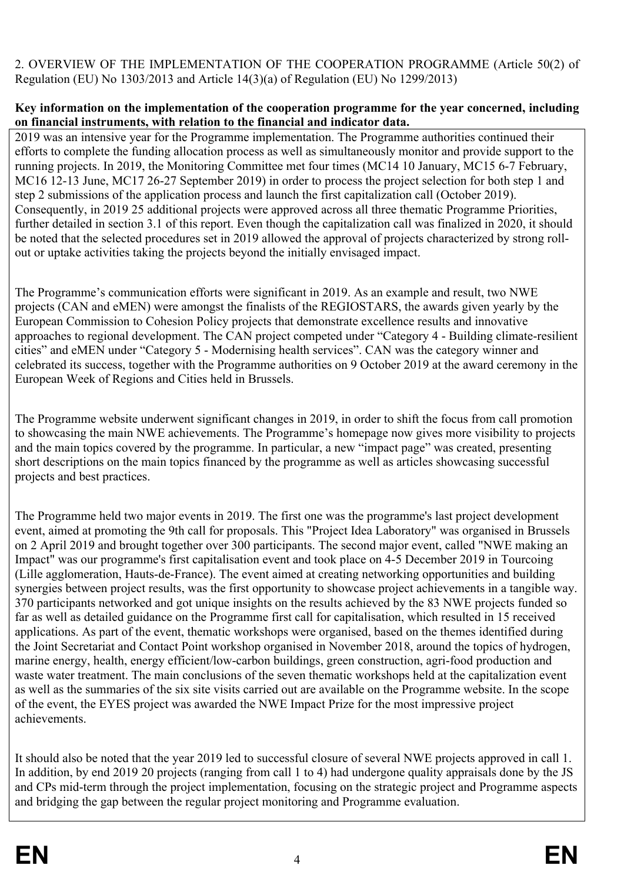### 2. OVERVIEW OF THE IMPLEMENTATION OF THE COOPERATION PROGRAMME (Article 50(2) of Regulation (EU) No 1303/2013 and Article 14(3)(a) of Regulation (EU) No 1299/2013)

#### <span id="page-3-0"></span>**Key information on the implementation of the cooperation programme for the year concerned, including on financial instruments, with relation to the financial and indicator data.**

2019 was an intensive year for the Programme implementation. The Programme authorities continued their efforts to complete the funding allocation process as well as simultaneously monitor and provide support to the running projects. In 2019, the Monitoring Committee met four times (MC14 10 January, MC15 6-7 February, MC16 12-13 June, MC17 26-27 September 2019) in order to process the project selection for both step 1 and step 2 submissions of the application process and launch the first capitalization call (October 2019). Consequently, in 2019 25 additional projects were approved across all three thematic Programme Priorities, further detailed in section 3.1 of this report. Even though the capitalization call was finalized in 2020, it should be noted that the selected procedures set in 2019 allowed the approval of projects characterized by strong rollout or uptake activities taking the projects beyond the initially envisaged impact.

The Programme's communication efforts were significant in 2019. As an example and result, two NWE projects (CAN and eMEN) were amongst the finalists of the REGIOSTARS, the awards given yearly by the European Commission to Cohesion Policy projects that demonstrate excellence results and innovative approaches to regional development. The CAN project competed under "Category 4 - Building climate-resilient cities" and eMEN under "Category 5 - Modernising health services". CAN was the category winner and celebrated its success, together with the Programme authorities on 9 October 2019 at the award ceremony in the European Week of Regions and Cities held in Brussels.

The Programme website underwent significant changes in 2019, in order to shift the focus from call promotion to showcasing the main NWE achievements. The Programme's homepage now gives more visibility to projects and the main topics covered by the programme. In particular, a new "impact page" was created, presenting short descriptions on the main topics financed by the programme as well as articles showcasing successful projects and best practices.

The Programme held two major events in 2019. The first one was the programme's last project development event, aimed at promoting the 9th call for proposals. This "Project Idea Laboratory" was organised in Brussels on 2 April 2019 and brought together over 300 participants. The second major event, called "NWE making an Impact" was our programme's first capitalisation event and took place on 4-5 December 2019 in Tourcoing (Lille agglomeration, Hauts-de-France). The event aimed at creating networking opportunities and building synergies between project results, was the first opportunity to showcase project achievements in a tangible way. 370 participants networked and got unique insights on the results achieved by the 83 NWE projects funded so far as well as detailed guidance on the Programme first call for capitalisation, which resulted in 15 received applications. As part of the event, thematic workshops were organised, based on the themes identified during the Joint Secretariat and Contact Point workshop organised in November 2018, around the topics of hydrogen, marine energy, health, energy efficient/low-carbon buildings, green construction, agri-food production and waste water treatment. The main conclusions of the seven thematic workshops held at the capitalization event as well as the summaries of the six site visits carried out are available on the Programme website. In the scope of the event, the EYES project was awarded the NWE Impact Prize for the most impressive project achievements.

It should also be noted that the year 2019 led to successful closure of several NWE projects approved in call 1. In addition, by end 2019 20 projects (ranging from call 1 to 4) had undergone quality appraisals done by the JS and CPs mid-term through the project implementation, focusing on the strategic project and Programme aspects and bridging the gap between the regular project monitoring and Programme evaluation.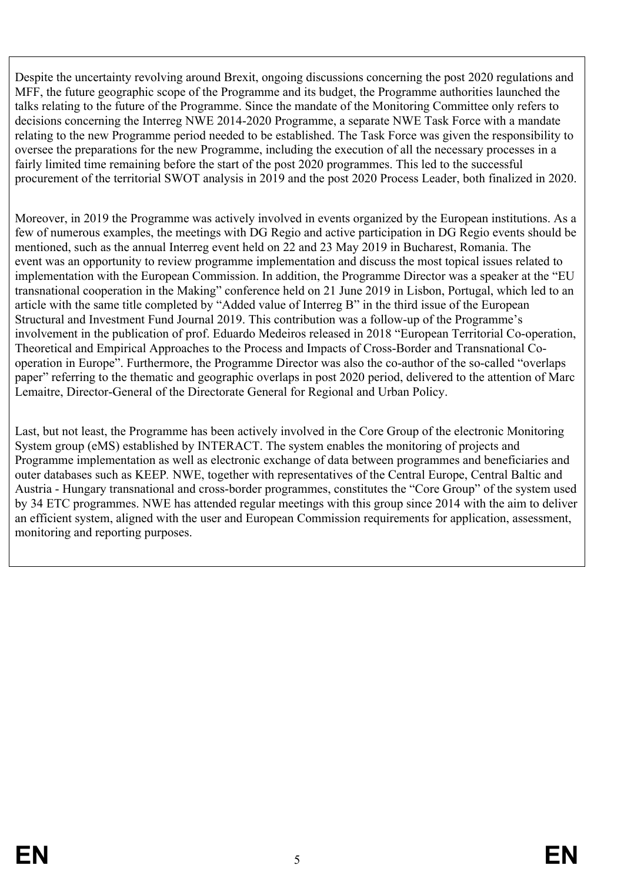Despite the uncertainty revolving around Brexit, ongoing discussions concerning the post 2020 regulations and MFF, the future geographic scope of the Programme and its budget, the Programme authorities launched the talks relating to the future of the Programme. Since the mandate of the Monitoring Committee only refers to decisions concerning the Interreg NWE 2014-2020 Programme, a separate NWE Task Force with a mandate relating to the new Programme period needed to be established. The Task Force was given the responsibility to oversee the preparations for the new Programme, including the execution of all the necessary processes in a fairly limited time remaining before the start of the post 2020 programmes. This led to the successful procurement of the territorial SWOT analysis in 2019 and the post 2020 Process Leader, both finalized in 2020.

Moreover, in 2019 the Programme was actively involved in events organized by the European institutions. As a few of numerous examples, the meetings with DG Regio and active participation in DG Regio events should be mentioned, such as the annual Interreg event held on 22 and 23 May 2019 in Bucharest, Romania. The event was an opportunity to review programme implementation and discuss the most topical issues related to implementation with the European Commission. In addition, the Programme Director was a speaker at the "EU transnational cooperation in the Making" conference held on 21 June 2019 in Lisbon, Portugal, which led to an article with the same title completed by "Added value of Interreg B" in the third issue of the European Structural and Investment Fund Journal 2019. This contribution was a follow-up of the Programme's involvement in the publication of prof. Eduardo Medeiros released in 2018 "European Territorial Co-operation, Theoretical and Empirical Approaches to the Process and Impacts of Cross-Border and Transnational Cooperation in Europe". Furthermore, the Programme Director was also the co-author of the so-called "overlaps paper" referring to the thematic and geographic overlaps in post 2020 period, delivered to the attention of Marc Lemaitre, Director-General of the Directorate General for Regional and Urban Policy.

Last, but not least, the Programme has been actively involved in the Core Group of the electronic Monitoring System group (eMS) established by INTERACT. The system enables the monitoring of projects and Programme implementation as well as electronic exchange of data between programmes and beneficiaries and outer databases such as KEEP*.* NWE, together with representatives of the Central Europe, Central Baltic and Austria - Hungary transnational and cross-border programmes, constitutes the "Core Group" of the system used by 34 ETC programmes. NWE has attended regular meetings with this group since 2014 with the aim to deliver an efficient system, aligned with the user and European Commission requirements for application, assessment, monitoring and reporting purposes.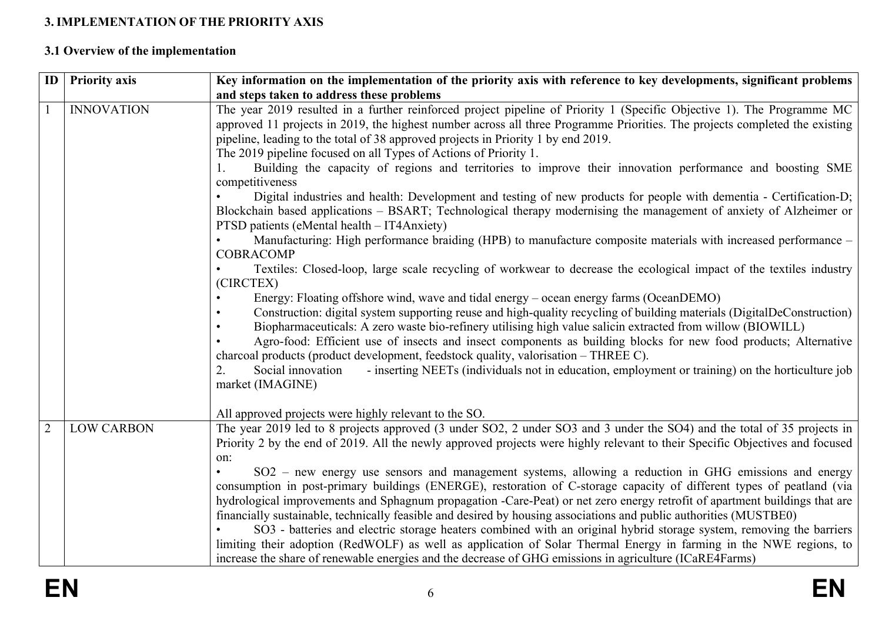## **3. IMPLEMENTATION OF THE PRIORITY AXIS**

# **3.1 Overview of the implementation**

<span id="page-5-1"></span><span id="page-5-0"></span>

| ID             | <b>Priority axis</b> | Key information on the implementation of the priority axis with reference to key developments, significant problems                                                                                                                                                                                                                                                                                                                                                                                                                                                                                                                                                                              |
|----------------|----------------------|--------------------------------------------------------------------------------------------------------------------------------------------------------------------------------------------------------------------------------------------------------------------------------------------------------------------------------------------------------------------------------------------------------------------------------------------------------------------------------------------------------------------------------------------------------------------------------------------------------------------------------------------------------------------------------------------------|
|                |                      | and steps taken to address these problems                                                                                                                                                                                                                                                                                                                                                                                                                                                                                                                                                                                                                                                        |
|                | <b>INNOVATION</b>    | The year 2019 resulted in a further reinforced project pipeline of Priority 1 (Specific Objective 1). The Programme MC<br>approved 11 projects in 2019, the highest number across all three Programme Priorities. The projects completed the existing<br>pipeline, leading to the total of 38 approved projects in Priority 1 by end 2019.<br>The 2019 pipeline focused on all Types of Actions of Priority 1.                                                                                                                                                                                                                                                                                   |
|                |                      | Building the capacity of regions and territories to improve their innovation performance and boosting SME<br>competitiveness                                                                                                                                                                                                                                                                                                                                                                                                                                                                                                                                                                     |
|                |                      | Digital industries and health: Development and testing of new products for people with dementia - Certification-D;<br>Blockchain based applications – BSART; Technological therapy modernising the management of anxiety of Alzheimer or<br>PTSD patients (eMental health – IT4Anxiety)                                                                                                                                                                                                                                                                                                                                                                                                          |
|                |                      | Manufacturing: High performance braiding (HPB) to manufacture composite materials with increased performance -<br><b>COBRACOMP</b>                                                                                                                                                                                                                                                                                                                                                                                                                                                                                                                                                               |
|                |                      | Textiles: Closed-loop, large scale recycling of workwear to decrease the ecological impact of the textiles industry<br>(CIRCTEX)                                                                                                                                                                                                                                                                                                                                                                                                                                                                                                                                                                 |
|                |                      | Energy: Floating offshore wind, wave and tidal energy – ocean energy farms (OceanDEMO)<br>Construction: digital system supporting reuse and high-quality recycling of building materials (DigitalDeConstruction)<br>Biopharmaceuticals: A zero waste bio-refinery utilising high value salicin extracted from willow (BIOWILL)<br>Agro-food: Efficient use of insects and insect components as building blocks for new food products; Alternative<br>charcoal products (product development, feedstock quality, valorisation – THREE C).<br>- inserting NEETs (individuals not in education, employment or training) on the horticulture job<br>Social innovation<br>$2_{-}$<br>market (IMAGINE) |
|                |                      | All approved projects were highly relevant to the SO.                                                                                                                                                                                                                                                                                                                                                                                                                                                                                                                                                                                                                                            |
| $\overline{2}$ | <b>LOW CARBON</b>    | The year 2019 led to 8 projects approved (3 under SO2, 2 under SO3 and 3 under the SO4) and the total of 35 projects in<br>Priority 2 by the end of 2019. All the newly approved projects were highly relevant to their Specific Objectives and focused<br>on:                                                                                                                                                                                                                                                                                                                                                                                                                                   |
|                |                      | SO2 - new energy use sensors and management systems, allowing a reduction in GHG emissions and energy<br>consumption in post-primary buildings (ENERGE), restoration of C-storage capacity of different types of peatland (via<br>hydrological improvements and Sphagnum propagation -Care-Peat) or net zero energy retrofit of apartment buildings that are<br>financially sustainable, technically feasible and desired by housing associations and public authorities (MUSTBE0)<br>SO3 - batteries and electric storage heaters combined with an original hybrid storage system, removing the barriers                                                                                        |
|                |                      | limiting their adoption (RedWOLF) as well as application of Solar Thermal Energy in farming in the NWE regions, to<br>increase the share of renewable energies and the decrease of GHG emissions in agriculture (ICaRE4Farms)                                                                                                                                                                                                                                                                                                                                                                                                                                                                    |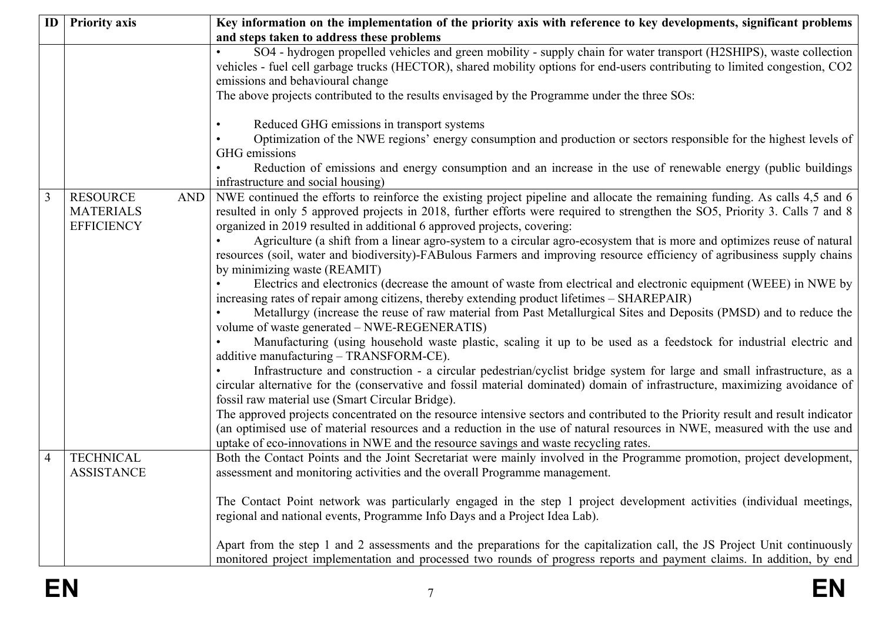| ID | <b>Priority axis</b>                                                   | Key information on the implementation of the priority axis with reference to key developments, significant problems<br>and steps taken to address these problems                                                                                                                                                                                                                                                                                                                                                                                                                                                                                                                                                                                                                                                                                                                                                                                                                                                                                                                                                                                                                                                                                                                                                                                                                                                                                                                                                                                                                                                                                                                                                                                                                                                                                               |
|----|------------------------------------------------------------------------|----------------------------------------------------------------------------------------------------------------------------------------------------------------------------------------------------------------------------------------------------------------------------------------------------------------------------------------------------------------------------------------------------------------------------------------------------------------------------------------------------------------------------------------------------------------------------------------------------------------------------------------------------------------------------------------------------------------------------------------------------------------------------------------------------------------------------------------------------------------------------------------------------------------------------------------------------------------------------------------------------------------------------------------------------------------------------------------------------------------------------------------------------------------------------------------------------------------------------------------------------------------------------------------------------------------------------------------------------------------------------------------------------------------------------------------------------------------------------------------------------------------------------------------------------------------------------------------------------------------------------------------------------------------------------------------------------------------------------------------------------------------------------------------------------------------------------------------------------------------|
|    |                                                                        | SO4 - hydrogen propelled vehicles and green mobility - supply chain for water transport (H2SHIPS), waste collection<br>vehicles - fuel cell garbage trucks (HECTOR), shared mobility options for end-users contributing to limited congestion, CO2<br>emissions and behavioural change<br>The above projects contributed to the results envisaged by the Programme under the three SOs:                                                                                                                                                                                                                                                                                                                                                                                                                                                                                                                                                                                                                                                                                                                                                                                                                                                                                                                                                                                                                                                                                                                                                                                                                                                                                                                                                                                                                                                                        |
|    |                                                                        | Reduced GHG emissions in transport systems<br>Optimization of the NWE regions' energy consumption and production or sectors responsible for the highest levels of<br>GHG emissions<br>Reduction of emissions and energy consumption and an increase in the use of renewable energy (public buildings<br>infrastructure and social housing)                                                                                                                                                                                                                                                                                                                                                                                                                                                                                                                                                                                                                                                                                                                                                                                                                                                                                                                                                                                                                                                                                                                                                                                                                                                                                                                                                                                                                                                                                                                     |
| 3  | <b>RESOURCE</b><br><b>AND</b><br><b>MATERIALS</b><br><b>EFFICIENCY</b> | NWE continued the efforts to reinforce the existing project pipeline and allocate the remaining funding. As calls 4,5 and 6<br>resulted in only 5 approved projects in 2018, further efforts were required to strengthen the SO5, Priority 3. Calls 7 and 8<br>organized in 2019 resulted in additional 6 approved projects, covering:<br>Agriculture (a shift from a linear agro-system to a circular agro-ecosystem that is more and optimizes reuse of natural<br>resources (soil, water and biodiversity)-FABulous Farmers and improving resource efficiency of agribusiness supply chains<br>by minimizing waste (REAMIT)<br>Electrics and electronics (decrease the amount of waste from electrical and electronic equipment (WEEE) in NWE by<br>increasing rates of repair among citizens, thereby extending product lifetimes - SHAREPAIR)<br>Metallurgy (increase the reuse of raw material from Past Metallurgical Sites and Deposits (PMSD) and to reduce the<br>volume of waste generated – NWE-REGENERATIS)<br>Manufacturing (using household waste plastic, scaling it up to be used as a feedstock for industrial electric and<br>additive manufacturing - TRANSFORM-CE).<br>Infrastructure and construction - a circular pedestrian/cyclist bridge system for large and small infrastructure, as a<br>circular alternative for the (conservative and fossil material dominated) domain of infrastructure, maximizing avoidance of<br>fossil raw material use (Smart Circular Bridge).<br>The approved projects concentrated on the resource intensive sectors and contributed to the Priority result and result indicator<br>(an optimised use of material resources and a reduction in the use of natural resources in NWE, measured with the use and<br>uptake of eco-innovations in NWE and the resource savings and waste recycling rates. |
| 4  | <b>TECHNICAL</b><br><b>ASSISTANCE</b>                                  | Both the Contact Points and the Joint Secretariat were mainly involved in the Programme promotion, project development,<br>assessment and monitoring activities and the overall Programme management.<br>The Contact Point network was particularly engaged in the step 1 project development activities (individual meetings,<br>regional and national events, Programme Info Days and a Project Idea Lab).<br>Apart from the step 1 and 2 assessments and the preparations for the capitalization call, the JS Project Unit continuously<br>monitored project implementation and processed two rounds of progress reports and payment claims. In addition, by end                                                                                                                                                                                                                                                                                                                                                                                                                                                                                                                                                                                                                                                                                                                                                                                                                                                                                                                                                                                                                                                                                                                                                                                            |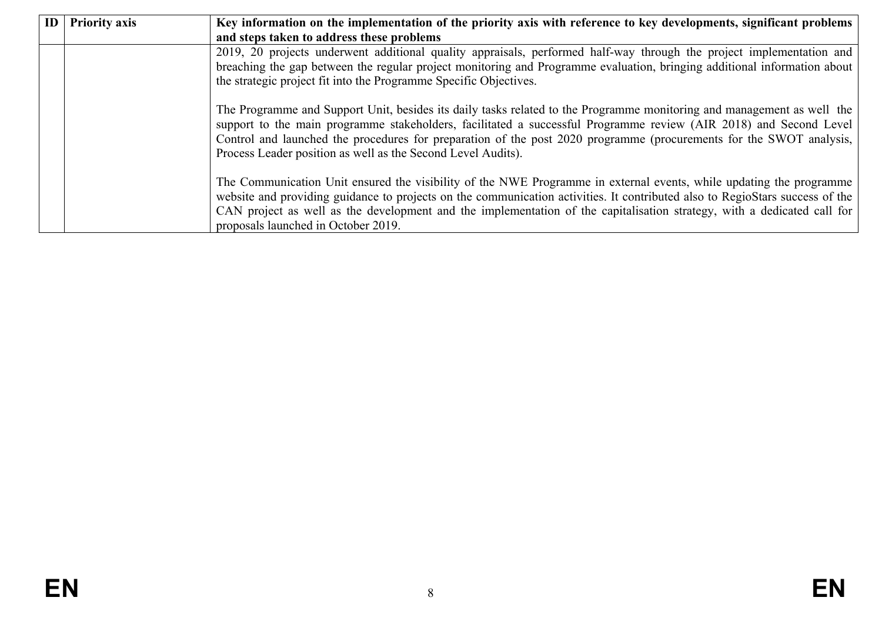| ID | <b>Priority axis</b> | Key information on the implementation of the priority axis with reference to key developments, significant problems                                                                                                                                                                                                                                                                                                                |
|----|----------------------|------------------------------------------------------------------------------------------------------------------------------------------------------------------------------------------------------------------------------------------------------------------------------------------------------------------------------------------------------------------------------------------------------------------------------------|
|    |                      | and steps taken to address these problems                                                                                                                                                                                                                                                                                                                                                                                          |
|    |                      | 2019, 20 projects underwent additional quality appraisals, performed half-way through the project implementation and<br>breaching the gap between the regular project monitoring and Programme evaluation, bringing additional information about                                                                                                                                                                                   |
|    |                      | the strategic project fit into the Programme Specific Objectives.                                                                                                                                                                                                                                                                                                                                                                  |
|    |                      | The Programme and Support Unit, besides its daily tasks related to the Programme monitoring and management as well the<br>support to the main programme stakeholders, facilitated a successful Programme review (AIR 2018) and Second Level<br>Control and launched the procedures for preparation of the post 2020 programme (procurements for the SWOT analysis,<br>Process Leader position as well as the Second Level Audits). |
|    |                      | The Communication Unit ensured the visibility of the NWE Programme in external events, while updating the programme<br>website and providing guidance to projects on the communication activities. It contributed also to RegioStars success of the<br>CAN project as well as the development and the implementation of the capitalisation strategy, with a dedicated call for<br>proposals launched in October 2019.              |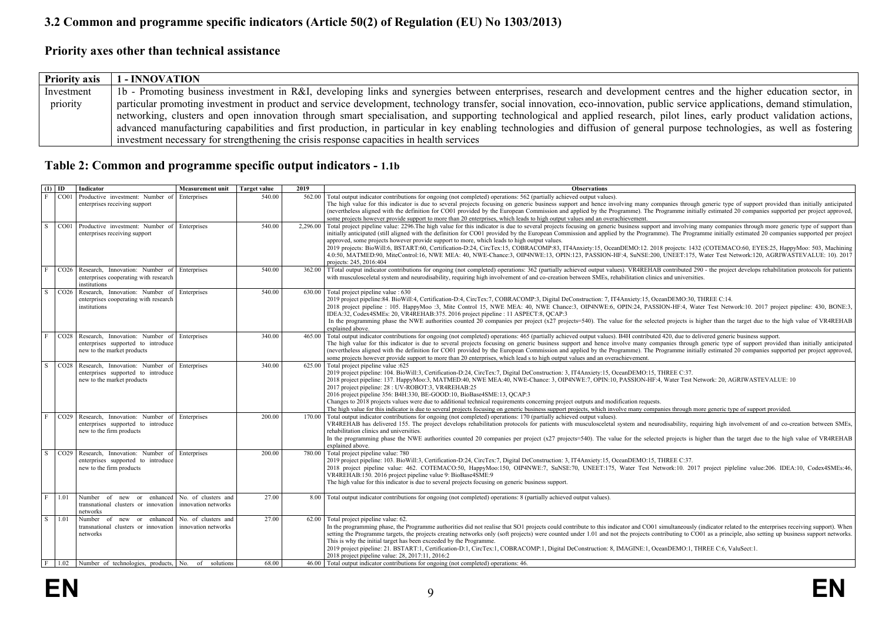## **3.2 Common and programme specific indicators (Article 50(2) of Regulation (EU) No 1303/2013)**

### **Priority axes other than technical assistance**

| <b>Priority axis</b> | 1 - INNOVATION                                                                                                                                                               |
|----------------------|------------------------------------------------------------------------------------------------------------------------------------------------------------------------------|
| Investment           | 1b - Promoting business investment in R&I, developing links and synergies between enterprises, research and development centres and the higher education sector, in          |
| priority             | particular promoting investment in product and service development, technology transfer, social innovation, eco-innovation, public service applications, demand stimulation, |
|                      | networking, clusters and open innovation through smart specialisation, and supporting technological and applied research, pilot lines, early product validation actions,     |
|                      | advanced manufacturing capabilities and first production, in particular in key enabling technologies and diffusion of general purpose technologies, as well as fostering     |
|                      | investment necessary for strengthening the crisis response capacities in health services                                                                                     |

## **Table 2: Common and programme specific output indicators - 1.1b**

<span id="page-8-2"></span><span id="page-8-1"></span><span id="page-8-0"></span>

| $(1)$ ID |                  | Indicator                                                        | <b>Measurement unit</b> | <b>Target value</b> | 2019     | <b>Observations</b>                                                                                                                                                                                                                                                                                                                                                                                                                |
|----------|------------------|------------------------------------------------------------------|-------------------------|---------------------|----------|------------------------------------------------------------------------------------------------------------------------------------------------------------------------------------------------------------------------------------------------------------------------------------------------------------------------------------------------------------------------------------------------------------------------------------|
| F        | CO01             | Productive investment: Number of                                 | Enterprises             | 540.00              | 562.00   | Total output indicator contributions for ongoing (not completed) operations: 562 (partially achieved output values).                                                                                                                                                                                                                                                                                                               |
|          |                  | enterprises receiving support                                    |                         |                     |          | The high value for this indicator is due to several projects focusing on generic business support and hence involving many companies through generic type of support provided than initially anticipated                                                                                                                                                                                                                           |
|          |                  |                                                                  |                         |                     |          | (nevertheless aligned with the definition for CO01 provided by the European Commission and applied by the Programme). The Programme initially estimated 20 companies supported per project approved,<br>some projects however provide support to more than 20 enterprises, which leads to high output values and an overachievement.                                                                                               |
| l S      |                  | CO01 Productive investment: Number of Enterprises                |                         | 540.00              | 2.296.00 | Total project pipeline value: 2296. The high value for this indicator is due to several projects focusing on generic business support and involving many companies through more generic type of support than                                                                                                                                                                                                                       |
|          |                  | enterprises receiving support                                    |                         |                     |          | initially anticipated (still aligned with the definition for CO01 provided by the European Commission and applied by the Programme). The Programme initially estimated 20 companies supported per project                                                                                                                                                                                                                          |
|          |                  |                                                                  |                         |                     |          | approved, some projects however provide support to more, which leads to high output values.                                                                                                                                                                                                                                                                                                                                        |
|          |                  |                                                                  |                         |                     |          | 2019 projects: BioWill:6, BSTART:60, Certification-D:24, CircTex:15, COBRACOMP:83, IT4Anxiety:15, OceanDEMO:12, 2018 projects: 1432 (COTEMACO:60, EYES:25, HappyMoo: 503, Machining                                                                                                                                                                                                                                                |
|          |                  |                                                                  |                         |                     |          | 4.0:50, MATMED:90, MiteControl:16, NWE MEA: 40, NWE-Chance:3, OIP4NWE:13, OPIN:123, PASSION-HF:4, SuNSE:200, UNEET:175, Water Test Network:120, AGRIWASTEVALUE: 10). 2017                                                                                                                                                                                                                                                          |
| F        | CO <sub>26</sub> | Research, Innovation: Number of                                  | Enterprises             | 540.00              |          | projects: 245, 2016:404<br>362.00 TTotal output indicator contributions for ongoing (not completed) operations: 362 (partially achieved output values). VR4REHAB contributed 290 - the project develops rehabilitation protocols for patients                                                                                                                                                                                      |
|          |                  | enterprises cooperating with research                            |                         |                     |          | with musculosceletal system and neurodisability, requiring high involvement of and co-creation between SMEs, rehabilitation clinics and universities.                                                                                                                                                                                                                                                                              |
|          |                  | institutions                                                     |                         |                     |          |                                                                                                                                                                                                                                                                                                                                                                                                                                    |
| S.       |                  | CO26 Research, Innovation: Number of Enterprises                 |                         | 540.00              | 630.00   | Total project pipeline value : 630                                                                                                                                                                                                                                                                                                                                                                                                 |
|          |                  | enterprises cooperating with research                            |                         |                     |          | 2019 project pipeline:84. BioWill:4, Certification-D:4, CircTex:7, COBRACOMP:3, Digital DeConstruction: 7, IT4Anxiety:15, OceanDEMO:30, THREE C:14.                                                                                                                                                                                                                                                                                |
|          |                  | institutions                                                     |                         |                     |          | 2018 project pipeline : 105. HappyMoo :3, Mite Control 15, NWE MEA: 40, NWE Chance:3, OIP4NWE:6, OPIN:24, PASSION-HF:4, Water Test Network:10. 2017 project pipeline: 430, BONE:3,                                                                                                                                                                                                                                                 |
|          |                  |                                                                  |                         |                     |          | IDEA:32, Codex4SMEs: 20, VR4REHAB:375, 2016 project pipeline : 11 ASPECT:8, OCAP:3<br>In the programming phase the NWE authorities counted 20 companies per project (x27 projects=540). The value for the selected projects is higher than the target due to the high value of VR4REHAB                                                                                                                                            |
|          |                  |                                                                  |                         |                     |          | explained above.                                                                                                                                                                                                                                                                                                                                                                                                                   |
| F        |                  | CO28 Research, Innovation: Number of Enterprises                 |                         | 340.00              | 465.00   | Total output indicator contributions for ongoing (not completed) operations: 465 (partially achieved output values). B4H contributed 420, due to delivered generic business support.                                                                                                                                                                                                                                               |
|          |                  | enterprises supported to introduce                               |                         |                     |          | The high value for this indicator is due to several projects focusing on generic business support and hence involve many companies through generic type of support provided than initially anticipated                                                                                                                                                                                                                             |
|          |                  | new to the market products                                       |                         |                     |          | (nevertheless aligned with the definition for CO01 provided by the European Commission and applied by the Programme). The Programme initially estimated 20 companies supported per project approved,                                                                                                                                                                                                                               |
|          |                  |                                                                  |                         |                     |          | some projects however provide support to more than 20 enterprises, which lead s to high output values and an overachievement.                                                                                                                                                                                                                                                                                                      |
| S.       | CO <sub>28</sub> | Research, Innovation: Number of                                  | Enterprises             | 340.00              |          | 625.00 Total project pipeline value :625                                                                                                                                                                                                                                                                                                                                                                                           |
|          |                  | enterprises supported to introduce<br>new to the market products |                         |                     |          | 2019 project pipeline: 104. BioWill:3, Certification-D:24, CircTex:7, Digital DeConstruction: 3, IT4Anxiety:15, OceanDEMO:15, THREE C:37.<br>2018 project pipeline: 137. HappyMoo:3, MATMED:40, NWE MEA:40, NWE-Chance: 3, OIP4NWE:7, OPIN:10, PASSION-HF:4, Water Test Network: 20, AGRIWASTEVALUE: 10                                                                                                                            |
|          |                  |                                                                  |                         |                     |          | 2017 project pipeline: 28 : UV-ROBOT:3, VR4REHAB:25                                                                                                                                                                                                                                                                                                                                                                                |
|          |                  |                                                                  |                         |                     |          | 2016 project pipeline 356: B4H:330, BE-GOOD:10, BioBase4SME:13, OCAP:3                                                                                                                                                                                                                                                                                                                                                             |
|          |                  |                                                                  |                         |                     |          | Changes to 2018 projects values were due to additional technical requirements concerning project outputs and modification requests.                                                                                                                                                                                                                                                                                                |
|          |                  |                                                                  |                         |                     |          | The high value for this indicator is due to several projects focusing on generic business support projects, which involve many companies through more generic type of support provided.                                                                                                                                                                                                                                            |
| E        |                  | CO29 Research, Innovation: Number of Enterprises                 |                         | 200.00              | 170.00   | Total output indicator contributions for ongoing (not completed) operations: 170 (partially achieved output values).                                                                                                                                                                                                                                                                                                               |
|          |                  | enterprises supported to introduce<br>new to the firm products   |                         |                     |          | VR4REHAB has delivered 155. The project develops rehabilitation protocols for patients with musculosceletal system and neurodisability, requiring high involvement of and co-creation between SMEs,<br>rehabilitation clinics and universities.                                                                                                                                                                                    |
|          |                  |                                                                  |                         |                     |          | In the programming phase the NWE authorities counted 20 companies per project (x27 projects=540). The value for the selected projects is higher than the target due to the high value of VR4REHAB                                                                                                                                                                                                                                  |
|          |                  |                                                                  |                         |                     |          | explained above.                                                                                                                                                                                                                                                                                                                                                                                                                   |
| S.       | CO <sub>29</sub> | Research. Innovation: Number of Enterprises                      |                         | 200.00              | 780.00   | Total project pipeline value: 780                                                                                                                                                                                                                                                                                                                                                                                                  |
|          |                  | enterprises supported to introduce                               |                         |                     |          | 2019 project pipeline: 103. BioWill:3, Certification-D:24, CircTex:7, Digital DeConstruction: 3, IT4Anxiety:15, OceanDEMO:15, THREE C:37.                                                                                                                                                                                                                                                                                          |
|          |                  | new to the firm products                                         |                         |                     |          | 2018 project pipeline value: 462. COTEMACO:50, HappyMoo:150, OIP4NWE:7, SuNSE:70, UNEET:175, Water Test Network:10. 2017 project pipleline value:206. IDEA:10, Codex4SMEs:46,                                                                                                                                                                                                                                                      |
|          |                  |                                                                  |                         |                     |          | VR4REHAB:150. 2016 project pipeline value 9: BioBase4SME:9<br>The high value for this indicator is due to several projects focusing on generic business support.                                                                                                                                                                                                                                                                   |
|          |                  |                                                                  |                         |                     |          |                                                                                                                                                                                                                                                                                                                                                                                                                                    |
| F        | 1.01             | Number of new or enhanced                                        | No. of clusters and     | 27.00               |          | 8.00 Total output indicator contributions for ongoing (not completed) operations: 8 (partially achieved output values).                                                                                                                                                                                                                                                                                                            |
|          |                  | transnational clusters or innovation                             | innovation networks     |                     |          |                                                                                                                                                                                                                                                                                                                                                                                                                                    |
|          |                  | networks                                                         |                         |                     |          |                                                                                                                                                                                                                                                                                                                                                                                                                                    |
| l S      | 1.01             | Number of new or enhanced                                        | No. of clusters and     | 27.00               |          | 62.00 Total project pipeline value: 62.                                                                                                                                                                                                                                                                                                                                                                                            |
|          |                  | transnational clusters or innovation<br>networks                 | innovation networks     |                     |          | In the programming phase, the Programme authorities did not realise that SO1 projects could contribute to this indicator and CO01 simultaneously (indicator related to the enterprises receiving support). When<br>setting the Programme targets, the projects creating networks only (soft projects) were counted under 1.01 and not the projects contributing to CO01 as a principle, also setting up business support networks. |
|          |                  |                                                                  |                         |                     |          | This is why the initial target has been exceeded by the Programme.                                                                                                                                                                                                                                                                                                                                                                 |
|          |                  |                                                                  |                         |                     |          | 2019 project pipeline: 21. BSTART:1, Certification-D:1, CircTex:1, COBRACOMP:1, Digital DeConstruction: 8, IMAGINE:1, OceanDEMO:1, THREE C:6, ValuSect:1.                                                                                                                                                                                                                                                                          |
|          |                  |                                                                  |                         |                     |          | 2018 project pipeline value: 28, 2017:11, 2016:2                                                                                                                                                                                                                                                                                                                                                                                   |
|          |                  | $F$ 1.02 Number of technologies, products, No. of solutions      |                         | 68 00               |          | 46.00 Total output indicator contributions for ongoing (not completed) operations: 46.                                                                                                                                                                                                                                                                                                                                             |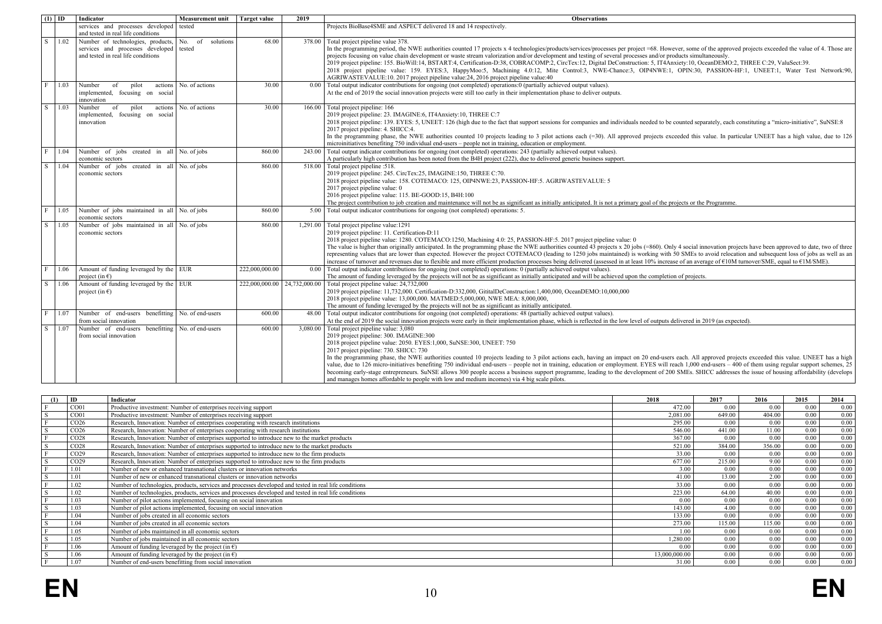| $(1)$ ID                |      | Indicator                                                                                                          | <b>Measurement unit</b> | Target value                | 2019     | <b>Observations</b>                                                                                                                                                                                                                                                                                                                                                                                                                                                                                                                                                                                                                                                                                                                                                                                                                                                                                                             |
|-------------------------|------|--------------------------------------------------------------------------------------------------------------------|-------------------------|-----------------------------|----------|---------------------------------------------------------------------------------------------------------------------------------------------------------------------------------------------------------------------------------------------------------------------------------------------------------------------------------------------------------------------------------------------------------------------------------------------------------------------------------------------------------------------------------------------------------------------------------------------------------------------------------------------------------------------------------------------------------------------------------------------------------------------------------------------------------------------------------------------------------------------------------------------------------------------------------|
|                         |      | services and processes developed<br>and tested in real life conditions                                             | tested                  |                             |          | Projects BioBase4SME and ASPECT delivered 18 and 14 respectively.                                                                                                                                                                                                                                                                                                                                                                                                                                                                                                                                                                                                                                                                                                                                                                                                                                                               |
| l s                     | 1.02 | Number of technologies, products,<br>services and processes developed tested<br>and tested in real life conditions | No. of<br>solutions     | 68.00                       | 378.00   | Total project pipeline value 378.<br>In the programming period, the NWE authorities counted 17 projects x 4 technologies/products/services/processes per project =68. However, some of the approved projects exceeded the value of 4. Those are<br>projects focusing on value chain development or waste stream valorization and/or development and testing of several processes and/or products simultaneously.<br>2019 project pipeline: 155. BioWill:14, BSTART:4, Certification-D:38, COBRACOMP:2, CircTex:12, Digital DeConstruction: 5, IT4Anxiety:10, OceanDEMO:2, THREE C:29, ValuSect:39.<br>2018 project pipeline value: 159. EYES:3, HappyMoo:5, Machining 4.0:12, Mite Control:3, NWE-Chance:3, OIP4NWE:1, OPIN:30, PASSION-HF:1, UNEET:1, Water Test Network:90,<br>AGRIWASTEVALUE:10. 2017 project pipeline value:24, 2016 project pipeline value:40                                                              |
| l F                     | 1.03 | Number<br>pilot<br>of<br>actions<br>implemented, focusing on social<br>innovation                                  | No. of actions          | 30.00                       | 0.00     | Total output indicator contributions for ongoing (not completed) operations:0 (partially achieved output values).<br>At the end of 2019 the social innovation projects were still too early in their implementation phase to deliver outputs.                                                                                                                                                                                                                                                                                                                                                                                                                                                                                                                                                                                                                                                                                   |
| $\overline{\mathbf{s}}$ | 1.03 | Number<br>of<br>pilot<br>actions<br>implemented, focusing on social<br>innovation                                  | No. of actions          | 30.00                       | 166.00   | Total project pipeline: 166<br>2019 project pipeline: 23. IMAGINE:6, IT4Anxiety:10, THREE C:7<br>2018 project pipeline: 139. EYES: 5, UNEET: 126 (high due to the fact that support sessions for companies and individuals needed to be counted separately, each constituting a "micro-initiative", SuNSE:8<br>2017 project pipeline: 4. SHICC:4.<br>In the programming phase, the NWE authorities counted 10 projects leading to 3 pilot actions each (=30). All approved projects exceeded this value. In particular UNEET has a high value, due to 126<br>microinitiatives benefiting 750 individual end-users - people not in training, education or employment.                                                                                                                                                                                                                                                            |
| F                       | 1.04 | Number of jobs created in all No of jobs<br>economic sectors                                                       |                         | 860.00                      | 243.00   | Total output indicator contributions for ongoing (not completed) operations: 243 (partially achieved output values).<br>A particularly high contribution has been noted from the B4H project (222), due to delivered generic business support.                                                                                                                                                                                                                                                                                                                                                                                                                                                                                                                                                                                                                                                                                  |
| <sub>S</sub>            | 1.04 | Number of jobs<br>created in all No. of jobs<br>economic sectors                                                   |                         | 860.00                      | 518.00   | Total project pipeline :518.<br>2019 project pipeline: 245. CircTex:25, IMAGINE:150, THREE C:70.<br>2018 project pipeline value: 158. COTEMACO: 125, OIP4NWE:23, PASSION-HF:5. AGRIWASTEVALUE: 5<br>2017 project pipeline value: 0<br>2016 project pipeline value: 115. BE-GOOD:15, B4H:100<br>The project contribution to job creation and maintenance will not be as significant as initially anticipated. It is not a primary goal of the projects or the Programme.                                                                                                                                                                                                                                                                                                                                                                                                                                                         |
| l F                     | 1.05 | Number of jobs maintained in all No of jobs<br>economic sectors                                                    |                         | 860.00                      | 5.00     | Total output indicator contributions for ongoing (not completed) operations: 5.                                                                                                                                                                                                                                                                                                                                                                                                                                                                                                                                                                                                                                                                                                                                                                                                                                                 |
| S                       | 1.05 | Number of jobs maintained in all No. of jobs<br>economic sectors                                                   |                         | 860.00                      | 1,291.00 | Total project pipeline value:1291<br>2019 project pipeline: 11. Certification-D:11<br>2018 project pipeline value: 1280. COTEMACO: 1250, Machining 4.0: 25, PASSION-HF: 5. 2017 project pipeline value: 0<br>The value is higher than originally anticipated. In the programming phase the NWE authorities counted 43 projects x 20 jobs (=860). Only 4 social innovation projects have been approved to date, two of three<br>representing values that are lower than expected. However the project COTEMACO (leading to 1250 jobs maintained) is working with 50 SMEs to avoid relocation and subsequent loss of jobs as well as an<br>increase of turnover and revenues due to flexible and more efficient production processes being delivered (assessed in at least 10% increase of an average of €10M turnover/SME, equal to €1M/SME).                                                                                    |
| F                       | 1.06 | Amount of funding leveraged by the EUR<br>project (in $\epsilon$ )                                                 |                         | 222,000,000.00              | 0.00     | Total output indicator contributions for ongoing (not completed) operations: 0 (partially achieved output values).<br>The amount of funding leveraged by the projects will not be as significant as initially anticipated and will be achieved upon the completion of projects.                                                                                                                                                                                                                                                                                                                                                                                                                                                                                                                                                                                                                                                 |
| l s                     | 1.06 | Amount of funding leveraged by the EUR<br>project (in $\epsilon$ )                                                 |                         | 222,000,000.00 24,732,000.0 |          | Total project pipeline value: 24,732,000<br>2019 project pipeline: 11,732,000. Certification-D:332,000, GititalDeConstruction:1,400,000, OceanDEMO:10,000,000<br>2018 project pipeline value: 13,000,000. MATMED:5,000,000, NWE MEA: 8,000,000,<br>The amount of funding leveraged by the projects will not be as significant as initially anticipated.                                                                                                                                                                                                                                                                                                                                                                                                                                                                                                                                                                         |
| l F                     | 1.07 | Number of end-users<br>benefitting<br>from social innovation                                                       | No. of end-users        | 600.00                      | 48.00    | Total output indicator contributions for ongoing (not completed) operations: 48 (partially achieved output values).<br>At the end of 2019 the social innovation projects were early in their implementation phase, which is reflected in the low level of outputs delivered in 2019 (as expected)                                                                                                                                                                                                                                                                                                                                                                                                                                                                                                                                                                                                                               |
| l s                     | 1.07 | Number of end-users benefitting<br>from social innovation                                                          | No. of end-users        | 600.00                      | 3.080.00 | Total project pipeline value: 3,080<br>2019 project pipeline: 300. IMAGINE:300<br>2018 project pipeline value: 2050. EYES:1,000, SuNSE:300, UNEET: 750<br>2017 project pipeline: 730. SHICC: 730<br>In the programming phase, the NWE authorities counted 10 projects leading to 3 pilot actions each, having an impact on 20 end-users each. All approved projects exceeded this value. UNEET has a high<br>value, due to 126 micro-initiatives benefiting 750 individual end-users - people not in training, education or employment. EYES will reach 1,000 end-users - 400 of them using regular support schemes, 25<br>becoming early-stage entrepreneurs. SuNSE allows 300 people access a business support programme, leading to the development of 200 SMEs. SHICC addresses the issue of housing affordability (develops<br>and manages homes affordable to people with low and medium incomes) via 4 big scale pilots. |

| ID               | Indicator                                                                                             | 2018          | 2017   | 2016   | 2015 | 2014 |
|------------------|-------------------------------------------------------------------------------------------------------|---------------|--------|--------|------|------|
| CO <sub>01</sub> | Productive investment: Number of enterprises receiving support                                        | 472.00        | 0.00   | 0.00   | 0.00 | 0.00 |
| CO <sub>01</sub> | Productive investment: Number of enterprises receiving support                                        | 2,081.00      | 649.00 | 404.00 | 0.00 | 0.00 |
| CO <sub>26</sub> | Research, Innovation: Number of enterprises cooperating with research institutions                    | 295.00        | 0.00   | 0.00   | 0.00 | 0.00 |
| CO <sub>26</sub> | Research, Innovation: Number of enterprises cooperating with research institutions                    | 546.00        | 441.00 | 11 00  | 0.00 | 0.00 |
| CO <sub>28</sub> | Research, Innovation: Number of enterprises supported to introduce new to the market products         | 367.00        | 0.00   | 0.00   | 0.00 | 0.00 |
| CO <sub>28</sub> | Research, Innovation: Number of enterprises supported to introduce new to the market products         | 521.00        | 384.00 | 356.00 | 0.00 | 0.00 |
| CO <sub>29</sub> | Research, Innovation: Number of enterprises supported to introduce new to the firm products           | 33.00         | 0.00   | 0.00   | 0.00 | 0.00 |
| CO <sub>29</sub> | Research, Innovation: Number of enterprises supported to introduce new to the firm products           | 677.00        | 215.00 | 9.00   | 0.00 | 0.00 |
| 1.01             | Number of new or enhanced transnational clusters or innovation networks                               | 3.00          | 0.00   | 0.00   | 0.00 | 0.00 |
| 1.01             | Number of new or enhanced transnational clusters or innovation networks                               | 41.00         | 13.00  | 2.00   | 0.00 | 0.00 |
| 1.02             | Number of technologies, products, services and processes developed and tested in real life conditions | 33.00         | 0.00   | 0.00   | 0.00 | 0.00 |
| 1.02             | Number of technologies, products, services and processes developed and tested in real life conditions | 223.00        | 64 00  | 40.00  | 0.00 | 0.00 |
| 1.03             | Number of pilot actions implemented, focusing on social innovation                                    | 0.00          | 0.00   | 0.00   | 0.00 | 0.00 |
| 1.03             | Number of pilot actions implemented, focusing on social innovation                                    | 143.00        | 4.00   | 0.00   | 0.00 | 0.00 |
| 1.04             | Number of jobs created in all economic sectors                                                        | 133.00        | 0.00   | 0.00   | 0.00 | 0.00 |
| 1.04             | Number of jobs created in all economic sectors                                                        | 273.00        | 115.00 | 115.00 | 0.00 | 0.00 |
| 1.05             | Number of jobs maintained in all economic sectors                                                     | 1 00          | 0.00   | 0.00   | 0.00 | 0.00 |
| 1.05             | Number of jobs maintained in all economic sectors                                                     | 1.280.00      | 0.00   | 0.00   | 0.00 | 0.00 |
| 1.06             | Amount of funding leveraged by the project (in $\epsilon$ )                                           | 0.00          | 0.00   | 0.00   | 0.00 | 0.00 |
| 1.06             | Amount of funding leveraged by the project (in $\epsilon$ )                                           | 13.000.000.00 | 0.00   | 0.00   | 0.00 | 0.00 |
| 1.07             | Number of end-users benefitting from social innovation                                                | 31.00         | 0.00   | 0.00   | 0.00 | 0.00 |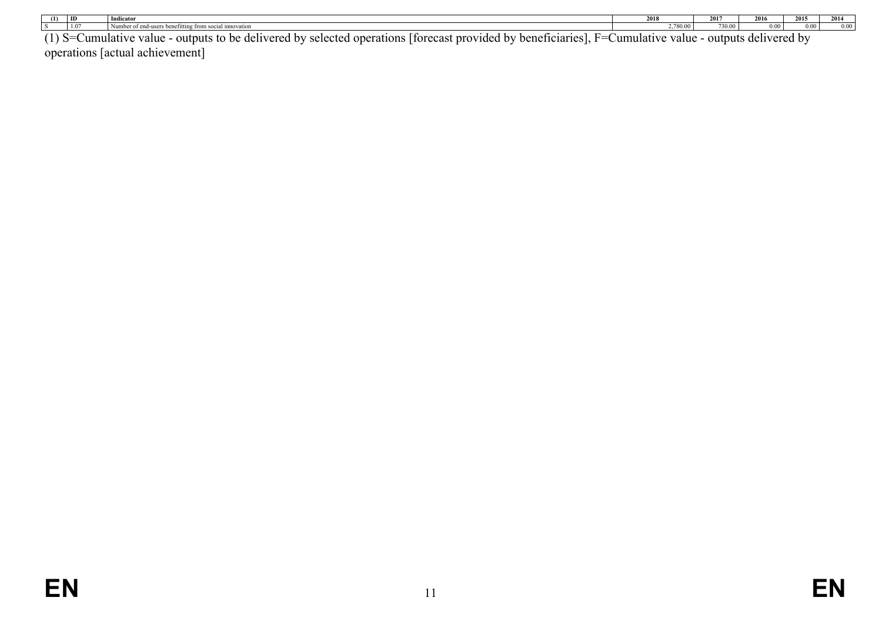|          | ID         | Indicator                                                                                                                             | 2018                | <b>3015</b><br>2011 | 301      | 2015    | 2014 |
|----------|------------|---------------------------------------------------------------------------------------------------------------------------------------|---------------------|---------------------|----------|---------|------|
|          |            | enefitting from social innovation                                                                                                     | 280.00              | $\overline{a}$      |          | 0.00    |      |
| $(1)$ S= | Jumulative | - outputs to be delivered<br><sup>r</sup> beneficiaries l.<br>d by selected operations I<br>Therecast provided by<br>value<br>$H = 0$ | value<br>Jumulative | - outputs           | delivere | red by: |      |

operations [actual achievement]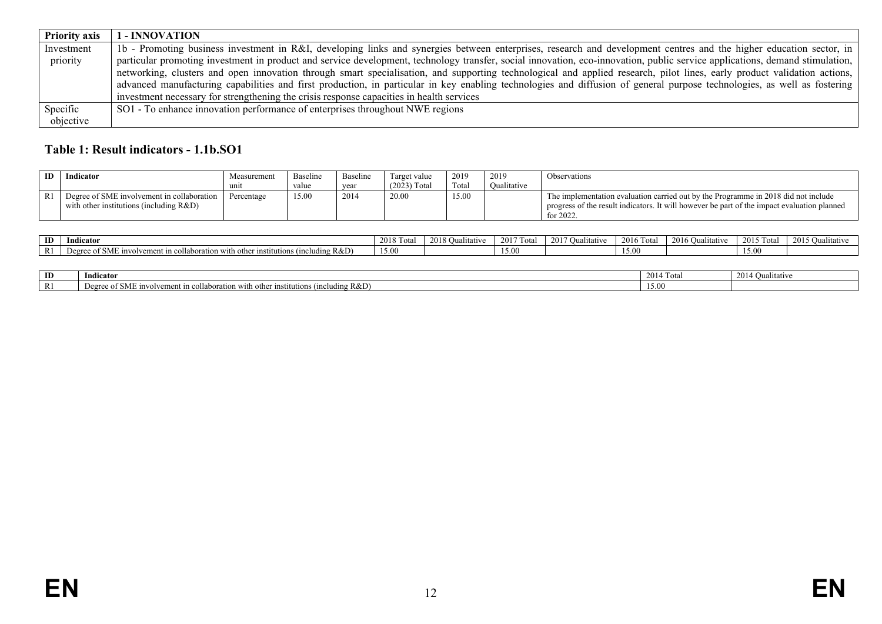| <b>Priority axis</b> | 1 - INNOVATION                                                                                                                                                               |
|----------------------|------------------------------------------------------------------------------------------------------------------------------------------------------------------------------|
| Investment           | 1b - Promoting business investment in R&I, developing links and synergies between enterprises, research and development centres and the higher education sector, in          |
| priority             | particular promoting investment in product and service development, technology transfer, social innovation, eco-innovation, public service applications, demand stimulation, |
|                      | networking, clusters and open innovation through smart specialisation, and supporting technological and applied research, pilot lines, early product validation actions,     |
|                      | advanced manufacturing capabilities and first production, in particular in key enabling technologies and diffusion of general purpose technologies, as well as fostering     |
|                      | investment necessary for strengthening the crisis response capacities in health services                                                                                     |
| Specific             | SO1 - To enhance innovation performance of enterprises throughout NWE regions                                                                                                |
| objective            |                                                                                                                                                                              |

## **Table 1: Result indicators - 1.1b.SO1**

| ID | Indicator                                  | Measurement | Baseline | Baseline | Target value   | 2019  | 2019        | Observations                                                                                |
|----|--------------------------------------------|-------------|----------|----------|----------------|-------|-------------|---------------------------------------------------------------------------------------------|
|    |                                            |             | value    | year     | $(2023)$ Total | Tota. | Oualitative |                                                                                             |
|    | Degree of SME involvement in collaboration | Percentage  | 15.00    | 2014     | 20.00          | 15.00 |             | The implementation evaluation carried out by the Programme in 2018 did not include          |
|    | with other institutions (including $R&D$ ) |             |          |          |                |       |             | progress of the result indicators. It will however be part of the impact evaluation planned |
|    |                                            |             |          |          |                |       |             | for $2022$                                                                                  |

| ID                      | Indicator                                                                                                                             | 0.010<br>20 P | 2018.<br>Oualitative | 12017<br>di ota | 2017<br>Oualitative | 2016<br>. otal | 2016<br>Oualitativ | 2015T<br>Tota<br>$\sim$ 1. | 2015<br>Malitative |
|-------------------------|---------------------------------------------------------------------------------------------------------------------------------------|---------------|----------------------|-----------------|---------------------|----------------|--------------------|----------------------------|--------------------|
| D <sub>1</sub><br>-17.1 | .1cluding R&D).<br>⊸ollabo∟<br>™th ofh⊾<br>$\gamma$ r 10 $\rm S$ LL<br>. ration<br>tutions (<br>nvolvement<br>of SME<br>` Wh<br>'I C\ | 15.00         |                      | .5.00           |                     | $\sim$ $\sim$  |                    | 15.00                      |                    |

<span id="page-11-0"></span>

| ID  | Indicator                                                                                                                                                                  | $\sim$ $\sim$ $\sim$<br>2014<br>l otal | 2014<br>$\sim$<br><b>Oualitative</b> |
|-----|----------------------------------------------------------------------------------------------------------------------------------------------------------------------------|----------------------------------------|--------------------------------------|
| *** | ucluding R&D)<br>$\mathcal{L}$ SME involveme<br>$\cdots$ ment in collaborance<br>othor<br>autions (*<br>ه ۱<br>$- + - -$<br>.nstif<br>ాe of స.<br>, .<br>WILII OLIICI<br>. | $\sim$ $\sim$ $\sim$<br>1.7.0          |                                      |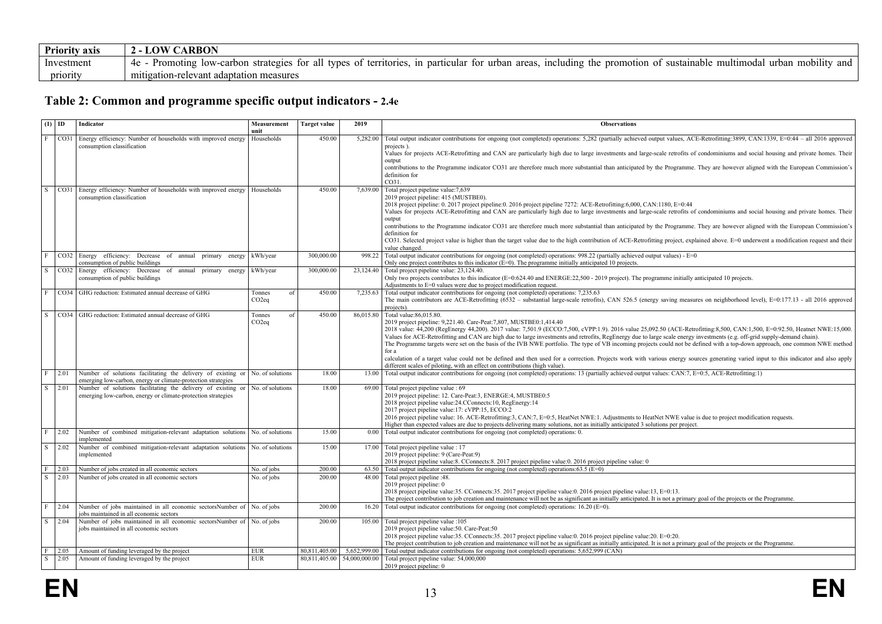| <b>Priority axis</b> | ARBON<br>LOW                                                                                                                                                                                                                             |
|----------------------|------------------------------------------------------------------------------------------------------------------------------------------------------------------------------------------------------------------------------------------|
| Investment           | $\cdot\cdot\cdot$<br>4e<br>areas<br>. mobility<br>promotion<br>territories. *<br>and<br>Promoting<br>types of .<br>urbar<br>eluding<br>strategies.<br>all<br>in particular<br>urban<br>low-carbon<br>tor<br>tor<br>ustainable<br>ΩT<br>ш |
| priority             | mitigation-relevant adaptation measures                                                                                                                                                                                                  |

## **Table 2: Common and programme specific output indicators - 2.4e**

<span id="page-12-0"></span>

|                              | $(1)$ ID     | Indicator                                                                                                                                             | Measurement<br>unit                | <b>Target value</b>            | 2019                          | <b>Observations</b>                                                                                                                                                                                                                                                                                                                                      |
|------------------------------|--------------|-------------------------------------------------------------------------------------------------------------------------------------------------------|------------------------------------|--------------------------------|-------------------------------|----------------------------------------------------------------------------------------------------------------------------------------------------------------------------------------------------------------------------------------------------------------------------------------------------------------------------------------------------------|
| F                            | CO31         | Energy efficiency: Number of households with improved energy<br>consumption classification                                                            | Households                         | 450.00                         | 5.282.00                      | Total output indicator contributions for ongoing (not completed) operations: 5,282 (partially achieved output values, ACE-Retrofitting:3899, CAN:1339, E=0:44 - all 2016 approved<br>projects).                                                                                                                                                          |
|                              |              |                                                                                                                                                       |                                    |                                |                               | Values for projects ACE-Retrofitting and CAN are particularly high due to large investments and large-scale retrofits of condominiums and social housing and private homes. Their<br>output                                                                                                                                                              |
|                              |              |                                                                                                                                                       |                                    |                                |                               | contributions to the Programme indicator CO31 are therefore much more substantial than anticipated by the Programme. They are however aligned with the European Commission's<br>definition for<br>CO31.                                                                                                                                                  |
| $\overline{s}$               |              | CO31 Energy efficiency: Number of households with improved energy                                                                                     | Households                         | 450.00                         | 7,639.00                      | Total project pipeline value: 7,639                                                                                                                                                                                                                                                                                                                      |
|                              |              | consumption classification                                                                                                                            |                                    |                                |                               | 2019 project pipeline: 415 (MUSTBE0).<br>2018 project pipeline: 0. 2017 project pipeline: 0. 2016 project pipeline 7272: ACE-Retrofitting: 6,000, CAN: 1180, E=0:44                                                                                                                                                                                      |
|                              |              |                                                                                                                                                       |                                    |                                |                               | Values for projects ACE-Retrofitting and CAN are particularly high due to large investments and large-scale retrofits of condominiums and social housing and private homes. Their<br>output                                                                                                                                                              |
|                              |              |                                                                                                                                                       |                                    |                                |                               | contributions to the Programme indicator CO31 are therefore much more substantial than anticipated by the Programme. They are however aligned with the European Commission's                                                                                                                                                                             |
|                              |              |                                                                                                                                                       |                                    |                                |                               | definition for<br>CO31. Selected project value is higher than the target value due to the high contribution of ACE-Retrofitting project, explained above. E=0 underwent a modification request and their                                                                                                                                                 |
|                              |              |                                                                                                                                                       |                                    |                                |                               | value changed                                                                                                                                                                                                                                                                                                                                            |
| $\mathbf{F}$                 |              | CO32 Energy efficiency: Decrease of annual<br>primary<br>energy<br>consumption of public buildings                                                    | kWh/year                           | 300,000.00                     | 998.22                        | Total output indicator contributions for ongoing (not completed) operations: 998.22 (partially achieved output values) - $E=0$<br>Only one project contributes to this indicator $(E=0)$ . The programme initially anticipated 10 projects.                                                                                                              |
| l s                          | CO32         | Energy efficiency: Decrease of annual primary<br>energy                                                                                               | kWh/year                           | 300,000.00                     | 23,124.40                     | Total project pipeline value: 23,124.40.                                                                                                                                                                                                                                                                                                                 |
|                              |              | consumption of public buildings                                                                                                                       |                                    |                                |                               | Only two projects contributes to this indicator (E=0:624.40 and ENERGE:22,500 - 2019 project). The programme initially anticipated 10 projects.<br>Adjustments to E=0 values were due to project modification request.                                                                                                                                   |
| F                            |              | CO34   GHG reduction: Estimated annual decrease of GHG                                                                                                | of<br>Tonnes<br>CO2eq              | 450.00                         | 7,235.63                      | Total output indicator contributions for ongoing (not completed) operations: 7,235.63<br>The main contributors are ACE-Retrofitting (6532 - substantial large-scale retrofits), CAN 526.5 (energy saving measures on neighborhood level), E=0:177.13 - all 2016 approved                                                                                 |
|                              |              |                                                                                                                                                       |                                    |                                |                               | projects).                                                                                                                                                                                                                                                                                                                                               |
| S                            |              | CO34   GHG reduction: Estimated annual decrease of GHG                                                                                                | of<br>Tonnes<br>CO <sub>2</sub> eq | 450.00                         | 86,015.80                     | Total value: 86,015.80.<br>2019 project pipeline: 9,221.40. Care-Peat: 7,807, MUSTBE0:1,414.40                                                                                                                                                                                                                                                           |
|                              |              |                                                                                                                                                       |                                    |                                |                               | 2018 value: 44,200 (RegEnergy 44,200). 2017 value: 7,501.9 (ECCO:7,500, cVPP:1.9). 2016 value 25,092.50 (ACE-Retrofitting:8,500, CAN:1,500, E=0:92.50, Heatnet NWE:15,000.                                                                                                                                                                               |
|                              |              |                                                                                                                                                       |                                    |                                |                               | Values for ACE-Retrofitting and CAN are high due to large investments and retrofits, RegEnergy due to large scale energy investments (e.g. off-grid supply-demand chain).<br>The Programme targets were set on the basis of the IVB NWE portfolio. The type of VB incoming projects could not be defined with a top-down approach, one common NWE method |
|                              |              |                                                                                                                                                       |                                    |                                |                               | for a                                                                                                                                                                                                                                                                                                                                                    |
|                              |              |                                                                                                                                                       |                                    |                                |                               | calculation of a target value could not be defined and then used for a correction. Projects work with various energy sources generating varied input to this indicator and also apply<br>different scales of piloting, with an effect on contributions (high value).                                                                                     |
| l F                          | 2.01         | Number of solutions facilitating the delivery of existing or $\vert$ No. of solutions<br>emerging low-carbon, energy or climate-protection strategies |                                    | 18.00                          | 13.00                         | Total output indicator contributions for ongoing (not completed) operations: 13 (partially achieved output values: CAN:7, E=0:5, ACE-Retrofitting:1)                                                                                                                                                                                                     |
| $\overline{\mathbf{s}}$      | 2.01         | Number of solutions facilitating the delivery of existing or No. of solutions<br>emerging low-carbon, energy or climate-protection strategies         |                                    | 18.00                          | 69.00                         | Total project pipeline value : 69<br>2019 project pipeline: 12. Care-Peat:3, ENERGE:4, MUSTBE0:5                                                                                                                                                                                                                                                         |
|                              |              |                                                                                                                                                       |                                    |                                |                               | 2018 project pipeline value:24.CConnects:10, RegEnergy:14                                                                                                                                                                                                                                                                                                |
|                              |              |                                                                                                                                                       |                                    |                                |                               | 2017 project pipeline value:17: cVPP:15, ECCO:2<br>2016 project pipeline value: 16. ACE-Retrofitting:3, CAN:7, E=0:5, HeatNet NWE:1. Adjustments to HeatNet NWE value is due to project modification requests.                                                                                                                                           |
|                              |              |                                                                                                                                                       |                                    |                                |                               | Higher than expected values are due to projects delivering many solutions, not as initially anticipated 3 solutions per project.                                                                                                                                                                                                                         |
| l F                          | 2.02         | Number of combined mitigation-relevant adaptation solutions<br>implemented                                                                            | No. of solutions                   | 15.00                          | 0.00                          | Total output indicator contributions for ongoing (not completed) operations: 0.                                                                                                                                                                                                                                                                          |
| S                            | 2.02         | Number of combined mitigation-relevant adaptation solutions<br>implemented                                                                            | No. of solutions                   | 15.00                          | 17.00                         | Total project pipeline value : 17<br>2019 project pipeline: 9 (Care-Peat: 9)                                                                                                                                                                                                                                                                             |
|                              |              |                                                                                                                                                       |                                    |                                |                               | 2018 project pipeline value: 8. CConnects: 8. 2017 project pipeline value: 0. 2016 project pipeline value: 0                                                                                                                                                                                                                                             |
| F<br>$\overline{\mathbf{s}}$ | 2.03<br>2.03 | Number of jobs created in all economic sectors<br>Number of jobs created in all economic sectors                                                      | No. of jobs<br>No. of jobs         | 200.00<br>200.00               | 63.50<br>48.00                | Total output indicator contributions for ongoing (not completed) operations: $63.5$ (E=0)<br>Total project pipeline :48.                                                                                                                                                                                                                                 |
|                              |              |                                                                                                                                                       |                                    |                                |                               | 2019 project pipeline: 0                                                                                                                                                                                                                                                                                                                                 |
|                              |              |                                                                                                                                                       |                                    |                                |                               | 2018 project pipeline value:35. CConnects:35. 2017 project pipeline value:0. 2016 project pipeline value:13, E=0:13.<br>The project contribution to job creation and maintenance will not be as significant as initially anticipated. It is not a primary goal of the projects or the Programme.                                                         |
| l F.                         | 2 04         | Number of jobs maintained in all economic sectorsNumber of No. of jobs<br>jobs maintained in all economic sectors                                     |                                    | 200.00                         | 16.20                         | Total output indicator contributions for ongoing (not completed) operations: $16.20$ (E=0).                                                                                                                                                                                                                                                              |
| $\overline{s}$               | 2.04         | Number of jobs maintained in all economic sectorsNumber of No. of jobs<br>jobs maintained in all economic sectors                                     |                                    | 200.00                         | 105.00                        | Total project pipeline value :105<br>2019 project pipeline value:50. Care-Peat:50                                                                                                                                                                                                                                                                        |
|                              |              |                                                                                                                                                       |                                    |                                |                               | 2018 project pipeline value:35. CConnects:35. 2017 project pipeline value:0. 2016 project pipeline value:20. E=0:20.                                                                                                                                                                                                                                     |
|                              |              |                                                                                                                                                       |                                    |                                |                               | The project contribution to job creation and maintenance will not be as significant as initially anticipated. It is not a primary goal of the projects or the Programme.                                                                                                                                                                                 |
| l F.<br>l S                  | 2.05<br>2.05 | Amount of funding leveraged by the project<br>Amount of funding leveraged by the project                                                              | <b>EUR</b><br><b>EUR</b>           | 80.811.405.00<br>80,811,405.00 | 5.652.999.00<br>54,000,000.00 | Total output indicator contributions for ongoing (not completed) operations: 5,652,999 (CAN)<br>Total project pipeline value: 54,000,000                                                                                                                                                                                                                 |
|                              |              |                                                                                                                                                       |                                    |                                |                               | 2019 project pipeline: 0                                                                                                                                                                                                                                                                                                                                 |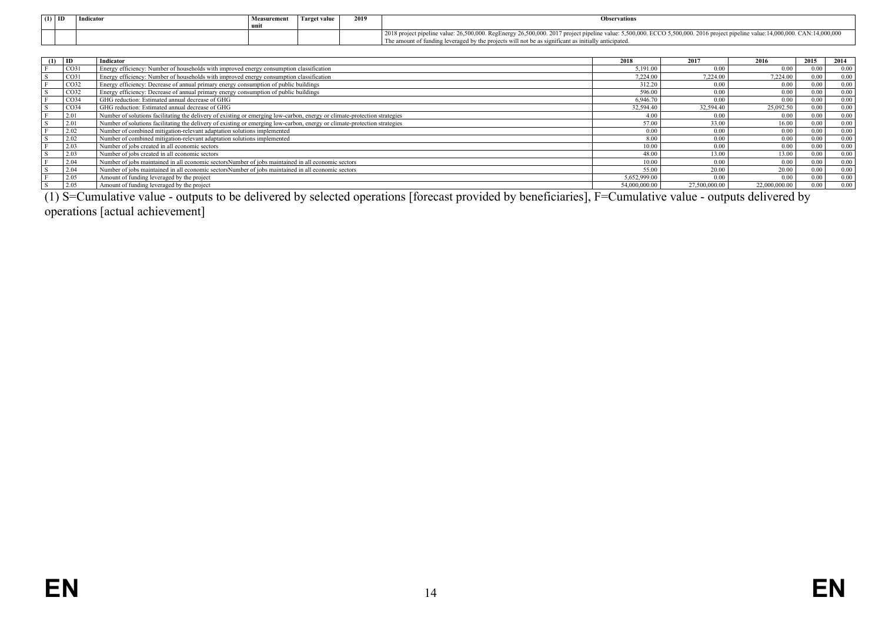| $(1)$ ID | Indicator | Measurement | Target value | 2019 | <b>Observations</b>                                                                                                                                                                                                                                                                    |
|----------|-----------|-------------|--------------|------|----------------------------------------------------------------------------------------------------------------------------------------------------------------------------------------------------------------------------------------------------------------------------------------|
|          |           |             |              |      | 2018 project pipeline value: 26,500,000. RegEnergy 26,500,000. 2017 project pipeline value: 5,500,000. ECCO 5,500,000. 2016 project pipeline value: 14,000,000. CAN:14,000,000<br>The amount of funding leveraged by the projects will not be as significant as initially anticipated. |

| (1) | $\blacksquare$   | Indicator                                                                                                                 | 2018          | 2017          | 2016          | 2015 | 2014 |
|-----|------------------|---------------------------------------------------------------------------------------------------------------------------|---------------|---------------|---------------|------|------|
|     | CO31             | Energy efficiency: Number of households with improved energy consumption classification                                   | 5.191.00      | 0.00          | 0.00          | 0.00 | 0.00 |
|     | CO <sub>31</sub> | Energy efficiency: Number of households with improved energy consumption classification                                   | 7.224.00      | 7.224.00      | 7,224.00      | 0.00 | 0.00 |
|     | CO <sub>32</sub> | Energy efficiency: Decrease of annual primary energy consumption of public buildings                                      | 312.20        | 0.00          | 0.00          | 0.00 | 0.00 |
|     | CO <sub>32</sub> | Energy efficiency: Decrease of annual primary energy consumption of public buildings                                      | 596.00        | 0.00          | 0.00          | 0.00 | 0.00 |
|     | CO <sub>34</sub> | GHG reduction: Estimated annual decrease of GHG                                                                           | 6.946.70      | 0.00          | 0.00          | 0.00 | 0.00 |
|     | CO <sub>34</sub> | GHG reduction: Estimated annual decrease of GHG                                                                           | 32.594.40     | 32.594.40     | 25,092.50     | 0.00 | 0.00 |
|     | 2.01             | Number of solutions facilitating the delivery of existing or emerging low-carbon, energy or climate-protection strategies | 4.00          | 0.00          | 0.00          | 0.00 | 0.00 |
|     | 2.01             | Number of solutions facilitating the delivery of existing or emerging low-carbon, energy or climate-protection strategies | 57.00         | 33.00         | 16.00         | 0.00 | 0.00 |
|     | 2.02             | Number of combined mitigation-relevant adaptation solutions implemented                                                   | 0.00          | 0.00          | 0.00          | 0.00 | 0.00 |
|     | 2.02             | Number of combined mitigation-relevant adaptation solutions implemented                                                   | 8.00          | 0.00          | 0.00          | 0.00 | 0.00 |
|     | 2.03             | Number of jobs created in all economic sectors                                                                            | 10.00         | 0.00          | 0.00          | 0.00 | 0.00 |
|     | 2.03             | Number of jobs created in all economic sectors                                                                            | 48.00         | 13.00         | 13.00         | 0.00 | 0.00 |
|     | 2.04             | Number of jobs maintained in all economic sectors Number of jobs maintained in all economic sectors                       | 10.00         | 0.00          | 0.00          | 0.00 | 0.00 |
|     | 2.04             | Number of jobs maintained in all economic sectors Number of jobs maintained in all economic sectors                       | 55.00         | 20.00         | 20.00         | 0.00 | 0.00 |
|     | 2.05             | Amount of funding leveraged by the project                                                                                | 5,652,999.00  | 0.00          | 0.00          | 0.00 | 0.00 |
|     | 2.05             | Amount of funding leveraged by the project                                                                                | 54,000,000.00 | 27,500,000.00 | 22,000,000.00 | 0.00 | 0.00 |

(1) S=Cumulative value - outputs to be delivered by selected operations [forecast provided by beneficiaries], F=Cumulative value - outputs delivered by operations [actual achievement]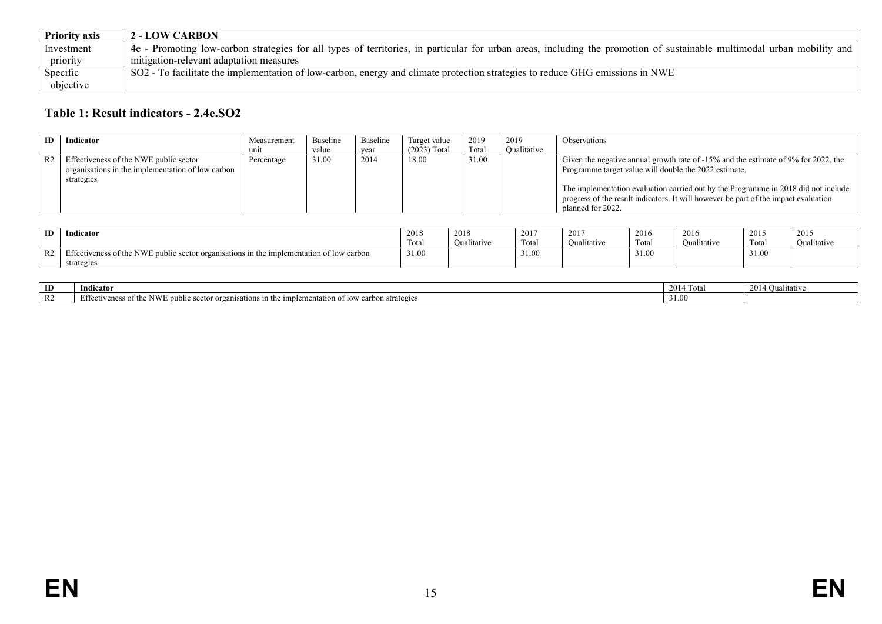| <b>Priority axis</b> | <b>2 - LOW CARBON</b>                                                                                                                                                  |
|----------------------|------------------------------------------------------------------------------------------------------------------------------------------------------------------------|
| Investment           | 4e - Promoting low-carbon strategies for all types of territories, in particular for urban areas, including the promotion of sustainable multimodal urban mobility and |
| priority             | mitigation-relevant adaptation measures                                                                                                                                |
| Specific             | SO2 - To facilitate the implementation of low-carbon, energy and climate protection strategies to reduce GHG emissions in NWE                                          |
| objective            |                                                                                                                                                                        |

# **Table 1: Result indicators - 2.4e.SO2**

| <b>ID</b>      | Indicator                                                                                                 | Measurement | Baseline | Baseline | Target value   | 2019  | 2019        | <b>Observations</b>                                                                                                                                                                                                                                                                                                                              |
|----------------|-----------------------------------------------------------------------------------------------------------|-------------|----------|----------|----------------|-------|-------------|--------------------------------------------------------------------------------------------------------------------------------------------------------------------------------------------------------------------------------------------------------------------------------------------------------------------------------------------------|
|                |                                                                                                           | unit        | value    | year     | $(2023)$ Total | Total | Qualitative |                                                                                                                                                                                                                                                                                                                                                  |
| R <sub>2</sub> | Effectiveness of the NWE public sector<br>organisations in the implementation of low carbon<br>strategies | Percentage  | 31.00    | 2014     | 18.00          | 31.00 |             | Given the negative annual growth rate of $-15\%$ and the estimate of 9% for 2022, the<br>Programme target value will double the 2022 estimate.<br>The implementation evaluation carried out by the Programme in 2018 did not include<br>progress of the result indicators. It will however be part of the impact evaluation<br>planned for 2022. |

| ID                     | indicator                                                                                                        | 2018  | 2018        | 201            | 2017       | 2016  | 2016                    | 2015  | 2015               |
|------------------------|------------------------------------------------------------------------------------------------------------------|-------|-------------|----------------|------------|-------|-------------------------|-------|--------------------|
|                        |                                                                                                                  | Total | Oualitative | CITY.<br>Total | Quantative | Total | $\cdots$<br>Oualitative | Tota. | <b>Qualitative</b> |
| D <sub>2</sub><br>1\ 4 | $\mathbf{a}$<br>ffectiveness of the NWF<br>$\pm$ public sector organisations in the implementation of low carbon | 31.00 |             | 31.00          |            | 21.V  |                         | 31.00 |                    |
|                        | strategies                                                                                                       |       |             |                |            |       |                         |       |                    |

<span id="page-14-0"></span>

| ID     | Indicator                                                                                                                                                                                          | 20 I<br>1 otal | 2014<br><b>Oualitative</b> |
|--------|----------------------------------------------------------------------------------------------------------------------------------------------------------------------------------------------------|----------------|----------------------------|
| $\sim$ | <b>Effectiver</b><br><b>A TEE 7T</b><br>the implementation of low.<br>. public :<br>n strategies<br>organ <sup>.</sup><br>" veness of<br>sector .<br>onisations<br>carbon<br>IN VV<br><u>vi ur</u> | 31.00          |                            |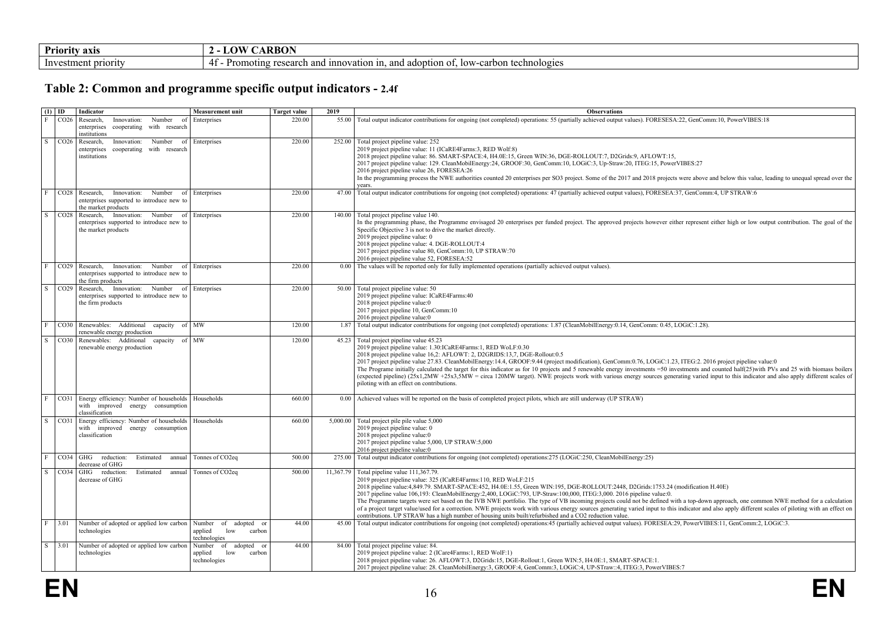| <b>Priority</b> .<br>axı: | <b>RRON</b><br>$\mathbf{a}$<br>.                                                                                                        |
|---------------------------|-----------------------------------------------------------------------------------------------------------------------------------------|
| - Inv<br>priority<br>10 T | hnologies<br>ש נ<br>coopr<br>10W<br>nnovation in<br>iontion of.<br>$\sim$<br>anc<br>itins<br>$\overline{\phantom{a}}$<br><b>GUN</b><br> |

## **Table 2: Common and programme specific output indicators - 2.4f**

<span id="page-15-0"></span>

| $(1)$ ID                |                  | Indicator                                                                                                  | <b>Measurement unit</b>                                          | <b>Target value</b> | 2019      | <b>Observations</b>                                                                                                                                                                                                                                                                                                                                                                                                                                                                                                                                                                                                                                                                                                                                                                                                                                                             |
|-------------------------|------------------|------------------------------------------------------------------------------------------------------------|------------------------------------------------------------------|---------------------|-----------|---------------------------------------------------------------------------------------------------------------------------------------------------------------------------------------------------------------------------------------------------------------------------------------------------------------------------------------------------------------------------------------------------------------------------------------------------------------------------------------------------------------------------------------------------------------------------------------------------------------------------------------------------------------------------------------------------------------------------------------------------------------------------------------------------------------------------------------------------------------------------------|
| $\mathbf{F}$            | CO <sub>26</sub> | Research,<br>Innovation:<br>Number<br>enterprises<br>cooperating with research<br>institutions             | Enterprises                                                      | 220.00              | 55.00     | Total output indicator contributions for ongoing (not completed) operations: 55 (partially achieved output values). FORESESA:22, GenComm:10, PowerVIBES:18                                                                                                                                                                                                                                                                                                                                                                                                                                                                                                                                                                                                                                                                                                                      |
| S                       |                  | CO26 Research,<br>Innovation:<br>Number<br>cooperating with research<br>enterprises<br>institutions        | of Enterprises                                                   | 220.00              |           | 252.00 Total project pipeline value: 252<br>2019 project pipeline value: 11 (ICaRE4Farms:3, RED Wolf:8)<br>2018 project pipeline value: 86. SMART-SPACE:4, H4.0E:15, Green WIN:36, DGE-ROLLOUT:7, D2Grids:9, AFLOWT:15,<br>2017 project pipeline value: 129. CleanMobilEnergy:24, GROOF:30, GenComm:10, LOGiC:3, Up-Straw:20, ITEG:15, PowerVIBES:27<br>2016 project pipeline value 26, FORESEA:26<br>In the programming process the NWE authorities counted 20 enterprises per SO3 project. Some of the 2017 and 2018 projects were above and below this value, leading to unequal spread over the<br>years.                                                                                                                                                                                                                                                                   |
| $\mathbf{F}$            | CO <sub>28</sub> | Research,<br>Innovation:<br>Number<br>enterprises supported to introduce new to<br>the market products     | of Enterprises                                                   | 220.00              | 47.00     | Total output indicator contributions for ongoing (not completed) operations: 47 (partially achieved output values), FORESEA:37, GenComm:4, UP STRAW:6                                                                                                                                                                                                                                                                                                                                                                                                                                                                                                                                                                                                                                                                                                                           |
| $\overline{\mathbf{s}}$ | CO28             | Research, Innovation:<br>Number<br>enterprises supported to introduce new to<br>the market products        | of Enterprises                                                   | 220.00              | 140.00    | Total project pipeline value 140.<br>In the programming phase, the Programme envisaged 20 enterprises per funded project. The approved projects however either represent either high or low output contribution. The goal of the<br>Specific Objective 3 is not to drive the market directly.<br>2019 project pipeline value: 0<br>2018 project pipeline value: 4. DGE-ROLLOUT:4<br>2017 project pipeline value 80, GenComm:10, UP STRAW:70<br>2016 project pipeline value 52, FORESEA:52                                                                                                                                                                                                                                                                                                                                                                                       |
| $\mathbf{F}$            | CO <sub>29</sub> | Research,<br>Innovation:<br>Number<br>enterprises supported to introduce new to<br>the firm products       | of Enterprises                                                   | 220.00              | 0.00      | The values will be reported only for fully implemented operations (partially achieved output values).                                                                                                                                                                                                                                                                                                                                                                                                                                                                                                                                                                                                                                                                                                                                                                           |
| S                       | CO <sub>29</sub> | Research, Innovation: Number<br>of<br>enterprises supported to introduce new to<br>the firm products       | Enterprises                                                      | 220.00              |           | 50.00 Total project pipeline value: 50<br>2019 project pipeline value: ICaRE4Farms:40<br>2018 project pipeline value:0<br>2017 project pipeline 10, GenComm:10<br>2016 project pipeline value:0                                                                                                                                                                                                                                                                                                                                                                                                                                                                                                                                                                                                                                                                                 |
| F                       |                  | CO30 Renewables: Additional capacity of MW<br>renewable energy production                                  |                                                                  | 120.00              | 1.87      | Total output indicator contributions for ongoing (not completed) operations: 1.87 (CleanMobilEnergy:0.14, GenComm: 0.45, LOGiC:1.28).                                                                                                                                                                                                                                                                                                                                                                                                                                                                                                                                                                                                                                                                                                                                           |
| $\overline{s}$          |                  | CO30 Renewables: Additional capacity of MW<br>renewable energy production                                  |                                                                  | 120.00              | 45.23     | Total project pipeline value 45.23<br>2019 project pipeline value: 1.30:ICaRE4Farms:1, RED WoLF:0.30<br>2018 project pipeline value 16,2: AFLOWT: 2, D2GRIDS:13,7, DGE-Rollout:0.5<br>2017 project pipeline value 27.83. CleanMobilEnergy:14.4, GROOF:9.44 (project modification), GenComm:0.76, LOGiC:1.23, ITEG:2. 2016 project pipeline value:0<br>The Programe initially calculated the target for this indicator as for 10 projects and 5 renewable energy investments =50 investments and counted half(25)with PVs and 25 with biomass boilers<br>(expected pipeline) (25x1,2MW +25x3,5MW = circa 120MW target). NWE projects work with various energy sources generating varied input to this indicator and also apply different scales of<br>piloting with an effect on contributions.                                                                                  |
| $\mathbf{F}$            | CO31             | Energy efficiency: Number of households Households<br>with improved energy consumption<br>classification   |                                                                  | 660.00              |           | 0.00 Achieved values will be reported on the basis of completed project pilots, which are still underway (UP STRAW)                                                                                                                                                                                                                                                                                                                                                                                                                                                                                                                                                                                                                                                                                                                                                             |
| S                       | $\cos$           | Energy efficiency: Number of households   Households<br>with improved energy consumption<br>classification |                                                                  | 660.00              | 5,000.00  | Total project pile pile value 5,000<br>2019 project pipeline value: 0<br>2018 project pipeline value:0<br>2017 project pipeline value 5,000, UP STRAW:5,000<br>2016 project pipeline value:0                                                                                                                                                                                                                                                                                                                                                                                                                                                                                                                                                                                                                                                                                    |
|                         |                  | $CO34$ GHG reduction:<br>Estimated<br>annual<br>decrease of GHG                                            | Tonnes of CO2eq                                                  | 500.00              | 275.00    | Total output indicator contributions for ongoing (not completed) operations: 275 (LOGiC:250, CleanMobilEnergy:25)                                                                                                                                                                                                                                                                                                                                                                                                                                                                                                                                                                                                                                                                                                                                                               |
| S                       |                  | $CO34$ GHG reduction:<br>Estimated<br>annual<br>decrease of GHG                                            | Tonnes of CO <sub>2eq</sub>                                      | 500.00              | 11,367.79 | Total pipeline value 111,367.79.<br>2019 project pipeline value: 325 (ICaRE4Farms: 110, RED WoLF:215<br>2018 pipeline value:4,849.79. SMART-SPACE:452, H4.0E:1.55, Green WIN:195, DGE-ROLLOUT:2448, D2Grids:1753.24 (modification H.40E)<br>2017 pipeline value 106,193: CleanMobilEnergy:2,400, LOGiC:793, UP-Straw:100,000, ITEG:3,000. 2016 pipeline value:0.<br>The Programme targets were set based on the IVB NWE portfolio. The type of VB incoming projects could not be defined with a top-down approach, one common NWE method for a calculation<br>of a project target value/used for a correction. NWE projects work with various energy sources generating varied input to this indicator and also apply different scales of piloting with an effect on<br>contributions. UP STRAW has a high number of housing units built/refurbished and a CO2 reduction value. |
| $\mathbf{F}$            | 3.01             | Number of adopted or applied low carbon<br>technologies                                                    | Number of adopted or<br>applied<br>low<br>carbon<br>technologies | 44.00               | 45.00     | Total output indicator contributions for ongoing (not completed) operations:45 (partially achieved output values). FORESEA:29, PowerVIBES:11, GenComm:2, LOGiC:3.                                                                                                                                                                                                                                                                                                                                                                                                                                                                                                                                                                                                                                                                                                               |
| S.                      | $3.01$           | Number of adopted or applied low carbon<br>technologies                                                    | Number of adopted or<br>low<br>carbon<br>applied<br>technologies | 44.00               | 84.00     | Total project pipeline value: 84.<br>2019 project pipeline value: 2 (ICare4Farms:1, RED WolF:1)<br>2018 project pipeline value: 26. AFLOWT:3, D2Grids:15, DGE-Rollout:1, Green WIN:5, H4.0E:1, SMART-SPACE:1.<br>2017 project pipeline value: 28. CleanMobilEnergy:3, GROOF:4, GenComm:3, LOGiC:4, UP-STraw::4, ITEG:3, PowerVIBES:7                                                                                                                                                                                                                                                                                                                                                                                                                                                                                                                                            |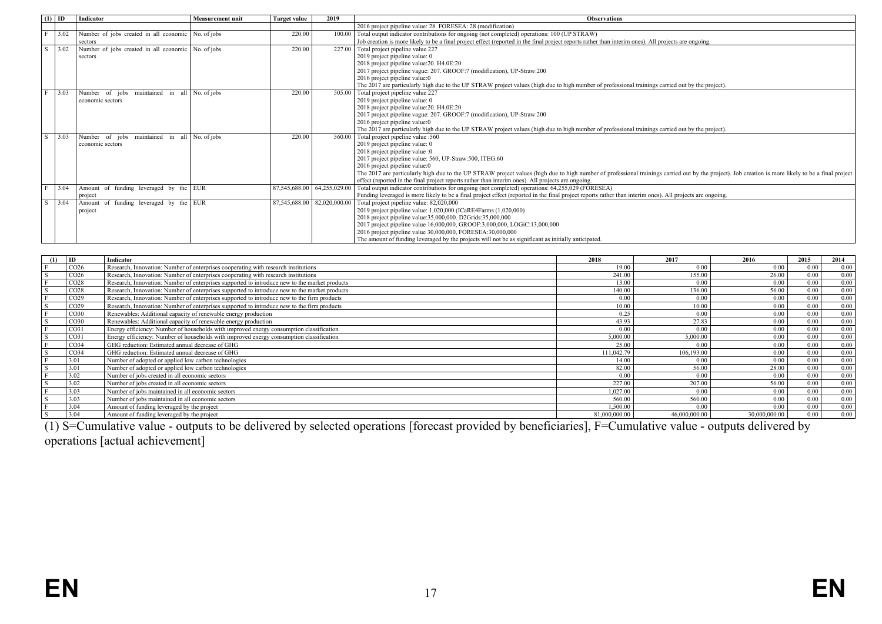|    | $(1)$ ID | Indicator                                          | <b>Measurement unit</b> | <b>Target value</b> | 2019                        | <b>Observations</b>                                                                                                                                                                                 |
|----|----------|----------------------------------------------------|-------------------------|---------------------|-----------------------------|-----------------------------------------------------------------------------------------------------------------------------------------------------------------------------------------------------|
|    |          |                                                    |                         |                     |                             | 2016 project pipeline value: 28. FORESEA: 28 (modification)                                                                                                                                         |
| F  | 3.02     | Number of jobs created in all economic No. of jobs |                         | 220.00              |                             | 100.00 Total output indicator contributions for ongoing (not completed) operations: 100 (UP STRAW)                                                                                                  |
|    |          | sectors                                            |                         |                     |                             | Job creation is more likely to be a final project effect (reported in the final project reports rather than interim ones). All projects are ongoing.                                                |
| S  | 3.02     | Number of jobs created in all economic No. of jobs |                         | 220.00              |                             | 227.00 Total project pipeline value 227                                                                                                                                                             |
|    |          | sectors                                            |                         |                     |                             | 2019 project pipeline value: 0                                                                                                                                                                      |
|    |          |                                                    |                         |                     |                             | 2018 project pipeline value: 20. H4.0E: 20                                                                                                                                                          |
|    |          |                                                    |                         |                     |                             | 2017 project pipeline vague: 207. GROOF:7 (modification), UP-Straw:200                                                                                                                              |
|    |          |                                                    |                         |                     |                             | 2016 project pipeline value:0                                                                                                                                                                       |
|    |          |                                                    |                         |                     |                             | The 2017 are particularly high due to the UP STRAW project values (high due to high number of professional trainings carried out by the project).                                                   |
|    | 3.03     | Number of jobs<br>maintained in all No of jobs     |                         | 220.00              |                             | 505.00 Total project pipeline value 227                                                                                                                                                             |
|    |          | economic sectors                                   |                         |                     |                             | 2019 project pipeline value: 0                                                                                                                                                                      |
|    |          |                                                    |                         |                     |                             | 2018 project pipeline value: 20. H4.0E: 20                                                                                                                                                          |
|    |          |                                                    |                         |                     |                             | 2017 project pipeline vague: 207. GROOF:7 (modification), UP-Straw:200                                                                                                                              |
|    |          |                                                    |                         |                     |                             | 2016 project pipeline value:0                                                                                                                                                                       |
|    |          |                                                    |                         |                     |                             | The 2017 are particularly high due to the UP STRAW project values (high due to high number of professional trainings carried out by the project).                                                   |
| S  | 3.03     | Number of jobs<br>maintained in all No. of jobs    |                         | 220.00              |                             | 560.00 Total project pipeline value :560                                                                                                                                                            |
|    |          | economic sectors                                   |                         |                     |                             | 2019 project pipeline value: 0                                                                                                                                                                      |
|    |          |                                                    |                         |                     |                             | 2018 project pipeline value :0                                                                                                                                                                      |
|    |          |                                                    |                         |                     |                             | 2017 project pipeline value: 560, UP-Straw: 500, ITEG: 60                                                                                                                                           |
|    |          |                                                    |                         |                     |                             | 2016 project pipeline value:0                                                                                                                                                                       |
|    |          |                                                    |                         |                     |                             | The 2017 are particularly high due to the UP STRAW project values (high due to high number of professional trainings carried out by the project). Job creation is more likely to be a final project |
|    |          |                                                    |                         |                     |                             | effect (reported in the final project reports rather than interim ones). All projects are ongoing.                                                                                                  |
|    | 3.04     | Amount of funding leveraged by the EUR             |                         |                     |                             | 87,545,688.00 64,255,029.00 Total output indicator contributions for ongoing (not completed) operations: 64,255,029 (FORESEA)                                                                       |
|    |          | project                                            |                         |                     |                             | Funding leveraged is more likely to be a final project effect (reported in the final project reports rather than interim ones). All projects are ongoing.                                           |
| S. | 3.04     | of funding leveraged by the EUR<br>Amount          |                         |                     | 87,545,688.00 82,020,000.00 | Total project pipeline value: 82,020,000                                                                                                                                                            |
|    |          | project                                            |                         |                     |                             | 2019 project pipeline value: 1,020,000 (ICaRE4Farms (1,020,000)                                                                                                                                     |
|    |          |                                                    |                         |                     |                             | 2018 project pipeline value:35,000,000. D2Grids:35,000,000                                                                                                                                          |
|    |          |                                                    |                         |                     |                             | 2017 project pipeline value 16,000,000, GROOF:3,000,000, LOGiC:13,000,000                                                                                                                           |
|    |          |                                                    |                         |                     |                             | 2016 project pipeline value 30,000,000, FORESEA:30,000,000                                                                                                                                          |
|    |          |                                                    |                         |                     |                             | The amount of funding leveraged by the projects will not be as significant as initially anticipated.                                                                                                |

| (1) | ID               | Indicator                                                                                     | 2018          | 2017          | 2016          | 2015 | 2014 |
|-----|------------------|-----------------------------------------------------------------------------------------------|---------------|---------------|---------------|------|------|
|     | CO <sub>26</sub> | Research, Innovation: Number of enterprises cooperating with research institutions            | 19 00         | 0.00          | 0.00          | 0.00 | 0.00 |
|     | CO <sub>26</sub> | Research, Innovation: Number of enterprises cooperating with research institutions            | 241.00        | 155.00        | 26.00         | 0.00 | 0.00 |
|     | CO <sub>28</sub> | Research, Innovation: Number of enterprises supported to introduce new to the market products | 13.00         | 0.00          | 0.00          | 0.00 | 0.00 |
|     | CO <sub>28</sub> | Research, Innovation: Number of enterprises supported to introduce new to the market products | 140.00        | 136.00        | 56.00         | 0.00 | 0.00 |
|     | CO <sub>29</sub> | Research, Innovation: Number of enterprises supported to introduce new to the firm products   | 0.00          | 0.00          | 0.00          | 0.00 | 0.00 |
|     | CO <sub>29</sub> | Research, Innovation: Number of enterprises supported to introduce new to the firm products   | 10.00         | 10.00         | 0.00          | 0.00 | 0.00 |
|     | CO <sub>30</sub> | Renewables: Additional capacity of renewable energy production                                | 0.25          | 0.00          | 0.00          | 0.00 | 0.00 |
|     | CO30             | Renewables: Additional capacity of renewable energy production                                | 43.93         | 27.83         | 0.00          | 0.00 | 0.00 |
|     | CO <sub>31</sub> | Energy efficiency: Number of households with improved energy consumption classification       | 0.00          | 0.00          | 0.00          | 0.00 | 0.00 |
|     | CO <sub>31</sub> | Energy efficiency: Number of households with improved energy consumption classification       | 5.000.00      | 5.000.00      | 0.00          | 0.00 | 0.00 |
|     | CO <sub>34</sub> | GHG reduction: Estimated annual decrease of GHG                                               | 25.00         | 0.00          | 0.00          | 0.00 | 0.00 |
|     | CO <sub>34</sub> | GHG reduction: Estimated annual decrease of GHG                                               | 111.042.79    | 106.193.00    | 0.00          | 0.00 | 0.00 |
|     | 3.01             | Number of adopted or applied low carbon technologies                                          | 14.00         | 0.00          | 0.00          | 0.00 | 0.00 |
|     | 3.01             | Number of adopted or applied low carbon technologies                                          | 82.00         | 56.00         | 28.00         | 0.00 | 0.00 |
|     | 3.02             | Number of jobs created in all economic sectors                                                | 0.00          | 0.00          | 0.00          | 0.00 | 0.00 |
|     | 3.02             | Number of jobs created in all economic sectors                                                | 227.00        | 207.00        | 56.00         | 0.00 | 0.00 |
|     | 3.03             | Number of jobs maintained in all economic sectors                                             | 1.027.00      | 0.00          | 0.00          | 0.00 | 0.00 |
|     | 3.03             | Number of jobs maintained in all economic sectors                                             | 560.00        | 560.00        | 0.00          | 0.00 | 0.00 |
|     | 3.04             | Amount of funding leveraged by the project                                                    | .500.00       | 0.00          | 0.00          | 0.00 | 0.00 |
|     | 3.04             | Amount of funding leveraged by the project                                                    | 81.000.000.00 | 46.000.000.00 | 30.000.000.00 | 0.00 | 0.00 |

(1) S=Cumulative value - outputs to be delivered by selected operations [forecast provided by beneficiaries], F=Cumulative value - outputs delivered by operations [actual achievement]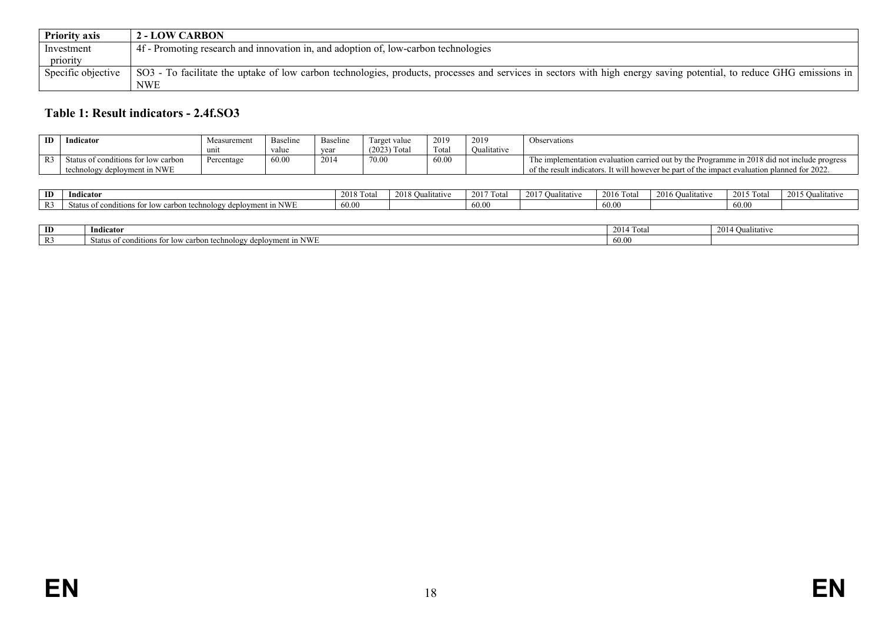| <b>Priority axis</b> | <b>2 - LOW CARBON</b>                                                                                                                                                |
|----------------------|----------------------------------------------------------------------------------------------------------------------------------------------------------------------|
| Investment           | 4f - Promoting research and innovation in, and adoption of, low-carbon technologies                                                                                  |
| priority             |                                                                                                                                                                      |
| Specific objective   | SO3 - To facilitate the uptake of low carbon technologies, products, processes and services in sectors with high energy saving potential, to reduce GHG emissions in |
|                      | <b>NWE</b>                                                                                                                                                           |

## **Table 1: Result indicators - 2.4f.SO3**

| ID | Indicator                           | Measuremen. | Baseline | Baseline | Target value   | 2019     | 2019        | Observations                                                                                 |
|----|-------------------------------------|-------------|----------|----------|----------------|----------|-------------|----------------------------------------------------------------------------------------------|
|    |                                     | unit        | value    | year     | $(2023)$ Total | control. | Oualitative |                                                                                              |
|    | Status of conditions for low carbon | Percentage  | 60.00    | 2014     | 70.00          | 60.00    |             | The implementation evaluation carried out by the Programme in 2018 did not include progress  |
|    | technology deployment in NWE        |             |          |          |                |          |             | of the result indicators. It will however be part of the impact evaluation planned for 2022. |

| ID                     | Indicator                                                                     | 2018 To<br>Tota | 2018 O<br>Qualitative | $2017$ Total | 2017<br>)ualıtatıve | 2016 To<br>$-+$<br>-i vu | $2016 \Omega$<br><b>Qualitative</b> | $12015$ T<br>Tota. | 2015 Qualitativ |
|------------------------|-------------------------------------------------------------------------------|-----------------|-----------------------|--------------|---------------------|--------------------------|-------------------------------------|--------------------|-----------------|
| $\mathbf{D}$<br>$\sim$ | ı NWE<br>carbon technology deployment<br>Status of conditions<br>as for low . | 60.00           |                       | 60.00        |                     | 60.00                    |                                     | 60.00              |                 |

<span id="page-17-0"></span>

| ID | $\mathbf{v}$<br>- 7<br>Indicator                                                                              | $\sim$<br>$\sim$ $\sim$<br>(014)<br>Tota. | 2014<br><b>Qualitative</b> |
|----|---------------------------------------------------------------------------------------------------------------|-------------------------------------------|----------------------------|
|    | . in NWF<br>Status of conditions for<br>carbon technology<br>an Lox<br>$\Delta$<br>$- - -$<br>$\cdots$ ucbic. | 60<br>UU.U.                               |                            |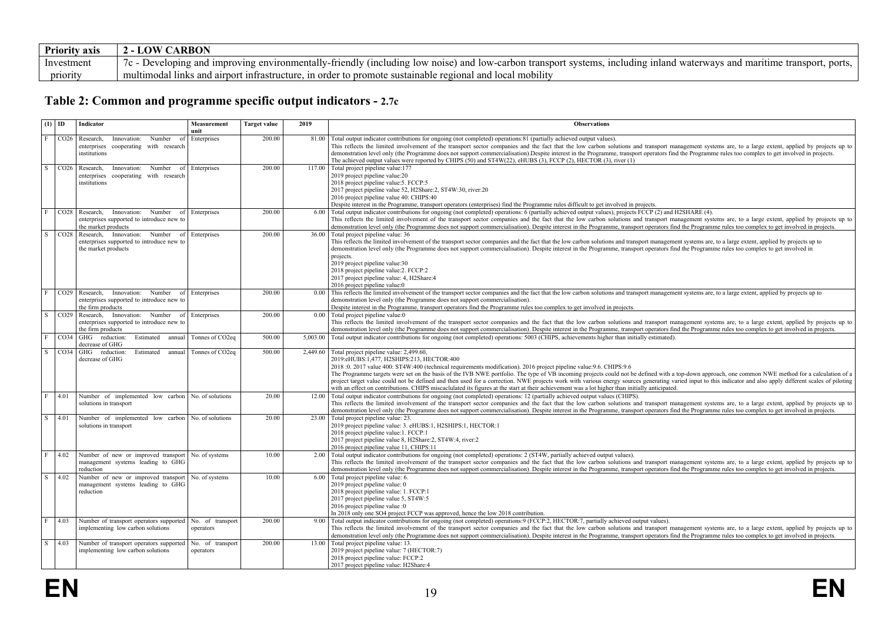| <b>Priority axis</b> | ARBON<br>- LOW                                                                                                                                                                                       |
|----------------------|------------------------------------------------------------------------------------------------------------------------------------------------------------------------------------------------------|
| Investment           | Developing and improving environmentally-friendly<br>svstems.<br>(including low noise).<br>and<br>ports.<br>) and low-carbon transport<br>. including inland waterways<br>maritime transport.<br>7 C |
| priority             | r to promote sustainable regional and local mobility<br>multimodal<br>ks and airport infrastructure.<br>in order<br>-links                                                                           |

## **Table 2: Common and programme specific output indicators - 2.7c**

<span id="page-18-0"></span>

|                | $(1)$ ID         | Indicator                                                                                                       | Measurement<br>unit           | <b>Target value</b> | 2019     | <b>Observations</b>                                                                                                                                                                                                                                                                                                                                                                                                                                                                                                                                                                                                                                                                                                                                                                   |
|----------------|------------------|-----------------------------------------------------------------------------------------------------------------|-------------------------------|---------------------|----------|---------------------------------------------------------------------------------------------------------------------------------------------------------------------------------------------------------------------------------------------------------------------------------------------------------------------------------------------------------------------------------------------------------------------------------------------------------------------------------------------------------------------------------------------------------------------------------------------------------------------------------------------------------------------------------------------------------------------------------------------------------------------------------------|
| l F.           | CO <sub>26</sub> | Number of<br>Research,<br>Innovation:<br>enterprises cooperating with research<br>institutions                  | Enterprises                   | 200.00              | 81.00    | Total output indicator contributions for ongoing (not completed) operations: 81 (partially achieved output values).<br>This reflects the limited involvement of the transport sector companies and the fact that the low carbon solutions and transport management systems are, to a large extent, applied by projects up to<br>demonstration level only (the Programme does not support commercialisation). Despite interest in the Programme, transport operators find the Programme rules too complex to get involved in projects.<br>The achieved output values were reported by CHIPS (50) and ST4W(22), eHUBS (3), FCCP (2), HECTOR (3), river (1)                                                                                                                              |
| S              | CO <sub>26</sub> | Research.<br>Innovation:<br>Number<br><sub>of</sub><br>enterprises cooperating with research<br>institutions    | Enterprises                   | 200 00              | 11700    | Total project pipeline value: 177<br>2019 project pipeline value:20<br>2018 project pipeline value: 5. FCCP: 5<br>2017 project pipeline value 52, H2Share:2, ST4W:30, river:20<br>2016 project pipeline value 40: CHIPS:40<br>Despite interest in the Programme, transport operators (enterprises) find the Programme rules difficult to get involved in projects.                                                                                                                                                                                                                                                                                                                                                                                                                    |
| $\mathbf{F}$   | CO <sub>28</sub> | Research, Innovation: Number of<br>enterprises supported to introduce new to<br>the market products             | Enterprises                   | 200.00              | 6.00     | Total output indicator contributions for ongoing (not completed) operations: 6 (partially achieved output values), projects FCCP (2) and H2SHARE (4).<br>This reflects the limited involvement of the transport sector companies and the fact that the low carbon solutions and transport management systems are, to a large extent, applied by projects up to<br>demonstration level only (the Programme does not support commercialisation). Despite interest in the Programme, transport operators find the Programme rules too complex to get involved in projects.                                                                                                                                                                                                               |
| $\overline{S}$ | CO <sub>28</sub> | Research, Innovation: Number of Enterprises<br>enterprises supported to introduce new to<br>the market products |                               | 200.00              | 36.00    | Total project pipeline value: 36<br>This reflects the limited involvement of the transport sector companies and the fact that the low carbon solutions and transport management systems are, to a large extent, applied by projects up to<br>demonstration level only (the Programme does not support commercialisation). Despite interest in the Programme, transport operators find the Programme rules too complex to get involved in<br>projects.<br>2019 project pipeline value:30<br>2018 project pipeline value: 2. FCCP: 2<br>2017 project pipeline value: 4, H2Share: 4<br>2016 project pipeline value:0                                                                                                                                                                     |
| $\mathbf{F}$   | CO <sub>29</sub> | Innovation:<br>Number<br>Research.<br>of<br>enterprises supported to introduce new to<br>the firm products      | Enterprises                   | 200.00              | 0.00     | This reflects the limited involvement of the transport sector companies and the fact that the low carbon solutions and transport management systems are, to a large extent, applied by projects up to<br>demonstration level only (the Programme does not support commercialisation).<br>Despite interest in the Programme, transport operators find the Programme rules too complex to get involved in projects.                                                                                                                                                                                                                                                                                                                                                                     |
| S              | CO <sub>29</sub> | Research, Innovation: Number of<br>enterprises supported to introduce new to<br>the firm products               | Enterprises                   | 200.00              | 0.00     | Total project pipeline value:0<br>This reflects the limited involvement of the transport sector companies and the fact that the low carbon solutions and transport management systems are, to a large extent, applied by projects up to<br>demonstration level only (the Programme does not support commercialisation). Despite interest in the Programme, transport operators find the Programme rules too complex to get involved in projects.                                                                                                                                                                                                                                                                                                                                      |
| F              | CO <sub>34</sub> | GHG reduction:<br>Estimated<br>annual<br>decrease of GHG                                                        | Tonnes of CO <sub>2eq</sub>   | 500.00              | 5.003.00 | Total output indicator contributions for ongoing (not completed) operations: 5003 (CHIPS, achievements higher than initially estimated).                                                                                                                                                                                                                                                                                                                                                                                                                                                                                                                                                                                                                                              |
| S              | CO34             | GHG reduction:<br>Estimated<br>annual<br>decrease of GHG                                                        | Tonnes of CO2eg               | 500.00              | 2.449.60 | Total project pipeline value: 2,499.60,<br>2019:eHUBS:1,477, H2SHIPS:213, HECTOR:400<br>2018 :0. 2017 value 400: ST4W:400 (technical requirements modification). 2016 project pipeline value:9.6. CHIPS:9.6<br>The Programme targets were set on the basis of the IVB NWE portfolio. The type of VB incoming projects could not be defined with a top-down approach, one common NWE method for a calculation of a<br>project target value could not be defined and then used for a correction. NWE projects work with various energy sources generating varied input to this indicator and also apply different scales of piloting<br>with an effect on contributions. CHIPS miscaclulated its figures at the start at their achievement was a lot higher than initially anticipated. |
| $\mathbf{F}$   | 4.01             | Number of implemented low carbon No. of solutions<br>solutions in transport                                     |                               | 20.00               | 12.00    | Total output indicator contributions for ongoing (not completed) operations: 12 (partially achieved output values (CHIPS).<br>This reflects the limited involvement of the transport sector companies and the fact that the low carbon solutions and transport management systems are, to a large extent, applied by projects up to<br>demonstration level only (the Programme does not support commercialisation). Despite interest in the Programme, transport operators find the Programme rules too complex to get involved in projects.                                                                                                                                                                                                                                          |
| $\overline{s}$ | 4.01             | Number of implemented low carbon<br>solutions in transport                                                      | No. of solutions              | 20.00               | 23.00    | Total project pipeline value: 23.<br>2019 project pipeline value: 3. eHUBS:1, H2SHIPS:1, HECTOR:1<br>2018 project pipeline value:1. FCCP:1<br>2017 project pipeline value 8, H2Share:2, ST4W:4, river:2<br>2016 project pipeline value 11, CHIPS:11                                                                                                                                                                                                                                                                                                                                                                                                                                                                                                                                   |
| F              | 4.02             | Number of new or improved transport<br>management systems leading to GHG<br>reduction                           | No. of systems                | 10.00               | 2.00     | Total output indicator contributions for ongoing (not completed) operations: 2 (ST4W, partially achieved output values).<br>This reflects the limited involvement of the transport sector companies and the fact that the low carbon solutions and transport management systems are, to a large extent, applied by projects up to<br>demonstration level only (the Programme does not support commercialisation). Despite interest in the Programme, transport operators find the Programme rules too complex to get involved in projects.                                                                                                                                                                                                                                            |
| S              | 4.02             | Number of new or improved transport<br>management systems leading to GHG<br>reduction                           | No. of systems                | 1000                |          | 6.00 Total project pipeline value: 6.<br>2019 project pipeline value: 0<br>2018 project pipeline value: 1. FCCP:1<br>2017 project pipeline value 5, ST4W:5<br>2016 project pipeline value :0<br>In 2018 only one SO4 project FCCP was approved, hence the low 2018 contribution.                                                                                                                                                                                                                                                                                                                                                                                                                                                                                                      |
| F              | 4.03             | Number of transport operators supported<br>implementing low carbon solutions                                    | No. of transport<br>operators | 200.00              | 9.00     | Total output indicator contributions for ongoing (not completed) operations:9 (FCCP:2, HECTOR:7, partially achieved output values).<br>This reflects the limited involvement of the transport sector companies and the fact that the low carbon solutions and transport management systems are, to a large extent, applied by projects up to<br>demonstration level only (the Programme does not support commercialisation). Despite interest in the Programme, transport operators find the Programme rules too complex to get involved in projects.                                                                                                                                                                                                                                 |
| S.             | 4.03             | Number of transport operators supported<br>implementing low carbon solutions                                    | No. of transport<br>operators | 200.00              | 13.00    | Total project pipeline value: 13.<br>2019 project pipeline value: 7 (HECTOR:7)<br>2018 project pipeline value: FCCP:2<br>2017 project pipeline value: H2Share:4                                                                                                                                                                                                                                                                                                                                                                                                                                                                                                                                                                                                                       |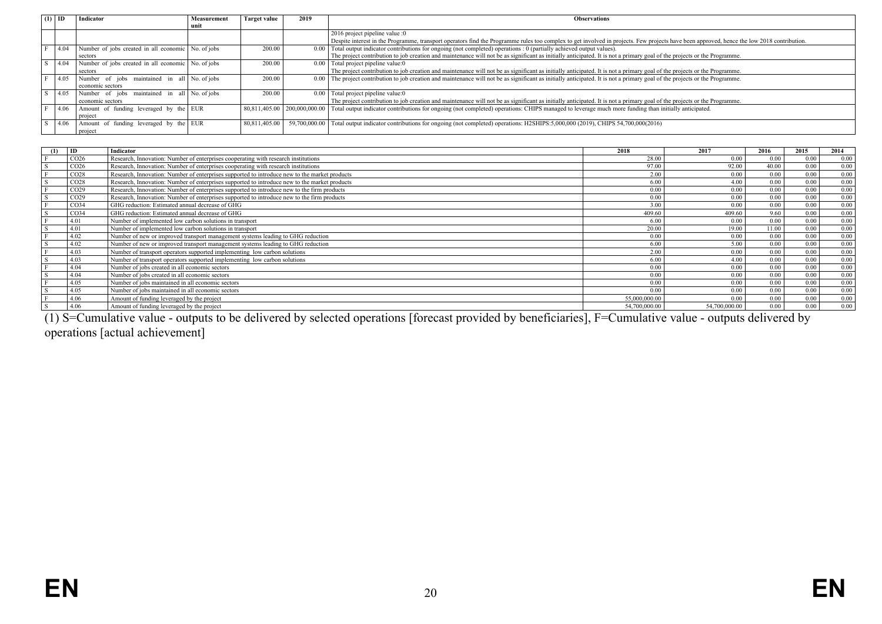| (1) |      | Indicator                                          | Measurement | Target value  | 2019          | <b>Observations</b>                                                                                                                                                                        |
|-----|------|----------------------------------------------------|-------------|---------------|---------------|--------------------------------------------------------------------------------------------------------------------------------------------------------------------------------------------|
|     |      |                                                    | unit        |               |               |                                                                                                                                                                                            |
|     |      |                                                    |             |               |               | 2016 project pipeline value :0                                                                                                                                                             |
|     |      |                                                    |             |               |               | Despite interest in the Programme, transport operators find the Programme rules too complex to get involved in projects. Few projects have been approved, hence the low 2018 contribution. |
|     | 4.04 | Number of jobs created in all economic No. of jobs |             | 200.00        | 0.00          | Total output indicator contributions for ongoing (not completed) operations : 0 (partially achieved output values).                                                                        |
|     |      | sectors                                            |             |               |               | The project contribution to job creation and maintenance will not be as significant as initially anticipated. It is not a primary goal of the projects or the Programme.                   |
|     | 4.04 | Number of jobs created in all economic No. of jobs |             | 200.00        |               | $0.00$ Total project pipeline value: 0                                                                                                                                                     |
|     |      | sectors                                            |             |               |               | The project contribution to job creation and maintenance will not be as significant as initially anticipated. It is not a primary goal of the projects or the Programme.                   |
|     | 4.05 | Number of jobs maintained in all No. of jobs       |             | 200.00        |               | 0.00 The project contribution to job creation and maintenance will not be as significant as initially anticipated. It is not a primary goal of the projects or the Programme.              |
|     |      | economic sectors                                   |             |               |               |                                                                                                                                                                                            |
|     | 4.05 | Number of jobs maintained in all No. of jobs       |             | 200.00        | 0.00          | Total project pipeline value:0                                                                                                                                                             |
|     |      | economic sectors                                   |             |               |               | The project contribution to job creation and maintenance will not be as significant as initially anticipated. It is not a primary goal of the projects or the Programme.                   |
|     | 4.06 | Amount of funding leveraged by the EUR             |             |               |               | 80,811,405.00   200,000,000.00   Total output indicator contributions for ongoing (not completed) operations: CHIPS managed to leverage much more funding than initially anticipated.      |
|     |      | project                                            |             |               |               |                                                                                                                                                                                            |
|     | 4.06 | Amount of funding leveraged by the EUR             |             | 80.811.405.00 | 59.700.000.00 | Total output indicator contributions for ongoing (not completed) operations: H2SHIPS:5,000,000 (2019), CHIPS 54,700,000(2016)                                                              |
|     |      | project                                            |             |               |               |                                                                                                                                                                                            |

| (1)    | ID               | Indicator                                                                                     | 2018          | 2017          | 2016  | 2015 | 2014 |
|--------|------------------|-----------------------------------------------------------------------------------------------|---------------|---------------|-------|------|------|
|        | CO <sub>26</sub> | Research, Innovation: Number of enterprises cooperating with research institutions            | 28.00         | 0.00          | 0.00  | 0.00 | 0.00 |
| S      | CO <sub>26</sub> | Research, Innovation: Number of enterprises cooperating with research institutions            | 97.00         | 92.00         | 40.00 | 0.00 | 0.00 |
|        | CO <sub>28</sub> | Research, Innovation: Number of enterprises supported to introduce new to the market products | 2.00          | 0.00          | 0.00  | 0.00 | 0.00 |
| S      | CO <sub>28</sub> | Research, Innovation: Number of enterprises supported to introduce new to the market products | 6.00          | 4.00          | 0.00  | 0.00 | 0.00 |
|        | CO <sub>29</sub> | Research, Innovation: Number of enterprises supported to introduce new to the firm products   | 0.00          | 0.00          | 0.00  | 0.00 | 0.00 |
| S      | CO <sub>29</sub> | Research, Innovation: Number of enterprises supported to introduce new to the firm products   | 0.00          | 0.00          | 0.00  | 0.00 | 0.00 |
|        | CO <sub>34</sub> | GHG reduction: Estimated annual decrease of GHG                                               | 3.00          | 0.00          | 0.00  | 0.00 | 0.00 |
|        | CO <sub>34</sub> | GHG reduction: Estimated annual decrease of GHG                                               | 409.60        | 409.60        | 9.60  | 0.00 | 0.00 |
|        | 4.01             | Number of implemented low carbon solutions in transport                                       | 6.00          | 0.00          | 0.00  | 0.00 | 0.00 |
|        | 4.01             | Number of implemented low carbon solutions in transport                                       | 20.00         | 19.00         | 11.00 | 0.00 | 0.00 |
|        | 4.02             | Number of new or improved transport management systems leading to GHG reduction               | 0.00          | 0.00          | 0.00  | 0.00 | 0.00 |
|        | 4.02             | Number of new or improved transport management systems leading to GHG reduction               | 6.00          | 5.00          | 0.00  | 0.00 | 0.00 |
|        | 4.03             | Number of transport operators supported implementing low carbon solutions                     | 2.00          | 0.00          | 0.00  | 0.00 | 0.00 |
|        | 4.03             | Number of transport operators supported implementing low carbon solutions                     | 6.00          | 4.00          | 0.00  | 0.00 | 0.00 |
|        | 4.04             | Number of jobs created in all economic sectors                                                | 0.00          | 0.00          | 0.00  | 0.00 | 0.00 |
| $\sim$ | 4.04             | Number of jobs created in all economic sectors                                                | 0.00          | 0.00          | 0.00  | 0.00 | 0.00 |
|        | 4.05             | Number of jobs maintained in all economic sectors                                             | 0.00          | 0.00          | 0.00  | 0.00 | 0.00 |
|        | 4.05             | Number of jobs maintained in all economic sectors                                             | 0.00          | 0.00          | 0.00  | 0.00 | 0.00 |
|        | 4.06             | Amount of funding leveraged by the project                                                    | 55,000,000.00 | 0.00          | 0.00  | 0.00 | 0.00 |
|        | 4.06             | Amount of funding leveraged by the project                                                    | 54,700,000.00 | 54,700,000.00 | 0.00  | 0.00 | 0.00 |

(1) S=Cumulative value - outputs to be delivered by selected operations [forecast provided by beneficiaries], F=Cumulative value - outputs delivered by operations [actual achievement]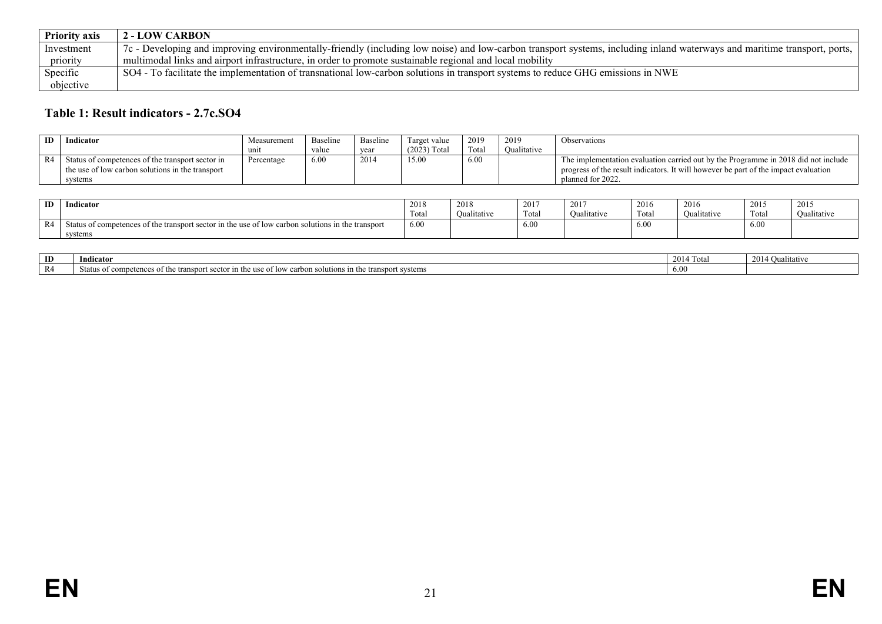| <b>Priority axis</b> | <b>2 - LOW CARBON</b>                                                                                                                                                    |
|----------------------|--------------------------------------------------------------------------------------------------------------------------------------------------------------------------|
| Investment           | 7c - Developing and improving environmentally-friendly (including low noise) and low-carbon transport systems, including inland waterways and maritime transport, ports, |
| priority             | multimodal links and airport infrastructure, in order to promote sustainable regional and local mobility                                                                 |
| Specific             | SO4 - To facilitate the implementation of transnational low-carbon solutions in transport systems to reduce GHG emissions in NWE                                         |
| objective            |                                                                                                                                                                          |

## **Table 1: Result indicators - 2.7c.SO4**

| <b>ID</b> | Indicator                                                                                                       | Measurement | <b>Baseline</b> | Baseline | Target value   | 2019  | 2019        | Observations                                                                                                                                                                                   |
|-----------|-----------------------------------------------------------------------------------------------------------------|-------------|-----------------|----------|----------------|-------|-------------|------------------------------------------------------------------------------------------------------------------------------------------------------------------------------------------------|
|           |                                                                                                                 | uni         | value           | vear     | $(2023)$ Total | Total | Oualitative |                                                                                                                                                                                                |
|           | Status of competences of the transport sector in<br>the use of low carbon solutions in the transport<br>systems | Percentage  | 6.00            | 2014     | 15.00          | 6.00  |             | The implementation evaluation carried out by the Programme in 2018 did not include<br>progress of the result indicators. It will however be part of the impact evaluation<br>planned for 2022. |

| ID | Indicato                                                                                                           | 2018<br>and the state of the state of | 2018      | 2017<br><b>COLOR</b> | 201'        | 2011<br><b>2010</b> | 2016<br>$\cdots$ | 2015             | 2015        |
|----|--------------------------------------------------------------------------------------------------------------------|---------------------------------------|-----------|----------------------|-------------|---------------------|------------------|------------------|-------------|
|    |                                                                                                                    | Tota.                                 | Ouaniativ | Total                | Oualitative | Total               | Qualitative      | Tota.            | Oualitative |
| ◟  | in the use of low carbon solutions in the transport<br>Status of competences of the transport sector is<br>systems | 6.00                                  |           | 6.00                 |             | 6.00                |                  | $\Delta$<br>0.00 |             |

<span id="page-20-0"></span>

| ID | Indicato                                                                                                                                                    | 2014<br>Total | aalitative<br>201 <sup>/</sup> |
|----|-------------------------------------------------------------------------------------------------------------------------------------------------------------|---------------|--------------------------------|
| R4 | sport systems<br><b><i><u>Francisco</u></i></b><br>Status<br>itions<br>$+b$<br>: transport<br>ъT<br>se of<br>ences of<br>` SOIII.<br>. secto<br>.<br>плете. | 0.01          |                                |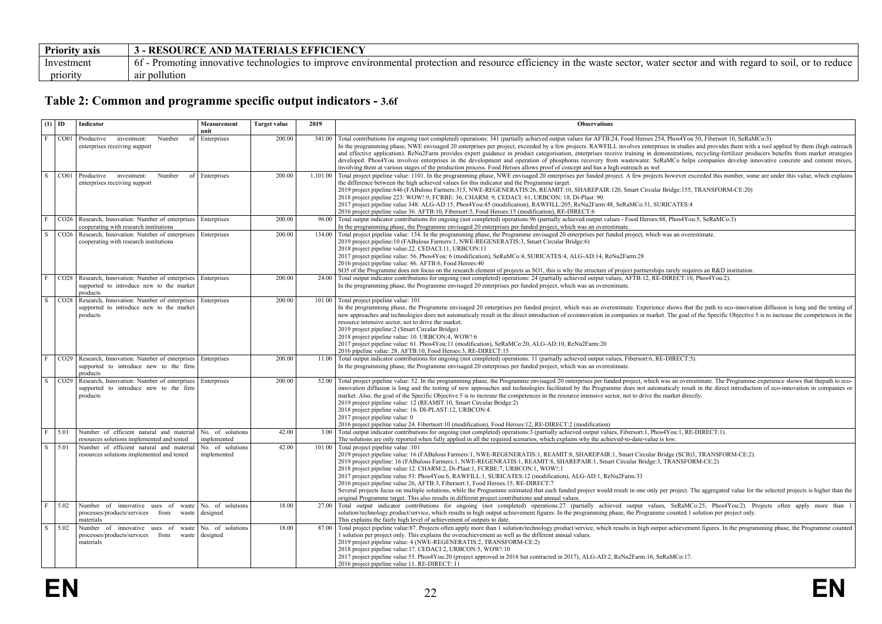| <b>Priority axis</b> | <b>3 - RESOURCE AND MATERIALS EFFICIENCY</b>                                                                                                                                      |
|----------------------|-----------------------------------------------------------------------------------------------------------------------------------------------------------------------------------|
| Investment           | - Promoting innovative technologies to improve environmental protection and resource efficiency in the waste sector, water sector and with regard to soil, or to reduce<br>$61 -$ |
| priority             | air pollution                                                                                                                                                                     |

## **Table 2: Common and programme specific output indicators - 3.6f**

<span id="page-21-0"></span>

|              | $(1)$ ID            | Indicator                                                                                                  | Measurement<br>unit             | <b>Target value</b> | 2019     | <b>Observations</b>                                                                                                                                                                                                                                                                                                                                                                                                                                                                                                                                                                                                                                                                                                                                                                                                                                                                                                              |
|--------------|---------------------|------------------------------------------------------------------------------------------------------------|---------------------------------|---------------------|----------|----------------------------------------------------------------------------------------------------------------------------------------------------------------------------------------------------------------------------------------------------------------------------------------------------------------------------------------------------------------------------------------------------------------------------------------------------------------------------------------------------------------------------------------------------------------------------------------------------------------------------------------------------------------------------------------------------------------------------------------------------------------------------------------------------------------------------------------------------------------------------------------------------------------------------------|
| $\mathbf F$  |                     | CO01 Productive investment:<br>Number<br>of<br>enterprises receiving support                               | Enterprises                     | 200.00              |          | 341.00 Total contributions for ongoing (not completed) operations: 341 (partially achieved output values for AFTB:24, Food Heroes 254, Phos4You 50, Fibersort 10, SeRaMCo:3).<br>In the programming phase, NWE envisaged 20 enterprises per project, exceeded by a few projects. RAWFILL involves enterprises in studies and provides them with a tool applied by them (high outreach<br>and effective application). ReNu2Farm provides expert guidance in product categorisation, enterprises receive training in demonstrations, recycling-fertilizer producers benefits from market strategies<br>developed. Phos4You involves enterprises in the development and operation of phosphorus recovery from wastewater. SeRaMCo helps companies develop innovative concrete and cement mixes,<br>involving them at various stages of the production process. Food Heroes allows proof of concept and has a high outreach as wel   |
| S            | CO01                | Productive<br>investment:<br>Number<br>enterprises receiving support                                       | of Enterprises                  | 200.00              | 1.101.00 | Total project pipeline value: 1101. In the programming phase, NWE envisaged 20 enterprises per funded project. A few projects however exceeded this number, some are under this value, which explains<br>the difference between the high achieved values for this indicator and the Programme target.<br>2019 project pipeline:646 (FABulous Farmers:315, NWE-REGENERATIS:26, REAMIT:10, SHAREPAIR:120, Smart Circular Bridge:155, TRANSFORM-CE:20)<br>2018 project pipeline 223: WOW!:9, FCRBE: 36, CHARM: 9, CEDACI: 61, URBCON: 18, Di-Plast: 90.<br>2017 project pipeline value 348: ALG-AD:15, Phos4You:45 (modification), RAWFILL:205, ReNu2Farm:48, SeRaMCo:31, SURICATES:4<br>2016 project pipeline value 36. AFTB:10, Fibersort:5, Food Heroes:15 (modification), RE-DIRECT:6                                                                                                                                           |
| F            |                     | CO26   Research, Innovation: Number of enterprises<br>cooperating with research institutions               | Enterprises                     | 200.00              |          | 96.00 Total output indicator contributions for ongoing (not completed) operations:96 (partially achieved output values - Food Heroes:88, Phos4You:5, SeRaMCo:3)<br>In the programming phase, the Programme envisaged 20 enterprises per funded project, which was an overestimate.                                                                                                                                                                                                                                                                                                                                                                                                                                                                                                                                                                                                                                               |
| S            | CO <sub>26</sub>    | Research, Innovation: Number of enterprises   Enterprises<br>cooperating with research institutions        |                                 | 200.00              | 134.00   | Total project pipeline value: 134. In the programming phase, the Programme envisaged 20 enterprises per funded project, which was an overestimate.<br>2019 project pipeline:10 (FABulous Farmers:1, NWE-REGENERATIS:3, Smart Circular Bridge:6)<br>2018 project pipeline value:22. CEDACI:11, URBCON:11<br>2017 project pipeline value: 56. Phos4You: 6 (modification), SeRaMCo:4, SURICATES:4, ALG-AD:14, ReNu2Farm:28<br>2016 project pipeline value: 46. AFTB:6, Food Heroes: 40<br>SO5 of the Programme does not focus on the research element of projects as SO1, this is why the structure of project partnerships rarely requires an R&D institution.                                                                                                                                                                                                                                                                     |
| F            |                     | CO28   Research, Innovation: Number of enterprises<br>supported to introduce new to the market<br>products | Enterprises                     | 200.00              |          | 24.00 Total output indicator contributions for ongoing (not completed) operations: 24 (partially achieved output values, AFTB:12, RE-DIRECT:10, Phos4You:2).<br>In the programming phase, the Programme envisaged 20 enterprises per funded project, which was an overestimate.                                                                                                                                                                                                                                                                                                                                                                                                                                                                                                                                                                                                                                                  |
| S.           | CO28                | Research, Innovation: Number of enterprises<br>supported to introduce new to the market<br>products        | Enterprises                     | 200.00              |          | 101.00 Total project pipeline value: 101<br>In the programming phase, the Programme envisaged 20 enterprises per funded project, which was an overestimate. Experience shows that the path to eco-innovation diffusion is long and the testing of<br>new approaches and technologies does not automaticaly result in the direct introduction of ecoinnovation in companies or market. The goal of the Specific Objective 5 is to increase the competences in the<br>resource intensive sector, not to drive the market.<br>2019 project pipeline: 2 (Smart Circular Bridge)<br>2018 project pipeline value: 10. URBCON:4, WOW!:6<br>2017 project pipeline value: 61. Phos4You:11 (modification), SeRaMCo:20, ALG-AD:10, ReNu2Farm:20<br>2016 pipeline value: 28. AFTB:10, Food Heroes:3, RE-DIRECT:15                                                                                                                            |
| $\mathbf{F}$ |                     | CO29   Research, Innovation: Number of enterprises<br>supported to introduce new to the firm<br>products   | Enterprises                     | 200.00              |          | 11.00 Total output indicator contributions for ongoing (not completed) operations: 11 (partially achieved output values, Fibersort:6, RE-DIRECT:5).<br>In the programming phase, the Programme envisaged 20 enterprises per funded project, which was an overestimate.                                                                                                                                                                                                                                                                                                                                                                                                                                                                                                                                                                                                                                                           |
| S.           | CO <sub>29</sub>    | Research, Innovation: Number of enterprises<br>supported to introduce new to the firm<br>products          | Enterprises                     | 200.00              |          | 52.00 Total project pipeline value: 52. In the programming phase, the Programme envisaged 20 enterprises per funded project, which was an overestimate. The Programme experience shows that the path to eco-<br>innovation diffusion is long and the testing of new approaches and technologies facilitated by the Programme does not automaticaly result in the direct introduction of eco-innovation in companies or<br>market. Also, the goal of the Specific Objective 5 is to increase the competences in the resource intensive sector, not to drive the market directly.<br>2019 project pipeline value: 12 (REAMIT:10, Smart Circular Bridge:2)<br>2018 project pipeline value: 16. DI-PLAST:12, URBCON:4.<br>2017 project pipeline value: 0<br>2016 project pipeline value 24. Fibertsort:10 (modification), Food Heroes:12, RE-DIRECT:2 (modification)                                                                 |
| F            | 5.01                | Number of efficient natural and material<br>resources solutions implemented and tested                     | No. of solutions<br>implemented | 42.00               | 3.00     | Total output indicator contributions for ongoing (not completed) operations:3 (partially achieved output values, Fibersort:1, Phos4You:1, RE-DIRECT:1).<br>The solutions are only reported when fully applied in all the required scenarios, which explains why the achieved-to-date-value is low.                                                                                                                                                                                                                                                                                                                                                                                                                                                                                                                                                                                                                               |
| S            | $\frac{5.01}{5.01}$ | Number of efficient natural and material<br>resources solutions implemented and tested                     | No. of solutions<br>implemented | 42.00               | 101.00   | Total project pipeline value :101<br>2019 project pipeline value: 16 (FABulous Farmers:1, NWE-REGENERATIS:1, REAMIT:8, SHAREPAIR:1, Smart Circular Bridge (SCB)3, TRANSFORM-CE:2).<br>2019 project pipeline: 16 (FABulous Farmers:1, NWE-REGENRATIS:1, REAMIT:8, SHAREPAIR:1, Smart Circular Bridge:3, TRANSFORM-CE:2)<br>2018 project pipeline value:12. CHARM:2, Di-Plast:1, FCRBE:7, URBCON:1, WOW!:1<br>2017 project pipeline value 53: Phos4You:6, RAWFILL:1, SURICATES:12 (modification), ALG-AD:1, ReNu2Farm:33<br>2016 project pipeline value 26, AFTB:3, Fibersort:1, Food Heroes:15, RE-DIRECT:7<br>Several projects focus on multiple solutions, while the Programme estimated that each funded project would result in one only per project. The aggregated value for the selected projects is higher than the<br>original Programme target. This also results in different project contributions and annual values. |
| F            | 5.02                | Number of innovative uses of<br>waste<br>processes/products/services from<br>waste<br>materials            | No. of solutions<br>designed    | 18.00               |          | 27.00 Total output indicator contributions for ongoing (not completed) operations:27 (partially achieved output values, SeRaMCo:25, Phos4You:2). Projects often apply more than<br>solution/technology.product/service, which results in high output achievement figures. In the programming phase, the Programme counted 1 solution per project only.<br>This explains the fairly high level of achievement of outputs to date.                                                                                                                                                                                                                                                                                                                                                                                                                                                                                                 |
| S.           | 5.02                | Number of innovative uses of<br>waste<br>processes/products/services from<br>waste<br>materials            | No. of solutions<br>designed    | 18.00               |          | 87.00 Total project pipeline value:87. Projects often apply more than 1 solution/technology.product/service, which results in high output achievement figures. In the programming phase, the Programme counted<br>1 solution per project only. This explains the overachievement as well as the different annual values.<br>2019 project pipeline value: 4 (NWE-REGENERATIS:2, TRANSFORM-CE:2)<br>2018 project pipeline value:17. CEDACI:2, URBCON:5, WOW!:10<br>2017 project pipeline value 55. Phos4You:20 (project approved in 2016 but contracted in 2017), ALG-AD:2, ReNu2Farm:16, SeRaMCo:17.<br>2016 project pipeline value 11. RE-DIRECT: 11                                                                                                                                                                                                                                                                             |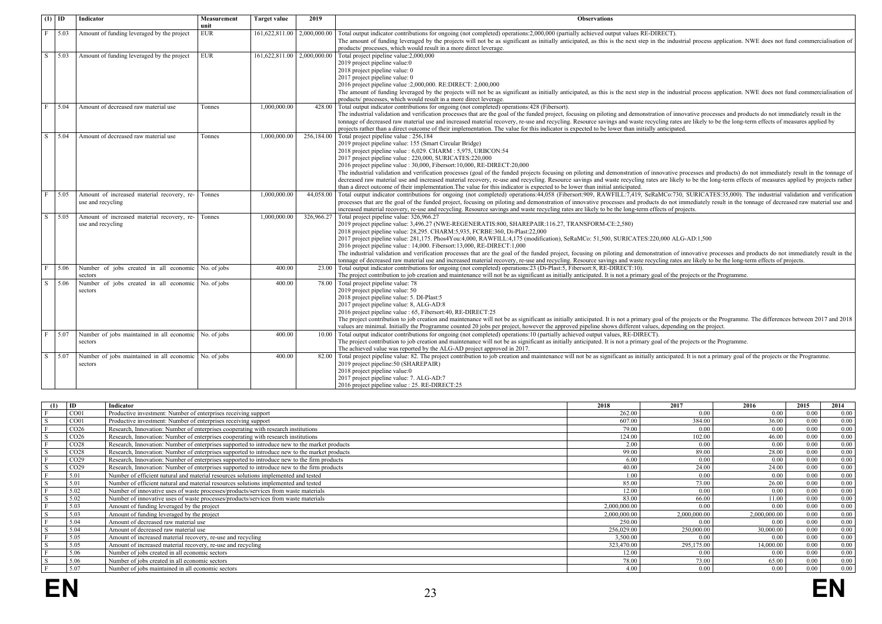| $(1)$ ID                |      | Indicator                                                        | Measurement<br>unit | <b>Target value</b>         | 2019       | <b>Observations</b>                                                                                                                                                                                                                                                                                                                                                                                                                                                                                                                                                                                                                                                                                                                                                                                                                                                      |
|-------------------------|------|------------------------------------------------------------------|---------------------|-----------------------------|------------|--------------------------------------------------------------------------------------------------------------------------------------------------------------------------------------------------------------------------------------------------------------------------------------------------------------------------------------------------------------------------------------------------------------------------------------------------------------------------------------------------------------------------------------------------------------------------------------------------------------------------------------------------------------------------------------------------------------------------------------------------------------------------------------------------------------------------------------------------------------------------|
| F                       | 5.03 | Amount of funding leveraged by the project                       | <b>EUR</b>          | 161,622,811.00 2,000,000.00 |            | Total output indicator contributions for ongoing (not completed) operations:2,000,000 (partially achieved output values RE-DIRECT).<br>The amount of funding leveraged by the projects will not be as significant as initially anticipated, as this is the next step in the industrial process application. NWE does not fund commercialisation of<br>products/ processes, which would result in a more direct leverage.                                                                                                                                                                                                                                                                                                                                                                                                                                                 |
| $\overline{\mathbf{s}}$ | 5.03 | Amount of funding leveraged by the project                       | EUR                 | 161,622,811.00 2,000,000.0  |            | Total project pipeline value: 2,000,000<br>2019 project pipeline value:0<br>2018 project pipeline value: 0<br>2017 project pipeline value: 0<br>2016 project pipeline value :2,000,000. RE:DIRECT: 2,000,000<br>The amount of funding leveraged by the projects will not be as significant as initially anticipated, as this is the next step in the industrial process application. NWE does not fund commercialisation of<br>products/ processes, which would result in a more direct leverage.                                                                                                                                                                                                                                                                                                                                                                        |
| F                       | 5.04 | Amount of decreased raw material use                             | <b>Tonnes</b>       | 1.000.000.00                |            | 428.00 Total output indicator contributions for ongoing (not completed) operations:428 (Fibersort).<br>The industrial validation and verification processes that are the goal of the funded project, focusing on piloting and demonstration of innovative processes and products do not immediately result in the<br>tonnage of decreased raw material use and increased material recovery, re-use and recycling. Resource savings and waste recycling rates are likely to be the long-term effects of measures applied by<br>projects rather than a direct outcome of their implementation. The value for this indicator is expected to be lower than initially anticipated.                                                                                                                                                                                            |
| S                       | 5.04 | Amount of decreased raw material use                             | Tonnes              | 1.000.000.00                | 256.184.00 | Total project pipeline value : 256,184<br>2019 project pipeline value: 155 (Smart Circular Bridge)<br>2018 project pipeline value : 6,029. CHARM : 5,975, URBCON:54<br>2017 project pipeline value : 220,000, SURICATES:220,000<br>2016 project pipeline value : 30,000, Fibersort:10,000, RE-DIRECT:20,000<br>The industrial validation and verification processes (goal of the funded projects focusing on piloting and demonstration of innovative processes and products) do not immediately result in the tonnage of<br>decreased raw material use and increased material recovery, re-use and recycling. Resource savings and waste recycling rates are likely to be the long-term effects of measures applied by projects rather<br>than a direct outcome of their implementation. The value for this indicator is expected to be lower than initial anticipated. |
| F                       | 5.05 | Amount of increased material recovery, re-<br>use and recycling  | Tonnes              | 1.000.000.00                | 44.058.00  | Total output indicator contributions for ongoing (not completed) operations:44,058 (Fibersort:909, RAWFILL:7,419, SeRaMCo:730, SURICATES:35,000). The industrial validation and verification<br>processes that are the goal of the funded project, focusing on piloting and demonstration of innovative processes and products do not immediately result in the tonnage of decreased raw material use and<br>increased material recovery, re-use and recycling. Resource savings and waste recycling rates are likely to be the long-term effects of projects.                                                                                                                                                                                                                                                                                                           |
| S                       | 5.05 | Amount of increased material recovery, re-<br>use and recycling  | Tonnes              | 1.000.000.00                | 326.966.27 | Total project pipeline value: 326,966.27<br>2019 project pipeline value: 3,496.27 (NWE-REGENERATIS:800, SHAREPAIR:116.27, TRANSFORM-CE:2,580)<br>2018 project pipeline value: 28,295. CHARM:5,935, FCRBE:360, Di-Plast:22,000<br>2017 project pipeline value: 281,175. Phos4You:4,000, RAWFILL:4,175 (modification), SeRaMCo: 51,500, SURICATES:220,000 ALG-AD:1,500<br>2016 project pipeline value : 14.000. Fibersort:13.000. RE-DIRECT:1.000<br>The industrial validation and verification processes that are the goal of the funded project, focusing on piloting and demonstration of innovative processes and products do not immediately result in the<br>tonnage of decreased raw material use and increased material recovery, re-use and recycling. Resource savings and waste recycling rates are likely to be the long-term effects of projects.             |
| F                       | 5.06 | Number of jobs created in all economic No. of jobs<br>sectors    |                     | 400.00                      | 23.00      | Total output indicator contributions for ongoing (not completed) operations:23 (Di-Plast:5, Fibersort:8, RE-DIRECT:10).<br>The project contribution to job creation and maintenance will not be as significant as initially anticipated. It is not a primary goal of the projects or the Programme.                                                                                                                                                                                                                                                                                                                                                                                                                                                                                                                                                                      |
| $\overline{s}$          | 5.06 | Number of jobs created in all economic No. of jobs<br>sectors    |                     | 400 00                      |            | 78.00 Total project pipeline value: 78<br>2019 project pipeline value: 50<br>2018 project pipeline value: 5. DI-Plast:5<br>2017 project pipeline value: 8, ALG-AD:8<br>2016 project pipeline value : 65, Fibersort:40, RE-DIRECT:25<br>The project contribution to job creation and maintenance will not be as significant as initially anticipated. It is not a primary goal of the projects or the Programme. The differences between 2017 and 2018<br>values are minimal. Initially the Programme counted 20 jobs per project, however the approved pipeline shows different values, depending on the project.                                                                                                                                                                                                                                                        |
| $\overline{F}$          | 5.07 | Number of jobs maintained in all economic No. of jobs<br>sectors |                     | 400.00                      | 10.00      | Total output indicator contributions for ongoing (not completed) operations:10 (partially achieved output values, RE-DIRECT).<br>The project contribution to job creation and maintenance will not be as significant as initially anticipated. It is not a primary goal of the projects or the Programme.<br>The achieved value was reported by the ALG-AD project approved in 2017.                                                                                                                                                                                                                                                                                                                                                                                                                                                                                     |
| S.                      | 5.07 | Number of jobs maintained in all economic No. of jobs<br>sectors |                     | 400.00                      | 82.00      | Total project pipeline value: 82. The project contribution to job creation and maintenance will not be as significant as initially anticipated. It is not a primary goal of the projects or the Programme.<br>2019 project pipeline:50 (SHAREPAIR)<br>2018 project pipeline value:0<br>2017 project pipeline value: 7. ALG-AD:7<br>2016 project pipeline value : 25. RE-DIRECT:25                                                                                                                                                                                                                                                                                                                                                                                                                                                                                        |

| (1) | ID               | Indicator                                                                                     | 2018         | 2017         | 2016         | 2015 | 2014 |
|-----|------------------|-----------------------------------------------------------------------------------------------|--------------|--------------|--------------|------|------|
|     | CO <sub>01</sub> | Productive investment: Number of enterprises receiving support                                | 262.00       | 0.00         | 0.00         | 0.00 | 0.00 |
|     | CO <sub>01</sub> | Productive investment: Number of enterprises receiving support                                | 607.00       | 384.00       | 36.00        | 0.00 | 0.00 |
|     | CO <sub>26</sub> | Research, Innovation: Number of enterprises cooperating with research institutions            | 79.00        | 0.00         | 0.00         | 0.00 | 0.00 |
|     | CO <sub>26</sub> | Research, Innovation: Number of enterprises cooperating with research institutions            | 124.00       | 102.00       | 46.00        | 0.00 | 0.00 |
|     | CO <sub>28</sub> | Research, Innovation: Number of enterprises supported to introduce new to the market products | 2.00         | 0.00         | 0.00         | 0.00 | 0.00 |
|     | CO <sub>28</sub> | Research, Innovation: Number of enterprises supported to introduce new to the market products | 99.00        | 89 00        | 28.00        | 0.00 | 0.00 |
|     | CO <sub>29</sub> | Research, Innovation: Number of enterprises supported to introduce new to the firm products   | 6.00         | 0.00         | 0.00         | 0.00 | 0.00 |
|     | CO <sub>29</sub> | Research, Innovation: Number of enterprises supported to introduce new to the firm products   | 40.00        | 24.00        | 24.00        | 0.00 | 0.00 |
|     | 5.01             | Number of efficient natural and material resources solutions implemented and tested           | 1.00         | 0.00         | 0.00         | 0.00 | 0.00 |
|     | 5.01             | Number of efficient natural and material resources solutions implemented and tested           | 85.00        | 73.00        | 26.00        | 0.00 | 0.00 |
|     | 5.02             | Number of innovative uses of waste processes/products/services from waste materials           | 12.00        | 0.00         | 0.00         | 0.00 | 0.00 |
|     | 5.02             | Number of innovative uses of waste processes/products/services from waste materials           | 83.00        | 66.00        | 11.00        | 0.00 | 0.00 |
|     | 5.03             | Amount of funding leveraged by the project                                                    | 2.000.000.00 | 0.00         | 0.00         | 0.00 | 0.00 |
|     | 5.03             | Amount of funding leveraged by the project                                                    | 2.000.000.00 | 2,000,000.00 | 2.000.000.00 | 0.00 | 0.00 |
|     | 5.04             | Amount of decreased raw material use                                                          | 250.00       | 0.00         | 0.00         | 0.00 | 0.00 |
|     | 5.04             | Amount of decreased raw material use                                                          | 256.029.00   | 250,000.00   | 30,000.00    | 0.00 | 0.00 |
|     | 5.05             | Amount of increased material recovery, re-use and recycling                                   | 3.500.00     | 0.00         | 0.00         | 0.00 | 0.00 |
|     | 5.05             | Amount of increased material recovery, re-use and recycling                                   | 323.470.00   | 295.175.00   | 14.000.00    | 0.00 | 0.00 |
|     | 5.06             | Number of jobs created in all economic sectors                                                | 12.00        | 0.00         | 0.00         | 0.00 | 0.00 |
|     | 5.06             | Number of jobs created in all economic sectors                                                | 78.00        | 73.00        | 65.00        | 0.00 | 0.00 |
|     | 5.07             | Number of jobs maintained in all economic sectors                                             | 4.00         | 0.00         | 0.00         | 0.00 | 0.00 |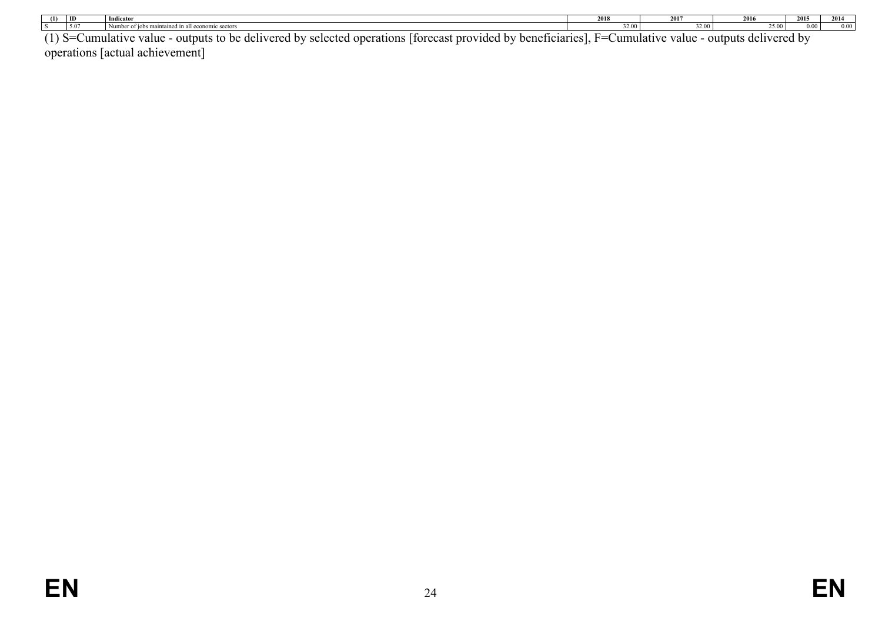| (1)                | ID | Indicator                                                                                                                                            | 2018  | <br>491                           | 2016                           | 2015 | 301  |
|--------------------|----|------------------------------------------------------------------------------------------------------------------------------------------------------|-------|-----------------------------------|--------------------------------|------|------|
|                    |    |                                                                                                                                                      | 32.00 | $\sim$ $\sim$ $\sim$              | $\sim$ $\sim$                  | 00,  | 0.00 |
| $\left( 1 \right)$ |    | Lhu hanatiainriadh<br>Itaraeest provided<br>, dalwarad hy<br>sologiad operations<br>$\alpha$ utnuta t $\alpha$<br>$h^{\alpha}$<br>i<br>$\frac{1}{2}$ | $-$   | $i$ umulotu $\alpha$<br>$\pm 110$ | dalwarad hy<br>$\alpha$ utnuta |      |      |

(1) S=Cumulative value - outputs to be delivered by selected operations [forecast provided by beneficiaries], F=Cumulative value - outputs delivered by operations [actual achievement]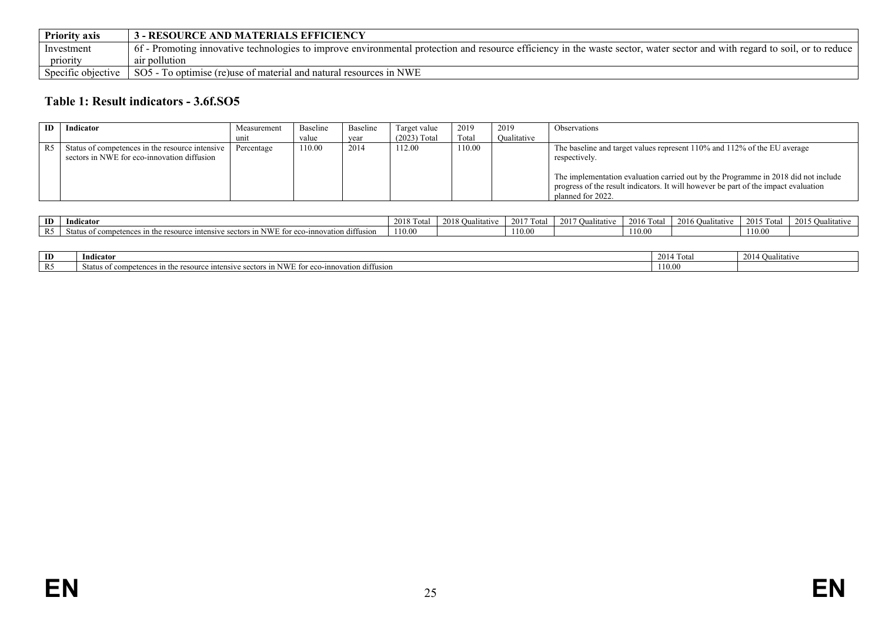| <b>Priority axis</b> | <b>3 - RESOURCE AND MATERIALS EFFICIENCY</b>                                                                                                                             |
|----------------------|--------------------------------------------------------------------------------------------------------------------------------------------------------------------------|
| Investment           | 6. Promoting innovative technologies to improve environmental protection and resource efficiency in the waste sector, water sector and with regard to soil, or to reduce |
| priority             | air pollution                                                                                                                                                            |
| Specific objective   | SO5 - To optimise (re)use of material and natural resources in NWE                                                                                                       |

### **Table 1: Result indicators - 3.6f.SO5**

| ID | Indicator                                                                                      | Measurement | Baseline | Baseline | Target value   | 2019   | 2019        | <b>Observations</b>                                                                                                                                                                                                                                                                         |
|----|------------------------------------------------------------------------------------------------|-------------|----------|----------|----------------|--------|-------------|---------------------------------------------------------------------------------------------------------------------------------------------------------------------------------------------------------------------------------------------------------------------------------------------|
|    |                                                                                                | unit        | value    | vear     | $(2023)$ Total | Total  | Oualitative |                                                                                                                                                                                                                                                                                             |
|    | Status of competences in the resource intensive<br>sectors in NWE for eco-innovation diffusion | Percentage  | 110.00   | 2014     | 112.00         | 110.00 |             | The baseline and target values represent 110% and 112% of the EU average<br>respectively.<br>The implementation evaluation carried out by the Programme in 2018 did not include<br>progress of the result indicators. It will however be part of the impact evaluation<br>planned for 2022. |

| ID                   | Indicator                                                                                                                              | 20 L S | 2018<br>ative<br>,,,,,, | .<br>201<br>- Tot⊆ | 2017<br>alitative | 2016<br>u otał | utative | Tota<br>$\sim$ | 2015 $\Omega$<br>' \ualitativ∈ |
|----------------------|----------------------------------------------------------------------------------------------------------------------------------------|--------|-------------------------|--------------------|-------------------|----------------|---------|----------------|--------------------------------|
| $D \subseteq$<br>177 | in NWE for<br>atıon diffusion<br>. eco-inn<br>e resource<br>$\mu$ the $\tau$<br>$\cdot$ intensive.<br>sectors<br>Nta.<br>r competences | 110.00 |                         | 110.00             |                   | 110.00         |         | 10.00          |                                |

<span id="page-24-0"></span>

| ID | $\mathbf{v}$<br>Indicator                                                                                                                         | Total<br>$\sim$ | 2014<br>$\sim$<br>Jualitative<br>()าา |
|----|---------------------------------------------------------------------------------------------------------------------------------------------------|-----------------|---------------------------------------|
|    | diffusion<br>ve sectors in NWI<br>Status of competences<br>$+1$<br>novation<br>-----<br>intensiy<br>$\cdots$<br>eco-inr<br>e resour<br>нэг<br>ш и | 110.00          |                                       |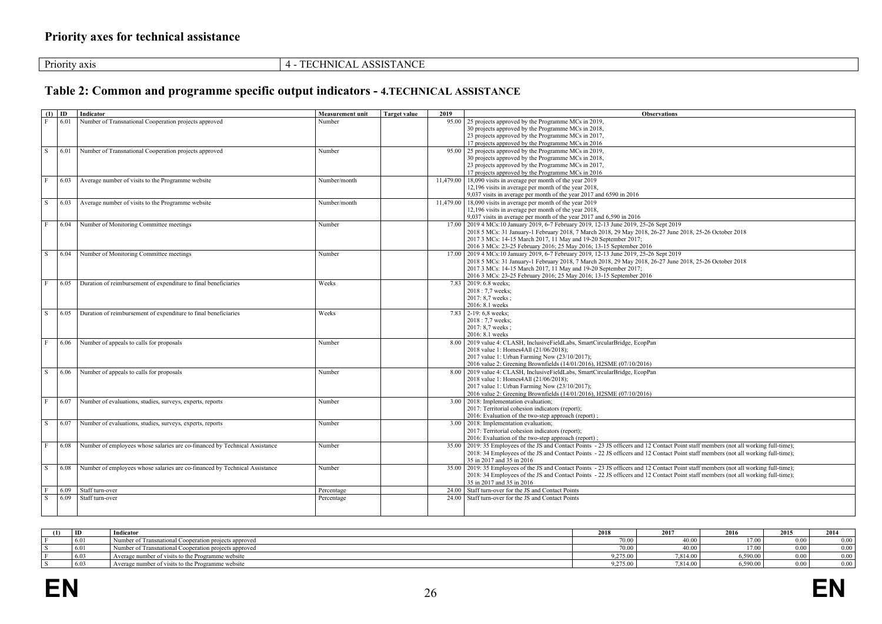| ASSISTANCE<br><b>TECHNICAL</b><br>Priority axis |  |
|-------------------------------------------------|--|
|-------------------------------------------------|--|

## **Table 2: Common and programme specific output indicators - 4.TECHNICAL ASSISTANCE**

<span id="page-25-0"></span>

|              | $(1)$ ID | Indicator                                                                  | <b>Measurement unit</b> | <b>Target value</b> | 2019  | <b>Observations</b>                                                                                                                      |
|--------------|----------|----------------------------------------------------------------------------|-------------------------|---------------------|-------|------------------------------------------------------------------------------------------------------------------------------------------|
| F            | 6.01     | Number of Transnational Cooperation projects approved                      | Number                  |                     | 95.00 | 25 projects approved by the Programme MCs in 2019,                                                                                       |
|              |          |                                                                            |                         |                     |       | 30 projects approved by the Programme MCs in 2018,                                                                                       |
|              |          |                                                                            |                         |                     |       | 23 projects approved by the Programme MCs in 2017,                                                                                       |
|              |          |                                                                            |                         |                     |       | 17 projects approved by the Programme MCs in 2016                                                                                        |
| l S          | 6.01     | Number of Transnational Cooperation projects approved                      | Number                  |                     |       | 95.00 25 projects approved by the Programme MCs in 2019,                                                                                 |
|              |          |                                                                            |                         |                     |       | 30 projects approved by the Programme MCs in 2018,                                                                                       |
|              |          |                                                                            |                         |                     |       | 23 projects approved by the Programme MCs in 2017,                                                                                       |
|              |          |                                                                            |                         |                     |       | 17 projects approved by the Programme MCs in 2016                                                                                        |
| F            | 6.03     | Average number of visits to the Programme website                          | Number/month            |                     |       | $11,479.00$   18,090 visits in average per month of the year 2019                                                                        |
|              |          |                                                                            |                         |                     |       | 12,196 visits in average per month of the year 2018,                                                                                     |
|              |          |                                                                            |                         |                     |       | 9,037 visits in average per month of the year 2017 and 6590 in 2016                                                                      |
| S            | 6.03     | Average number of visits to the Programme website                          | Number/month            |                     |       | $11,479.00$ 18,090 visits in average per month of the year 2019                                                                          |
|              |          |                                                                            |                         |                     |       | 12,196 visits in average per month of the year 2018,                                                                                     |
|              |          |                                                                            |                         |                     |       | 9,037 visits in average per month of the year 2017 and 6,590 in 2016                                                                     |
| $\mathbf{F}$ | 6.04     | Number of Monitoring Committee meetings                                    | Number                  |                     |       | 17.00 2019 4 MCs:10 January 2019, 6-7 February 2019, 12-13 June 2019, 25-26 Sept 2019                                                    |
|              |          |                                                                            |                         |                     |       | 2018 5 MCs: 31 January-1 February 2018, 7 March 2018, 29 May 2018, 26-27 June 2018, 25-26 October 2018                                   |
|              |          |                                                                            |                         |                     |       | 2017 3 MCs: 14-15 March 2017, 11 May and 19-20 September 2017;                                                                           |
|              |          |                                                                            |                         |                     |       | 2016 3 MCs: 23-25 February 2016; 25 May 2016; 13-15 September 2016                                                                       |
| S            | 6.04     | Number of Monitoring Committee meetings                                    | Number                  |                     |       | 17.00 2019 4 MCs:10 January 2019, 6-7 February 2019, 12-13 June 2019, 25-26 Sept 2019                                                    |
|              |          |                                                                            |                         |                     |       | 2018 5 MCs: 31 January-1 February 2018, 7 March 2018, 29 May 2018, 26-27 June 2018, 25-26 October 2018                                   |
|              |          |                                                                            |                         |                     |       | 2017 3 MCs: 14-15 March 2017, 11 May and 19-20 September 2017;                                                                           |
|              |          |                                                                            |                         |                     |       | 2016 3 MCs: 23-25 February 2016; 25 May 2016; 13-15 September 2016                                                                       |
| $\mathbf{F}$ |          |                                                                            |                         |                     |       |                                                                                                                                          |
|              | 6.05     | Duration of reimbursement of expenditure to final beneficiaries            | Weeks                   |                     |       | 7.83 2019: 6.8 weeks:                                                                                                                    |
|              |          |                                                                            |                         |                     |       | 2018: 7,7 weeks;                                                                                                                         |
|              |          |                                                                            |                         |                     |       | 2017: 8,7 weeks ;                                                                                                                        |
|              |          |                                                                            |                         |                     |       | 2016: 8.1 weeks                                                                                                                          |
| l S          | 6.05     | Duration of reimbursement of expenditure to final beneficiaries            | Weeks                   |                     |       | 7.83 2-19: 6.8 weeks:                                                                                                                    |
|              |          |                                                                            |                         |                     |       | 2018: 7.7 weeks:                                                                                                                         |
|              |          |                                                                            |                         |                     |       | 2017: 8,7 weeks ;                                                                                                                        |
|              |          |                                                                            |                         |                     |       | 2016: 8.1 weeks                                                                                                                          |
| $\mathbf{F}$ | 6.06     | Number of appeals to calls for proposals                                   | Number                  |                     | 8.00  | 2019 value 4: CLASH, InclusiveFieldLabs, SmartCircularBridge, EcopPan                                                                    |
|              |          |                                                                            |                         |                     |       | 2018 value 1: Homes4All (21/06/2018);                                                                                                    |
|              |          |                                                                            |                         |                     |       | 2017 value 1: Urban Farming Now (23/10/2017);                                                                                            |
|              |          |                                                                            |                         |                     |       | 2016 value 2: Greening Brownfields (14/01/2016), H2SME (07/10/2016)                                                                      |
| S.           | 6.06     | Number of appeals to calls for proposals                                   | Number                  |                     |       | 8.00   2019 value 4: CLASH, InclusiveFieldLabs, SmartCircularBridge, EcopPan                                                             |
|              |          |                                                                            |                         |                     |       | 2018 value 1: Homes4All (21/06/2018);                                                                                                    |
|              |          |                                                                            |                         |                     |       | 2017 value 1: Urban Farming Now (23/10/2017);                                                                                            |
|              |          |                                                                            |                         |                     |       | 2016 value 2: Greening Brownfields (14/01/2016), H2SME (07/10/2016)                                                                      |
| l F          | 6.07     | Number of evaluations, studies, surveys, experts, reports                  | Number                  |                     |       | 3.00   2018: Implementation evaluation;                                                                                                  |
|              |          |                                                                            |                         |                     |       | 2017: Territorial cohesion indicators (report);                                                                                          |
|              |          |                                                                            |                         |                     |       | 2016: Evaluation of the two-step approach (report);                                                                                      |
| l S          | 6.07     | Number of evaluations, studies, surveys, experts, reports                  | Number                  |                     |       | 3.00   2018: Implementation evaluation;                                                                                                  |
|              |          |                                                                            |                         |                     |       | 2017: Territorial cohesion indicators (report);                                                                                          |
|              |          |                                                                            |                         |                     |       | 2016: Evaluation of the two-step approach (report);                                                                                      |
| $\mathbf{F}$ | 6.08     | Number of employees whose salaries are co-financed by Technical Assistance | Number                  |                     |       | 35.00 2019: 35 Employees of the JS and Contact Points - 23 JS officers and 12 Contact Point staff members (not all working full-time);   |
|              |          |                                                                            |                         |                     |       | 2018: 34 Employees of the JS and Contact Points - 22 JS officers and 12 Contact Point staff members (not all working full-time);         |
|              |          |                                                                            |                         |                     |       | 35 in 2017 and 35 in 2016                                                                                                                |
| S            | 6.08     | Number of employees whose salaries are co-financed by Technical Assistance | Number                  |                     |       | 35.00   2019: 35 Employees of the JS and Contact Points - 23 JS officers and 12 Contact Point staff members (not all working full-time); |
|              |          |                                                                            |                         |                     |       | 2018: 34 Employees of the JS and Contact Points - 22 JS officers and 12 Contact Point staff members (not all working full-time);         |
|              |          |                                                                            |                         |                     |       | 35 in 2017 and 35 in 2016                                                                                                                |
|              | 6.09     | Staff turn-over                                                            | Percentage              |                     | 24 00 | Staff turn-over for the JS and Contact Points                                                                                            |
| S            | 6.09     | Staff turn-over                                                            | Percentage              |                     | 24 00 | Staff turn-over for the JS and Contact Points                                                                                            |
|              |          |                                                                            |                         |                     |       |                                                                                                                                          |
|              |          |                                                                            |                         |                     |       |                                                                                                                                          |
|              |          |                                                                            |                         |                     |       |                                                                                                                                          |

<span id="page-25-1"></span>

| ID   | Indicator                                             | 2018            | 2017     | 2016             | 2015           | 2014 |
|------|-------------------------------------------------------|-----------------|----------|------------------|----------------|------|
| 6.01 | Number of Transnational Cooperation projects approved | 70.00           | 40.00    | $\pm 00^{\circ}$ | 0.00           | 0.00 |
| 6.01 | Number of Transnational Cooperation projects approved | 70.00           | 40.00    | . 7.00 -         | 0.00           | 0.00 |
| 6.03 | Average number of visits to the Programme website     | 9,275.00        | 7,814.00 | 5,590.00         | 0 <sup>0</sup> | 0.00 |
| 6.03 | Average number of visits to the Programme website     | $-$<br>9,275.00 | 7,814.00 | 5,590.00         | $_{0.00}$      | 0.00 |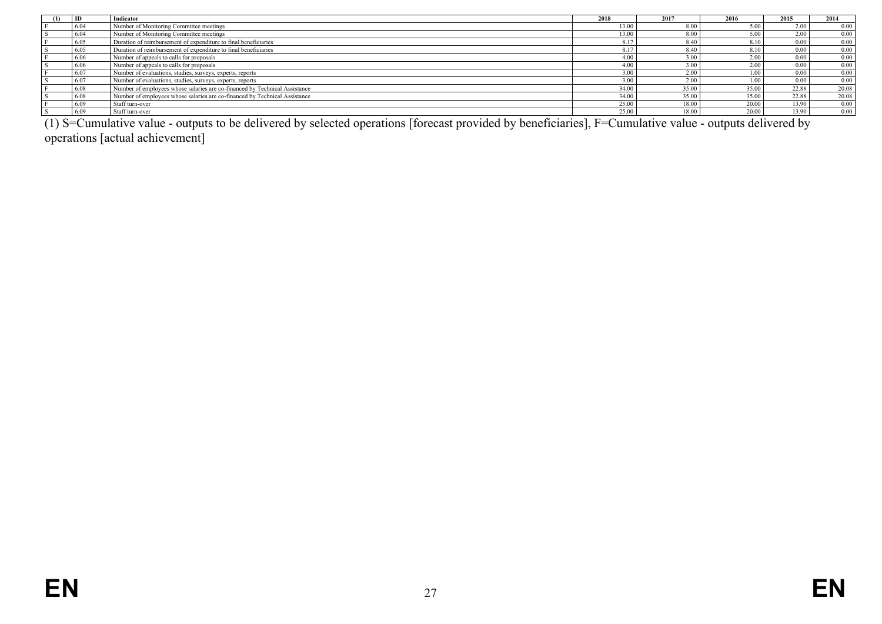| -ID  | Indicator                                                                  | 2018  | 2017  | 2016  | 2015  | 2014  |
|------|----------------------------------------------------------------------------|-------|-------|-------|-------|-------|
| 6.04 | Number of Monitoring Committee meetings                                    | 13.00 | 8.00  | 5.00  | 2.00  | 0.00  |
| 6.04 | Number of Monitoring Committee meetings                                    | 13.00 | 8.00  | 5.00  | 2.00  | 0.00  |
| 6.05 | Duration of reimbursement of expenditure to final beneficiaries            |       | 8.40  | 8.10  | 0.00  | 0.00  |
| 6.05 | Duration of reimbursement of expenditure to final beneficiaries            |       | 8.40  | 8.10  | 0.00  | 0.00  |
| 6.06 | Number of appeals to calls for proposals                                   | 4.00  | 3.00  | 2.00  | 0.00  | 0.00  |
| 6.06 | Number of appeals to calls for proposals                                   | 4.00  | 3.00  | 2.00  | 0.00  | 0.00  |
| 6.07 | Number of evaluations, studies, surveys, experts, reports                  | 3.00  | 2.00  | 1.00  | 0.00  | 0.00  |
| 6.07 | Number of evaluations, studies, surveys, experts, reports                  | 3.00  | 2.00  | 1.00  | 0.00  | 0.00  |
| 6.08 | Number of employees whose salaries are co-financed by Technical Assistance | 34.00 | 35.00 | 35.00 | 22.88 | 20.08 |
| 6.08 | Number of employees whose salaries are co-financed by Technical Assistance | 34.00 | 35.00 | 35.00 | 22.88 | 20.08 |
| 6.09 | Staff turn-over                                                            | 25.00 | 18.00 | 20.00 | 13.90 | 0.00  |
| 6.09 | Staff turn-over                                                            | 25.00 | 18.00 | 20.00 | 13.90 | 0.00  |

(1) S=Cumulative value - outputs to be delivered by selected operations [forecast provided by beneficiaries], F=Cumulative value - outputs delivered by operations [actual achievement]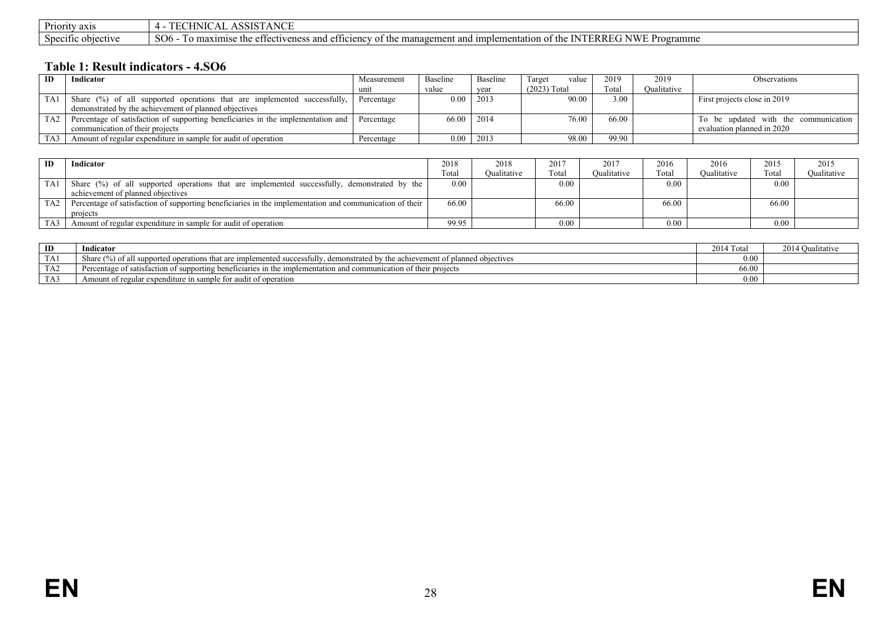| Dr <sub>i</sub><br>Priority axis | <b>ANCE</b><br>ASSIST<br>┒.<br>                                                                                                                                                                  |
|----------------------------------|--------------------------------------------------------------------------------------------------------------------------------------------------------------------------------------------------|
| Specific.<br>$\cup$ υτεςτινε     | NWE P<br>NTERREG<br>SO <sub>6</sub><br>If maximise the effectiveness and efficiency<br>-imple<br>of the management and i<br>$\sigma$ the $\Gamma$<br>Programme<br>lementation<br>$\cdot$ $\cdot$ |

#### **Table 1: Result indicators - 4.SO6**

| $\blacksquare$ | Indicator                                                                            | Measurement  | Baseline | Baseline | Target<br>value | 2019  | 2019        | <i><b>Observations</b></i>           |
|----------------|--------------------------------------------------------------------------------------|--------------|----------|----------|-----------------|-------|-------------|--------------------------------------|
|                |                                                                                      | unr          | value    | vear     | $(2023)$ Total  | Total | Oualitative |                                      |
| TA1            | Share (%) of all supported operations that are implemented successfully,             | Percentage   | $0.00 -$ | 2013     | 90.00           | 3.00  |             | First projects close in 2019         |
|                | demonstrated by the achievement of planned objectives                                |              |          |          |                 |       |             |                                      |
|                | TA2 Percentage of satisfaction of supporting beneficiaries in the implementation and | l Percentage | 66.00    | 2014     | 76.00           | 66.00 |             | To be updated with the communication |
|                | communication of their projects                                                      |              |          |          |                 |       |             | evaluation planned in 2020           |
| TA3            | Amount of regular expenditure in sample for audit of operation                       | Percentage   | 0.00     | 2013     | 98.00           | 99.90 |             |                                      |

| <b>ID</b>       | Indicator                                                                                               | 2018  | 2018        | 2017  | 2017        | 2016  | 2016        | 2015  | 2015        |
|-----------------|---------------------------------------------------------------------------------------------------------|-------|-------------|-------|-------------|-------|-------------|-------|-------------|
|                 |                                                                                                         | Total | Oualitative | Total | Oualitative | Total | Oualitative | Total | Oualitative |
| TA1             | Share (%) of all supported operations that are implemented successfully, demonstrated by the            | 0.00  |             | 0.00  |             | 0.00  |             | 0.00  |             |
|                 | achievement of planned objectives                                                                       |       |             |       |             |       |             |       |             |
| TA <sub>2</sub> | Percentage of satisfaction of supporting beneficiaries in the implementation and communication of their | 66.00 |             | 66.00 |             | 66.00 |             | 66.00 |             |
|                 | projects                                                                                                |       |             |       |             |       |             |       |             |
|                 | Amount of regular expenditure in sample for audit of operation                                          | 99.95 |             | 0.00  |             | 0.00  |             | 0.00  |             |

<span id="page-27-0"></span>

| ID    | Indicator                                                                                                                                                   | 2014 Total                                          | 2014 Qualitative |
|-------|-------------------------------------------------------------------------------------------------------------------------------------------------------------|-----------------------------------------------------|------------------|
| TA1   | Share $\frac{6}{6}$<br>$\%$ ) of all supported operations that are implemented successfully, demonstrated by the achievement of<br>nt of planned objectives | 0.00                                                |                  |
| 1 A Z | Percentage of satisfaction of supporting beneficiaries in the implement<br>mplementation and communic<br>cation of their projects                           | $\epsilon$ and and and are a more $\alpha$<br>00.00 |                  |
| 17Y   | Amount of regular expenditure in sample for audit of operation                                                                                              | .00                                                 |                  |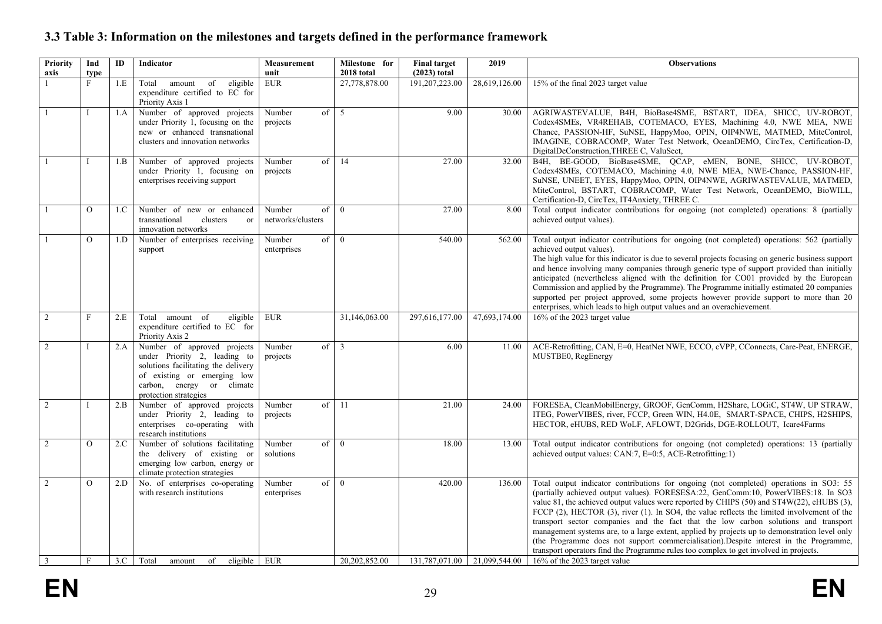## **3.3 Table 3: Information on the milestones and targets defined in the performance framework**

<span id="page-28-0"></span>

| Priority       | Ind            | ID  | Indicator                                                                                                                                                                               | Measurement                       | Milestone for  | <b>Final target</b>            | 2019          | <b>Observations</b>                                                                                                                                                                                                                                                                                                                                                                                                                                                                                                                                                                                                                                                                                                                                |
|----------------|----------------|-----|-----------------------------------------------------------------------------------------------------------------------------------------------------------------------------------------|-----------------------------------|----------------|--------------------------------|---------------|----------------------------------------------------------------------------------------------------------------------------------------------------------------------------------------------------------------------------------------------------------------------------------------------------------------------------------------------------------------------------------------------------------------------------------------------------------------------------------------------------------------------------------------------------------------------------------------------------------------------------------------------------------------------------------------------------------------------------------------------------|
| axis           | type           |     |                                                                                                                                                                                         | unit                              | 2018 total     | $(2023)$ total                 |               |                                                                                                                                                                                                                                                                                                                                                                                                                                                                                                                                                                                                                                                                                                                                                    |
|                | F              | 1.E | Total amount of<br>eligible<br>expenditure certified to EC for<br>Priority Axis 1                                                                                                       | <b>EUR</b>                        | 27,778,878.00  | 191,207,223.00                 | 28,619,126.00 | 15% of the final 2023 target value                                                                                                                                                                                                                                                                                                                                                                                                                                                                                                                                                                                                                                                                                                                 |
| $\overline{1}$ | T              | 1.A | Number of approved projects<br>under Priority 1, focusing on the<br>new or enhanced transnational<br>clusters and innovation networks                                                   | Number<br>of<br>projects          | 5              | 9.00                           | 30.00         | AGRIWASTEVALUE, B4H, BioBase4SME, BSTART, IDEA, SHICC, UV-ROBOT,<br>Codex4SMEs, VR4REHAB, COTEMACO, EYES, Machining 4.0, NWE MEA, NWE<br>Chance, PASSION-HF, SuNSE, HappyMoo, OPIN, OIP4NWE, MATMED, MiteControl,<br>IMAGINE, COBRACOMP, Water Test Network, OceanDEMO, CircTex, Certification-D,<br>DigitalDeConstruction, THREE C, ValuSect,                                                                                                                                                                                                                                                                                                                                                                                                     |
|                |                | 1.B | Number of approved projects<br>under Priority 1, focusing on<br>enterprises receiving support                                                                                           | of<br>Number<br>projects          | 14             | 27.00                          | 32.00         | B4H, BE-GOOD, BioBase4SME, QCAP, eMEN, BONE, SHICC, UV-ROBOT,<br>Codex4SMEs, COTEMACO, Machining 4.0, NWE MEA, NWE-Chance, PASSION-HF,<br>SUNSE, UNEET, EYES, HappyMoo, OPIN, OIP4NWE, AGRIWASTEVALUE, MATMED,<br>MiteControl, BSTART, COBRACOMP, Water Test Network, OceanDEMO, BioWILL,<br>Certification-D, CircTex, IT4Anxiety, THREE C.                                                                                                                                                                                                                                                                                                                                                                                                        |
|                | $\Omega$       | 1.C | Number of new or enhanced<br>transnational<br>clusters<br>or<br>innovation networks                                                                                                     | Number<br>of<br>networks/clusters | $\theta$       | 27.00                          | 8.00          | Total output indicator contributions for ongoing (not completed) operations: 8 (partially<br>achieved output values).                                                                                                                                                                                                                                                                                                                                                                                                                                                                                                                                                                                                                              |
|                | $\Omega$       | 1.D | Number of enterprises receiving<br>support                                                                                                                                              | Number<br>of<br>enterprises       | $\mathbf{0}$   | 540.00                         | 562.00        | Total output indicator contributions for ongoing (not completed) operations: 562 (partially<br>achieved output values).<br>The high value for this indicator is due to several projects focusing on generic business support<br>and hence involving many companies through generic type of support provided than initially<br>anticipated (nevertheless aligned with the definition for CO01 provided by the European<br>Commission and applied by the Programme). The Programme initially estimated 20 companies<br>supported per project approved, some projects however provide support to more than 20<br>enterprises, which leads to high output values and an overachievement.                                                               |
| 2              | F              | 2.E | Total amount of<br>eligible<br>expenditure certified to EC for<br>Priority Axis 2                                                                                                       | <b>EUR</b>                        | 31,146,063.00  | 297,616,177.00                 | 47,693,174.00 | 16% of the 2023 target value                                                                                                                                                                                                                                                                                                                                                                                                                                                                                                                                                                                                                                                                                                                       |
| 2              |                | 2.A | Number of approved projects<br>under Priority 2, leading to<br>solutions facilitating the delivery<br>of existing or emerging low<br>carbon, energy or climate<br>protection strategies | Number<br>of<br>projects          | $\overline{3}$ | 6.00                           | 11.00         | ACE-Retrofitting, CAN, E=0, HeatNet NWE, ECCO, cVPP, CConnects, Care-Peat, ENERGE,<br>MUSTBE0, RegEnergy                                                                                                                                                                                                                                                                                                                                                                                                                                                                                                                                                                                                                                           |
| 2              |                | 2.B | Number of approved projects<br>under Priority 2, leading to<br>enterprises co-operating with<br>research institutions                                                                   | Number<br>of<br>projects          | <sup>11</sup>  | 21.00                          | 24.00         | FORESEA, CleanMobilEnergy, GROOF, GenComm, H2Share, LOGiC, ST4W, UP STRAW,<br>ITEG, PowerVIBES, river, FCCP, Green WIN, H4.0E, SMART-SPACE, CHIPS, H2SHIPS,<br>HECTOR, eHUBS, RED WoLF, AFLOWT, D2Grids, DGE-ROLLOUT, Icare4Farms                                                                                                                                                                                                                                                                                                                                                                                                                                                                                                                  |
| 2              | $\Omega$       | 2.C | Number of solutions facilitating<br>the delivery of existing or<br>emerging low carbon, energy or<br>climate protection strategies                                                      | Number<br>of<br>solutions         | $\theta$       | 18.00                          | 13.00         | Total output indicator contributions for ongoing (not completed) operations: 13 (partially<br>achieved output values: CAN:7, E=0:5, ACE-Retrofitting:1)                                                                                                                                                                                                                                                                                                                                                                                                                                                                                                                                                                                            |
| 2              | $\overline{O}$ | 2.D | No. of enterprises co-operating<br>with research institutions                                                                                                                           | Number<br>of<br>enterprises       | $\theta$       | 420.00                         | 136.00        | Total output indicator contributions for ongoing (not completed) operations in SO3: 55<br>(partially achieved output values). FORESESA:22, GenComm:10, PowerVIBES:18. In SO3<br>value 81, the achieved output values were reported by CHIPS (50) and ST4W(22), eHUBS (3),<br>FCCP (2), HECTOR (3), river (1). In SO4, the value reflects the limited involvement of the<br>transport sector companies and the fact that the low carbon solutions and transport<br>management systems are, to a large extent, applied by projects up to demonstration level only<br>(the Programme does not support commercialisation). Despite interest in the Programme,<br>transport operators find the Programme rules too complex to get involved in projects. |
| $\overline{3}$ | $\mathbf{F}$   |     | $3.C$ Total<br>eligible $ $ EUR<br>of<br>amount                                                                                                                                         |                                   | 20.202.852.00  | 131,787,071.00   21,099,544.00 |               | 16% of the 2023 target value                                                                                                                                                                                                                                                                                                                                                                                                                                                                                                                                                                                                                                                                                                                       |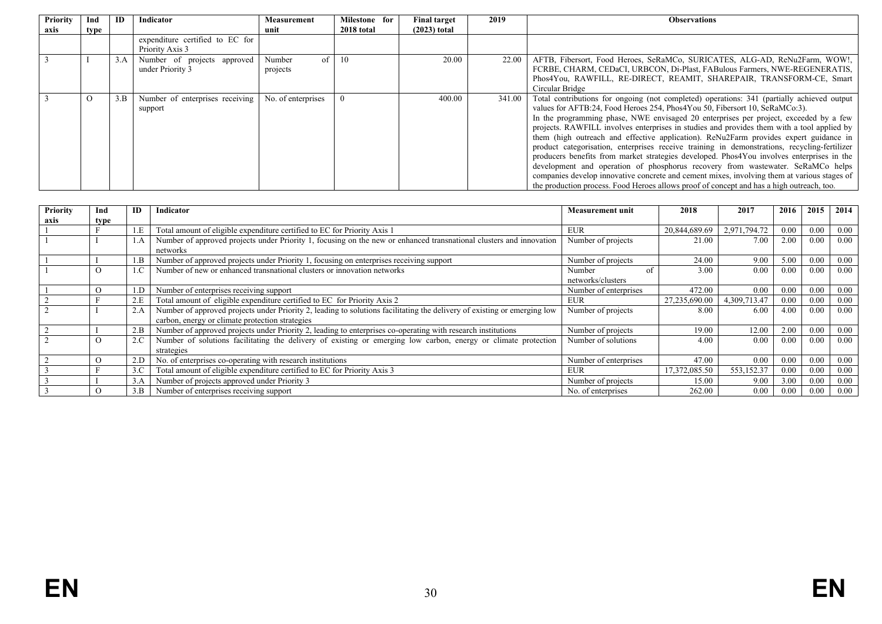| Priority | Ind      | ID  | <b>Indicator</b>                | Measurement        | Milestone for | <b>Final target</b> | 2019   | <b>Observations</b>                                                                          |
|----------|----------|-----|---------------------------------|--------------------|---------------|---------------------|--------|----------------------------------------------------------------------------------------------|
| axis     | type     |     |                                 | unit               | 2018 total    | $(2023)$ total      |        |                                                                                              |
|          |          |     | expenditure certified to EC for |                    |               |                     |        |                                                                                              |
|          |          |     | Priority Axis 3                 |                    |               |                     |        |                                                                                              |
|          |          | 3.A | Number of projects approved     | of<br>Number       | 10            | 20.00               | 22.00  | AFTB, Fibersort, Food Heroes, SeRaMCo, SURICATES, ALG-AD, ReNu2Farm, WOW!,                   |
|          |          |     | under Priority 3                | projects           |               |                     |        | FCRBE, CHARM, CEDaCI, URBCON, Di-Plast, FABulous Farmers, NWE-REGENERATIS,                   |
|          |          |     |                                 |                    |               |                     |        | Phos4You, RAWFILL, RE-DIRECT, REAMIT, SHAREPAIR, TRANSFORM-CE, Smart                         |
|          |          |     |                                 |                    |               |                     |        | Circular Bridge                                                                              |
|          | $\Omega$ | 3.B | Number of enterprises receiving | No. of enterprises |               | 400.00              | 341.00 | Total contributions for ongoing (not completed) operations: 341 (partially achieved output   |
|          |          |     | support                         |                    |               |                     |        | values for AFTB:24, Food Heroes 254, Phos4You 50, Fibersort 10, SeRaMCo:3).                  |
|          |          |     |                                 |                    |               |                     |        | In the programming phase, NWE envisaged 20 enterprises per project, exceeded by a few        |
|          |          |     |                                 |                    |               |                     |        | projects. RAWFILL involves enterprises in studies and provides them with a tool applied by   |
|          |          |     |                                 |                    |               |                     |        | them (high outreach and effective application). ReNu2Farm provides expert guidance in        |
|          |          |     |                                 |                    |               |                     |        | product categorisation, enterprises receive training in demonstrations, recycling-fertilizer |
|          |          |     |                                 |                    |               |                     |        | producers benefits from market strategies developed. Phos4You involves enterprises in the    |
|          |          |     |                                 |                    |               |                     |        | development and operation of phosphorus recovery from wastewater. SeRaMCo helps              |
|          |          |     |                                 |                    |               |                     |        | companies develop innovative concrete and cement mixes, involving them at various stages of  |
|          |          |     |                                 |                    |               |                     |        | the production process. Food Heroes allows proof of concept and has a high outreach, too.    |

| <b>Priority</b> | Ind      | ID  | Indicator                                                                                                                                                                   | <b>Measurement unit</b>           | 2018          | 2017         | 2016 | 2015     | 2014 |
|-----------------|----------|-----|-----------------------------------------------------------------------------------------------------------------------------------------------------------------------------|-----------------------------------|---------------|--------------|------|----------|------|
| axis            | type     |     |                                                                                                                                                                             |                                   |               |              |      |          |      |
|                 |          | 1.E | Total amount of eligible expenditure certified to EC for Priority Axis 1                                                                                                    | <b>EUR</b>                        | 20,844,689.69 | 2,971,794.72 | 0.00 | 0.00     | 0.00 |
|                 |          | 1.A | Number of approved projects under Priority 1, focusing on the new or enhanced transnational clusters and innovation<br>networks                                             | Number of projects                | 21.00         | 7.00         | 2.00 | 0.00     | 0.00 |
|                 |          | 1.B | Number of approved projects under Priority 1, focusing on enterprises receiving support                                                                                     | Number of projects                | 24.00         | 9.00         | 5.00 | $0.00\,$ | 0.00 |
|                 | $\Omega$ | 1.C | Number of new or enhanced transnational clusters or innovation networks                                                                                                     | Number<br>0t<br>networks/clusters | 0.00          | 0.00         | 0.00 | 0.00     |      |
|                 |          | 1.D | Number of enterprises receiving support                                                                                                                                     | Number of enterprises             | 472.00        | 0.00         | 0.00 | 0.00     | 0.00 |
|                 |          | 2.E | Total amount of eligible expenditure certified to EC for Priority Axis 2                                                                                                    | <b>EUR</b>                        | 27,235,690.00 | 4,309,713.47 | 0.00 | 0.00     | 0.00 |
|                 |          | 2.A | Number of approved projects under Priority 2, leading to solutions facilitating the delivery of existing or emerging low<br>carbon, energy or climate protection strategies | Number of projects                | 8.00          | 6.00         | 4.00 | 0.00     | 0.00 |
|                 |          | 2.B | Number of approved projects under Priority 2, leading to enterprises co-operating with research institutions                                                                | Number of projects                | 19.00         | 12.00        | 2.00 | 0.00     | 0.00 |
|                 | $\Omega$ | 2.C | Number of solutions facilitating the delivery of existing or emerging low carbon, energy or climate protection<br>strategies                                                | Number of solutions               | 4.00          | 0.00         | 0.00 | 0.00     | 0.00 |
|                 | $\Omega$ | 2.D | No. of enterprises co-operating with research institutions                                                                                                                  | Number of enterprises             | 47.00         | 0.00         | 0.00 | 0.00     | 0.00 |
|                 |          | 3.C | Total amount of eligible expenditure certified to EC for Priority Axis 3                                                                                                    | <b>EUR</b>                        | 17,372,085.50 | 553,152.37   | 0.00 | 0.00     | 0.00 |
|                 |          | 3.A | Number of projects approved under Priority 3                                                                                                                                | Number of projects                | 15.00         | 9.00         | 3.00 | 0.00     | 0.00 |
|                 |          | 3.B | Number of enterprises receiving support                                                                                                                                     | No. of enterprises                | 262.00        | 0.00         | 0.00 | 0.00     | 0.00 |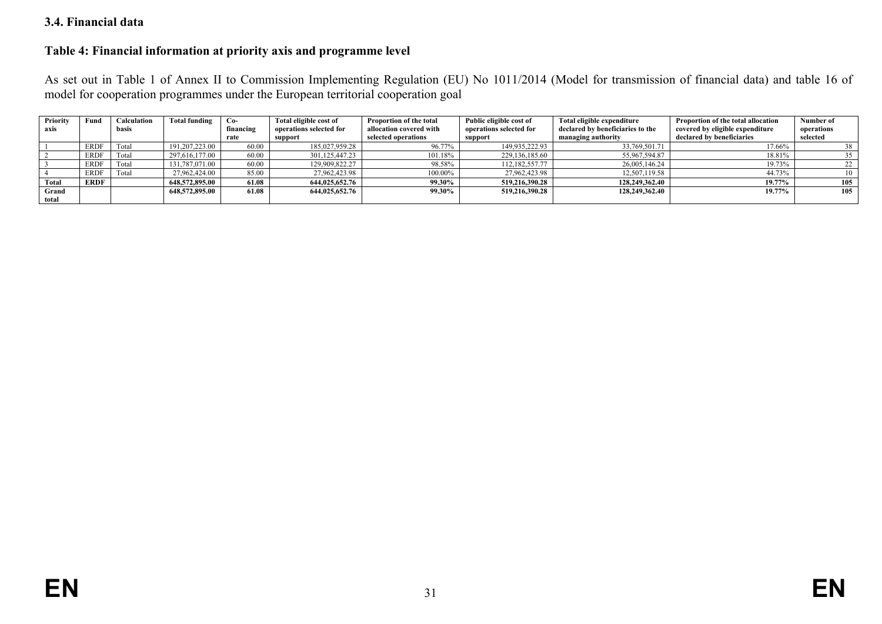#### **3.4. Financial data**

### **Table 4: Financial information at priority axis and programme level**

As set out in Table 1 of Annex II to Commission Implementing Regulation (EU) No 1011/2014 (Model for transmission of financial data) and table 16 of model for cooperation programmes under the European territorial cooperation goal

<span id="page-30-1"></span><span id="page-30-0"></span>

| Priority | Fund        | <b>Calculation</b> | <b>Total funding</b> | $Co-$     | Total eligible cost of  | Proportion of the total | Public eligible cost of | Total eligible expenditure       | Proportion of the total allocation | Number of  |
|----------|-------------|--------------------|----------------------|-----------|-------------------------|-------------------------|-------------------------|----------------------------------|------------------------------------|------------|
| axis     |             | basis              |                      | financing | operations selected for | allocation covered with | operations selected for | declared by beneficiaries to the | covered by eligible expenditure    | operations |
|          |             |                    |                      | rate      | support                 | selected operations     | support                 | managing authority               | declared by beneficiaries          | selected   |
|          | <b>ERDF</b> | Total              | 191,207,223.00       | 60.00     | 185,027,959.28          | 96.77%                  | 149,935,222.93          | 33,769,501.71                    | 17.66%                             | 38         |
|          | <b>ERDF</b> | Total              | 297,616,177.00       | 60.00     | 301,125,447.23          | 101.18%                 | 229,136,185.60          | 55,967,594.87                    | 18.81%                             | 35         |
|          | <b>ERDF</b> | Total              | 131,787,071.00       | 60.00     | 129,909,822.27          | 98.58%                  | 112,182,557.77          | 26,005,146.24                    | 19.73%                             |            |
|          | <b>ERDF</b> | Total              | 27,962,424.00        | 85.00     | 27,962,423.98           | 100.00%                 | 27,962,423.98           | 12,507,119.58                    | 44.73%                             |            |
| Total    | <b>ERDF</b> |                    | 648,572,895.00       | 61.08     | 644,025,652.76          | 99.30%                  | 519,216,390.28          | 128,249,362.40                   | 19.77%                             | 105        |
| Grand    |             |                    | 648,572,895.00       | 61.08     | 644,025,652.76          | 99.30%                  | 519,216,390.28          | 128,249,362.40                   | 19.77%                             | 105        |
| total    |             |                    |                      |           |                         |                         |                         |                                  |                                    |            |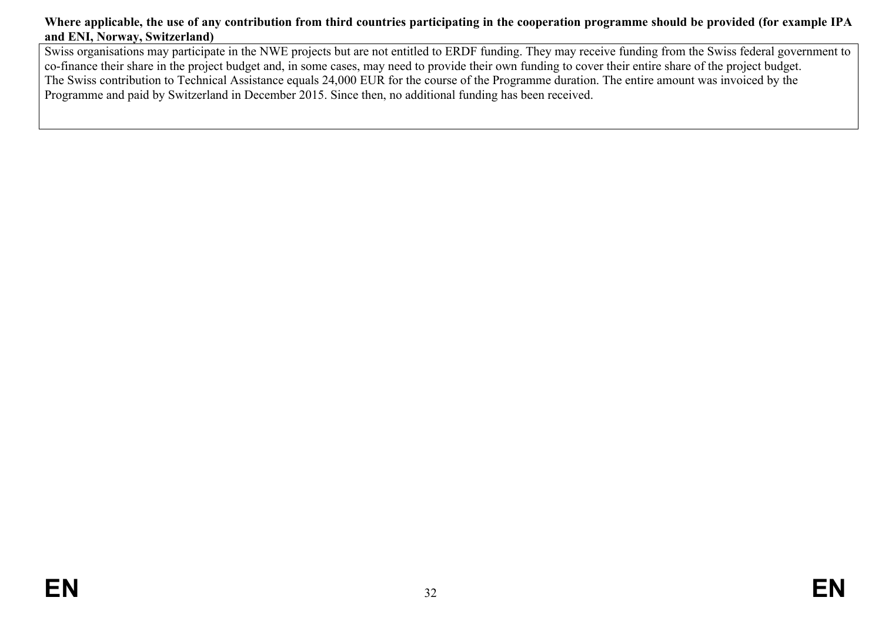### **Where applicable, the use of any contribution from third countries participating in the cooperation programme should be provided (for example IPA and ENI, Norway, Switzerland)**

<span id="page-31-0"></span>Swiss organisations may participate in the NWE projects but are not entitled to ERDF funding. They may receive funding from the Swiss federal government to co-finance their share in the project budget and, in some cases, may need to provide their own funding to cover their entire share of the project budget. The Swiss contribution to Technical Assistance equals 24,000 EUR for the course of the Programme duration. The entire amount was invoiced by the Programme and paid by Switzerland in December 2015. Since then, no additional funding has been received.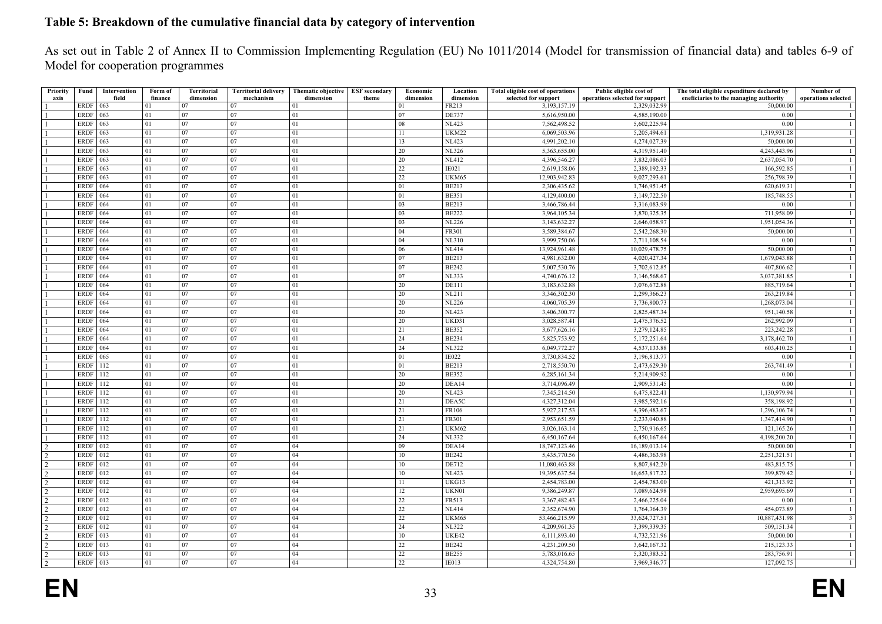### **Table 5: Breakdown of the cumulative financial data by category of intervention**

As set out in Table 2 of Annex II to Commission Implementing Regulation (EU) No 1011/2014 (Model for transmission of financial data) and tables 6-9 of Model for cooperation programmes

<span id="page-32-0"></span>

| Priority       | Fund             | Intervention | Form of | <b>Territorial</b> | <b>Territorial delivery</b> | Thematic objective | <b>ESF</b> secondary | Economic        | Location     | <b>Total eligible cost of operations</b> | Public eligible cost of         | The total eligible expenditure declared by | Number of           |
|----------------|------------------|--------------|---------|--------------------|-----------------------------|--------------------|----------------------|-----------------|--------------|------------------------------------------|---------------------------------|--------------------------------------------|---------------------|
| axis           |                  | field        | finance | dimension          | mechanism                   | dimension          | theme                | dimension       | dimension    | selected for support                     | operations selected for support | eneficiaries to the managing authority     | operations selected |
|                | ERDF 063         |              | 01      | 07                 | 07                          | 01                 |                      | 01              | FR213        | 3,193,157.19                             | 2,329,032.99                    | 50,000.00                                  |                     |
|                | ERDF             | 063          | 01      | 07                 | 07                          | 01                 |                      | 07              | <b>DE737</b> | 5,616,950.00                             | 4,585,190.00                    | 0.00                                       | -1                  |
|                | ERDF $\vert$ 063 |              | 01      | 07                 | 07                          | 01                 |                      | 08              | <b>NL423</b> | 7,562,498.52                             | 5,602,225.94                    | 0.00                                       | -1                  |
|                | <b>ERDF</b>      | 063          | 01      | 07                 | 07                          | 01                 |                      | 11              | UKM22        | 6,069,503.96                             | 5,205,494.61                    | 1,319,931.28                               | $\mathbf{1}$        |
|                | ERDF             | 063          | 01      | 07                 | 07                          | 01                 |                      | 13              | <b>NL423</b> | 4,991,202.10                             | 4,274,027.39                    | 50,000.00                                  | -1                  |
|                | $ERDF$ 063       |              | 01      | 07                 | 07                          | 01                 |                      | 20              | <b>NL326</b> | 5,363,655.00                             | 4,319,951.40                    | 4,243,443.96                               | 1                   |
|                | ERDF   063       |              | 01      | 07                 | 07                          | 01                 |                      | 20              | <b>NL412</b> | 4,396,546.27                             | 3,832,086.03                    | 2,637,054.70                               | 1                   |
|                | ERDF 063         |              | 01      | 07                 | 07                          | 01                 |                      | 22              | IE021        | 2,619,158.06                             | 2,389,192.33                    | 166,592.85                                 | $\mathbf{1}$        |
|                | ERDF $\vert$ 063 |              | 01      | 07                 | 07                          | 01                 |                      | 22              | UKM65        | 12,903,942.83                            | 9,027,293.61                    | 256,798.39                                 | $\mathbf{1}$        |
|                | ERDF             | 064          | 01      | 07                 | 07                          | 01                 |                      | 01              | <b>BE213</b> | 2,306,435.62                             | 1,746,951.45                    | 620,619.31                                 | -1                  |
|                | <b>ERDF</b> 064  |              | 01      | 07                 | 07                          | 01                 |                      | 01              | <b>BE351</b> | 4,129,400.00                             | 3,149,722.50                    | 185,748.55                                 | $\mathbf{1}$        |
|                | <b>ERDF</b> 064  |              | 01      | 07                 | 07                          | 01                 |                      | 03              | <b>BE213</b> | 3,466,786.44                             | 3,316,083.99                    | 0.00                                       | -1                  |
|                | <b>ERDF</b>      | 064          | 01      | 07                 | 07                          | 01                 |                      | 03              | <b>BE222</b> | 3,964,105.34                             | 3,870,325.35                    | 711,958.09                                 | $\mathbf{1}$        |
|                | ERDF             | 064          | 01      | 07                 | 07                          | 01                 |                      | 03              | <b>NL226</b> | 3,143,632.27                             | 2,646,058.97                    | 1,951,054.36                               | -1                  |
|                | ERDF             | 064          | 01      | 07                 | 07                          | 01                 |                      | 04              | FR301        | 3,589,384.67                             | 2,542,268.30                    | 50,000.00                                  | -1                  |
|                | ERDF 064         |              | 01      | 07                 | 07                          | 01                 |                      | 04              | NL310        | 3,999,750.06                             | 2,711,108.54                    | 0.00                                       | $\mathbf{1}$        |
|                | <b>ERDF</b> 064  |              | 01      | 07                 | 07                          | 01                 |                      | 06              | <b>NL414</b> | 13,924,961.48                            | 10,029,478.75                   | 50,000.00                                  | $\mathbf{1}$        |
|                | <b>ERDF</b>      | 064          | 01      | 07                 | 07                          | 01                 |                      | 07              | <b>BE213</b> | 4,981,632.00                             | 4,020,427.34                    | 1,679,043.88                               | $\mathbf{1}$        |
|                | <b>ERDF</b>      | 064          | 01      | 07                 | 07                          | 01                 |                      | 07              | <b>BE242</b> | 5,007,530.76                             | 3,702,612.85                    | 407,806.62                                 | -1                  |
|                | <b>ERDF</b>      | 064          | 01      | 07                 | 07                          | 01                 |                      | 07              | <b>NL333</b> | 4,740,676.12                             | 3,146,568.67                    | 3,037,381.85                               | -1                  |
|                | <b>ERDF</b> 064  |              | 01      | 07                 | 07                          | 01                 |                      | 20              | <b>DE111</b> | 3.183.632.88                             | 3,076,672.88                    | 885,719.64                                 | -1                  |
|                | <b>ERDF</b>      | 064          | 01      | 07                 | 07                          | 01                 |                      | 20              | <b>NL211</b> | 3,346,302.30                             | 2,299,366.23                    | 263,219.84                                 | 1                   |
|                | <b>ERDF</b>      | 064          | 01      | 07                 | 07                          | 01                 |                      | 20              | <b>NL226</b> | 4,060,705.39                             | 3,736,800.73                    | 1,268,073.04                               | $\mathbf{1}$        |
|                | ERDF 064         |              | 01      | 07                 | 07                          | 01                 |                      | 20              | <b>NL423</b> | 3,406,300.77                             | 2,825,487.34                    | 951,140.58                                 | -1                  |
|                | ERDF 064         |              | 01      | 07                 | 07                          | 01                 |                      | 20              | UKD31        | 3,028,587.41                             | 2,475,376.52                    | 262,992.09                                 | $\mathbf{1}$        |
|                | <b>ERDF</b>      | 064          | 01      | 07                 | 07                          | 01                 |                      | 21              | <b>BE352</b> | 3,677,626.16                             | 3,279,124.85                    | 223, 242. 28                               | $\mathbf{1}$        |
|                | <b>ERDF</b>      | 064          | 01      | 07                 | 07                          | 01                 |                      | 24              | <b>BE234</b> | 5,825,753.92                             | 5,172,251.64                    | 3,178,462.70                               | 1                   |
|                | <b>ERDF</b>      | 064          | 01      | 07                 | 07                          | 01                 |                      | 24              | <b>NL322</b> | 6,049,772.27                             | 4,537,133.88                    | 603.410.25                                 | -1                  |
|                | ERDF             | 065          | 01      | 07                 | 07                          | 01                 |                      | 01              | <b>IE022</b> | 3,730,834.52                             | 3,196,813.77                    | 0.00                                       | -1                  |
|                | ERDF             | 112          | 01      | 07                 | 07                          | 01                 |                      | 01              | <b>BE213</b> | 2,718,550.70                             | 2,473,629.30                    | 263,741.49                                 |                     |
|                | <b>ERDF</b>      | 112          | 01      | 07                 | 07                          | 01                 |                      | 20              | <b>BE352</b> | 6,285,161.34                             | 5,214,909.92                    | 0.00                                       | -1<br>$\mathbf{1}$  |
|                | <b>ERDF</b>      | 112          | 01      | 07                 | 07                          | 01                 |                      | 20              | DEA14        | 3,714,096.49                             | 2,909,531.45                    | 0.00                                       | -1                  |
|                | <b>ERDF</b>      | 112          | 01      | 07                 | 07                          | 01                 |                      | 20              | <b>NL423</b> | 7,345,214.50                             | 6,475,822.41                    | 1,130,979.94                               |                     |
|                |                  |              |         |                    |                             |                    |                      |                 |              |                                          |                                 |                                            | -1                  |
|                | ERDF 112         |              | 01      | 07                 | 07                          | 01                 |                      | 21              | DEA5C        | 4,327,312.04                             | 3,985,592.16                    | 358,198.92                                 | 1                   |
|                | <b>ERDF</b>      | 112          | 01      | 07                 | 07                          | 01                 |                      | 21              | FR106        | 5,927,217.53                             | 4,396,483.67                    | 1,296,106.74                               | $\mathbf{1}$        |
|                | ERDF             | 112          | 01      | 07                 | 07                          | 01                 |                      | 21              | <b>FR301</b> | 2,953,651.59                             | 2,233,040.88                    | 1,347,414.90                               | $\mathbf{1}$        |
|                | ERDF             | 112          | 01      | 07                 | 07                          | 01                 |                      | 21              | UKM62        | 3,026,163.14                             | 2,750,916.65                    | 121,165.26                                 | $\mathbf{1}$        |
|                | ERDF             | 112          | 01      | 07                 | 07                          | 01                 |                      | 24              | <b>NL332</b> | 6,450,167.64                             | 6,450,167.64                    | 4,198,200.20                               | -1                  |
|                | ERDF 012         |              | 01      | 07                 | 07                          | 04                 |                      | 09              | DEA14        | 18,747,123.46                            | 16,189,013.14                   | 50,000.00                                  | $\mathbf{1}$        |
| $\mathcal{D}$  | ERDF $ 012$      |              | 01      | 07                 | 07                          | 04                 |                      | 10              | <b>BE242</b> | 5,435,770.56                             | 4,486,363.98                    | 2,251,321.51                               | $\mathbf{1}$        |
| $\mathcal{D}$  | ERDF 012         |              | 01      | 07                 | 07                          | 04                 |                      | 10              | DE712        | 11,080,463.88                            | 8,807,842.20                    | 483,815.75                                 | -1                  |
| 2              | ERDF 012         |              | 01      | 07                 | 07                          | 04                 |                      | 10              | <b>NL423</b> | 19,395,637.54                            | 16,653,817.22                   | 399,879.42                                 | $\mathbf{1}$        |
|                | ERDF 012         |              | 01      | 07                 | 07                          | 04                 |                      | 11              | UKG13        | 2,454,783.00                             | 2,454,783.00                    | 421,313.92                                 | -1                  |
|                | ERDF $ 012$      |              | 01      | 07                 | 07                          | 04                 |                      | 12              | UKN01        | 9,386,249.87                             | 7,089,624.98                    | 2,959,695.69                               | $\mathbf{1}$        |
| $\mathcal{D}$  | ERDF $ 012$      |              | 01      | 07                 | 07                          | 04                 |                      | 22              | FR513        | 3,367,482.43                             | 2,466,225.04                    | 0.00                                       | $\mathbf{1}$        |
| $\mathcal{D}$  | <b>ERDF</b> 012  |              | 01      | 07                 | 07                          | 04                 |                      | $\overline{22}$ | NL414        | 2,352,674.90                             | 1,764,364.39                    | 454,073.89                                 | $\mathbf{1}$        |
| $\mathcal{D}$  | ERDF 012         |              | 01      | 07                 | 07                          | 04                 |                      | 22              | UKM65        | 53,466,215.99                            | 33,624,727.51                   | 10,887,431.98                              |                     |
|                | ERDF 012         |              | 01      | 07                 | 07                          | 04                 |                      | 24              | <b>NL322</b> | 4,209,961.35                             | 3,399,339.35                    | 509,151.34                                 | -1                  |
| $\mathcal{D}$  | $ERDF$ 013       |              | 01      | 07                 | 07                          | 04                 |                      | 10              | UKE42        | 6,111,893.40                             | 4,732,521.96                    | 50,000.00                                  | $\mathbf{1}$        |
| $\mathcal{D}$  | ERDF 013         |              | 01      | 07                 | 07                          | 04                 |                      | 22              | <b>BE242</b> | 4,231,209.50                             | 3,642,167.32                    | 215,123.33                                 | $\mathbf{1}$        |
| $\mathcal{D}$  | ERDF $ 013$      |              | 01      | 07                 | 07                          | 04                 |                      | $\overline{22}$ | <b>BE255</b> | 5,783,016.65                             | 5,320,383.52                    | 283,756.91                                 | $\mathbf{1}$        |
| $\overline{2}$ | $ERDF$ 013       |              | 01      | 07                 | 07                          | 04                 |                      | 22              | IE013        | 4,324,754.80                             | 3,969,346.77                    | 127,092.75                                 | 1                   |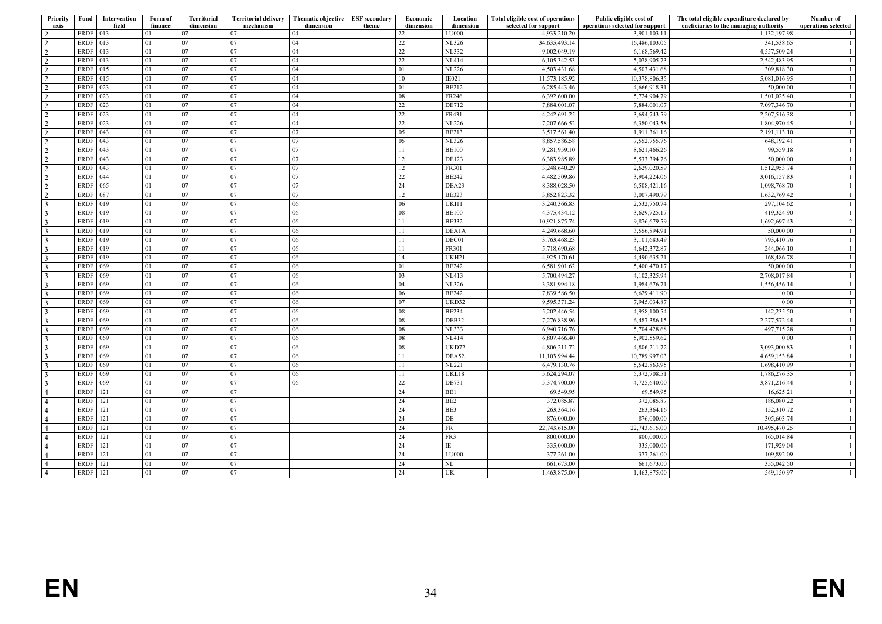| Priority<br>axis | Fund             | Intervention<br>field | Form of<br>finance | <b>Territorial</b><br>dimension | mechanism | Territorial delivery   Thematic objective   ESF secondary<br>dimension | theme | Economic<br>dimension | Location<br>dimension        | Total eligible cost of operations<br>selected for support | Public eligible cost of<br>operations selected for support | The total eligible expenditure declared by<br>eneficiaries to the managing authority | Number of<br>operations selected |
|------------------|------------------|-----------------------|--------------------|---------------------------------|-----------|------------------------------------------------------------------------|-------|-----------------------|------------------------------|-----------------------------------------------------------|------------------------------------------------------------|--------------------------------------------------------------------------------------|----------------------------------|
|                  | <b>ERDF</b> 013  |                       |                    | 07                              | 07        | 04                                                                     |       | 22                    | LU000                        | 4,933,210.20                                              | 3,901,103.11                                               | 1,132,197.98                                                                         |                                  |
| 2                | <b>ERDF</b>      | 013                   | 01                 | 07                              | 07        | 04                                                                     |       | 22                    | <b>NL326</b>                 | 34,635,493.14                                             | 16,486,103.05                                              | 341,538.65                                                                           | -1                               |
| $\overline{2}$   | <b>ERDF</b>      | $ 013\rangle$         | 01                 | 07                              | 07        | 04                                                                     |       | 22                    | <b>NL332</b>                 | 9,002,049.19                                              | 6,168,569.42                                               | 4,557,509.24                                                                         | -1                               |
| $\overline{2}$   | <b>ERDF</b>      | 013                   | 01                 | 07                              | 07        | 04                                                                     |       | 22                    | <b>NL414</b>                 | 6,105,342.53                                              | 5,078,905.73                                               | 2,542,483.95                                                                         |                                  |
| $\overline{2}$   | ERDF 015         |                       | 01                 | 07                              | 07        | 04                                                                     |       | 01                    | <b>NL226</b>                 | 4,503,431.68                                              | 4,503,431.68                                               | 309,818.30                                                                           |                                  |
| 2                | ERDF 015         |                       | 01                 | 07                              | 07        | 04                                                                     |       | 10                    | IE021                        | 11,573,185.92                                             | 10,378,806.35                                              | 5,081,016.95                                                                         | -1                               |
| $\overline{2}$   | ERDF 023         |                       | 01                 | 07                              | 07        | 04                                                                     |       | 01                    | <b>BE212</b>                 | 6,285,443.46                                              | 4,666,918.31                                               | 50,000.00                                                                            |                                  |
| 2                | ERDF 023         |                       | 01                 | 07                              | 07        | 04                                                                     |       | 08                    | FR246                        | 6,392,600.00                                              | 5,724,904.79                                               | 1,501,025.40                                                                         | -1                               |
| 2                | <b>ERDF</b>      | 023                   | 01                 | 07                              | 07        | 04                                                                     |       | 22                    | <b>DE712</b>                 | 7,884,001.07                                              | 7,884,001.07                                               | 7,097,346.70                                                                         |                                  |
| 2                | <b>ERDF</b>      | 023                   | 01                 | 07                              | 07        | 04                                                                     |       | 22                    | FR431                        | 4,242,691.25                                              | 3,694,743.59                                               | 2,207,516.38                                                                         |                                  |
| 2                | <b>ERDF</b>      | 023                   | 01                 | 07                              | 07        | 04                                                                     |       | 22                    | <b>NL226</b>                 | 7,207,666.52                                              | 6,380,043.58                                               | 1,804,970.45                                                                         |                                  |
| $\overline{2}$   | <b>ERDF</b>      | $ 043\rangle$         | 01                 | 07                              | 07        | 07                                                                     |       | 05                    | <b>BE213</b>                 | 3,517,561.40                                              | 1,911,361.16                                               | 2,191,113.10                                                                         | -1                               |
| 2                | <b>ERDF</b>      | 043                   | 01                 | 07                              | 07        | 07                                                                     |       | 05                    | <b>NL326</b>                 | 8,857,586.58                                              | 7,552,755.76                                               | 648,192.41                                                                           | -1                               |
| $\overline{2}$   | ERDF $\vert$ 043 |                       | 01                 | 07                              | 07        | 07                                                                     |       | 11                    | <b>BE100</b>                 | 9,281,959.10                                              | 8,621,466.26                                               | 99,559.18                                                                            |                                  |
| 2                | <b>ERDF</b>      | $\overline{043}$      | 01                 | 07                              | 07        | 07                                                                     |       | 12                    | <b>DE123</b>                 | 6,383,985.89                                              | 5,533,394.76                                               | 50,000.00                                                                            | -1                               |
| 2                | ERDF   043       |                       | 01                 | 07                              | 07        | 07                                                                     |       | 12                    | FR301                        | 3,248,640.29                                              | 2,629,020.59                                               | 1,512,953.74                                                                         |                                  |
|                  | ERDF   044       |                       | 01                 | 07                              | 07        | 07                                                                     |       | 22                    | <b>BE242</b>                 | 4,482,509.86                                              | 3,904,224.06                                               | 3,016,157.83                                                                         |                                  |
| 2                | <b>ERDF</b>      | 065                   | 01                 | 07                              | 07        | 07                                                                     |       | 24                    | DEA23                        | 8,388,028.50                                              | 6,508,421.16                                               | 1,098,768.70                                                                         | $\overline{1}$                   |
| 2                |                  |                       | 01                 | 07                              | 07        | 07                                                                     |       | 12                    | <b>BE323</b>                 | 3,852,823.32                                              | 3,007,490.79                                               | 1,632,769.42                                                                         |                                  |
| 2                | <b>ERDF</b>      | 087                   |                    |                                 |           |                                                                        |       |                       |                              |                                                           |                                                            |                                                                                      | -1                               |
| $\overline{3}$   | <b>ERDF</b>      | $ 019\rangle$         | 01<br>01           | 07<br>07                        | 07<br>07  | 06                                                                     |       | 06<br>08              | UKI11                        | 3,240,366.83                                              | 2,532,750.74                                               | 297,104.62<br>419,324.90                                                             | -1                               |
| $\mathcal{R}$    | ERDF 019         |                       |                    | 07                              | 07        | 06<br>06                                                               |       |                       | <b>BE100</b><br><b>BE332</b> | 4,375,434.12<br>10,921,875.74                             | 3,629,725.17<br>9,876,679.59                               | 1.692.697.43                                                                         | $\overline{2}$                   |
| $\mathbf{3}$     | ERDF 019         |                       | 01                 |                                 |           |                                                                        |       | 11                    |                              |                                                           |                                                            |                                                                                      |                                  |
| 3                | ERDF 019         |                       | 01                 | 07                              | 07        | 06                                                                     |       | 11                    | DEA1A                        | 4,249,668.60                                              | 3,556,894.91                                               | 50,000.00                                                                            | -1                               |
| 3                | ERDF 019         |                       | 01                 | 07                              | 07        | 06                                                                     |       | 11                    | DEC01                        | 3,763,468.23                                              | 3,101,683.49                                               | 793,410.76                                                                           | -1                               |
| 3                | ERDF 019         |                       | 01                 | 07                              | 07        | 06                                                                     |       | 11                    | FR301                        | 5,718,690.68                                              | 4,642,372.87                                               | 244,066.10                                                                           |                                  |
| 3                | ERDF 019         |                       | 01                 | 07                              | 07        | 06                                                                     |       | 14                    | UKH21                        | 4,925,170.61                                              | 4,490,635.21                                               | 168,486.78                                                                           |                                  |
| 3                | ERDF 069         |                       | 01                 | 07                              | 07        | 06                                                                     |       | 01                    | <b>BE242</b>                 | 6,581,901.62                                              | 5,400,470.17                                               | 50,000.00                                                                            | -1                               |
| 3                | <b>ERDF</b>      | 069                   | 01                 | 07                              | 07        | 06                                                                     |       | 03                    | <b>NL413</b>                 | 5,700,494.27                                              | 4,102,325.94                                               | 2,708,017.84                                                                         |                                  |
| $\mathcal{R}$    | <b>ERDF</b>      | 069                   | 01                 | 07                              | 07        | 06                                                                     |       | 04                    | <b>NL326</b>                 | 3,381,994.18                                              | 1,984,676.71                                               | 1,556,456.14                                                                         | -1                               |
| 3                | <b>ERDF</b>      | $ 069\rangle$         | 01                 | 07                              | 07        | 06                                                                     |       | 06                    | <b>BE242</b>                 | 7,839,586.50                                              | 6,629,411.90                                               | 0.00                                                                                 | -1                               |
| $\mathcal{R}$    | <b>ERDF</b>      | $\overline{069}$      | 01                 | 07                              | 07        | 06                                                                     |       | 07                    | UKD32                        | 9,595,371.24                                              | 7,945,034.87                                               | 0.00                                                                                 | -1                               |
| 3                | <b>ERDF</b> 069  |                       | 01                 | 07                              | 07        | 06                                                                     |       | 08                    | <b>BE234</b>                 | 5,202,446.54                                              | 4,958,100.54                                               | 142,235.50                                                                           | -1                               |
| $\mathbf{3}$     | ERDF 069         |                       | 01                 | 07                              | 07        | 06                                                                     |       | 08                    | DEB32                        | 7,276,838.96                                              | 6,487,386.15                                               | 2,277,572.44                                                                         | -1                               |
| 3                | ERDF 069         |                       | 01                 | 07                              | 07        | 06                                                                     |       | 08                    | NL333                        | 6,940,716.76                                              | 5,704,428.68                                               | 497,715.28                                                                           | -1                               |
|                  | <b>ERDF</b>      | 069                   | 01                 | 07                              | 07        | 06                                                                     |       | 08                    | <b>NL414</b>                 | 6,807,466.40                                              | 5,902,559.62                                               | 0.00                                                                                 |                                  |
| $\mathbf{3}$     | <b>ERDF</b>      | $ 069\rangle$         | 01                 | 07                              | 07        | 06                                                                     |       | 08                    | UKD72                        | 4,806,211.72                                              | 4,806,211.72                                               | 3,093,000.83                                                                         | -1                               |
| $\mathcal{R}$    | <b>ERDF</b>      | $ 069\rangle$         | 01                 | 07                              | 07        | 06                                                                     |       | 11                    | DEA52                        | 11,103,994.44                                             | 10,789,997.03                                              | 4,659,153.84                                                                         |                                  |
| $\mathcal{R}$    | <b>ERDF</b>      | 069                   | 01                 | 07                              | 07        | 06                                                                     |       | 11                    | <b>NL221</b>                 | 6,479,130.76                                              | 5,542,863.95                                               | 1,698,410.99                                                                         | -1                               |
| 3                | ERDF             | $ 069\rangle$         | 01                 | 07                              | 07        | 06                                                                     |       | 11                    | UKL18                        | 5,624,294.07                                              | 5,372,708.51                                               | 1,786,276.35                                                                         | -1                               |
| $\mathbf{3}$     | <b>ERDF</b>      | $ 069\rangle$         | 01                 | 07                              | 07        | 06                                                                     |       | 22                    | DE731                        | 5,374,700.00                                              | 4,725,640.00                                               | 3,871,216.44                                                                         | $\overline{1}$                   |
| $\overline{4}$   | ERDF 121         |                       | 01                 | 07                              | 07        |                                                                        |       | 24                    | BE1                          | 69,549.95                                                 | 69,549.95                                                  | 16,625.21                                                                            |                                  |
| $\overline{4}$   | <b>ERDF</b>      | 121                   | 01                 | 07                              | 07        |                                                                        |       | 24                    | BE <sub>2</sub>              | 372,085.87                                                | 372,085.87                                                 | 186,080.22                                                                           |                                  |
| $\overline{4}$   | <b>ERDF</b> 121  |                       | 01                 | 07                              | 07        |                                                                        |       | 24                    | BE3                          | 263,364.16                                                | 263,364.16                                                 | 152,310.72                                                                           |                                  |
| $\overline{4}$   | ERDF $ 121$      |                       | 01                 | 07                              | 07        |                                                                        |       | 24                    | DE                           | 876,000.00                                                | 876,000.00                                                 | 305,603.74                                                                           | -1                               |
| $\overline{4}$   | <b>ERDF</b>      | 121                   | 01                 | 07                              | 07        |                                                                        |       | 24                    | FR                           | 22,743,615.00                                             | 22,743,615.00                                              | 10,495,470.25                                                                        | -1                               |
| $\overline{4}$   | <b>ERDF</b>      | 121                   | 01                 | 07                              | 07        |                                                                        |       | 24                    | FR3                          | 800,000.00                                                | 800,000.00                                                 | 165,014.84                                                                           |                                  |
| $\overline{4}$   | <b>ERDF</b>      | 121                   | 01                 | 07                              | 07        |                                                                        |       | 24                    | ΙE                           | 335,000.00                                                | 335,000.00                                                 | 171,929.04                                                                           | -1                               |
| $\overline{4}$   | <b>ERDF</b>      | 121                   | 01                 | 07                              | 07        |                                                                        |       | 24                    | LU000                        | 377,261.00                                                | 377,261.00                                                 | 109,892.09                                                                           |                                  |
| $\overline{4}$   | <b>ERDF</b>      | 121                   | 01                 | 07                              | 07        |                                                                        |       | 24                    | NL                           | 661,673.00                                                | 661,673.00                                                 | 355,042.50                                                                           | -1                               |
| l 4              | ERDF 121         |                       | 01                 | 07                              | 07        |                                                                        |       | 24                    | UK                           | 1,463,875.00                                              | 1,463,875.00                                               | 549,150.97                                                                           |                                  |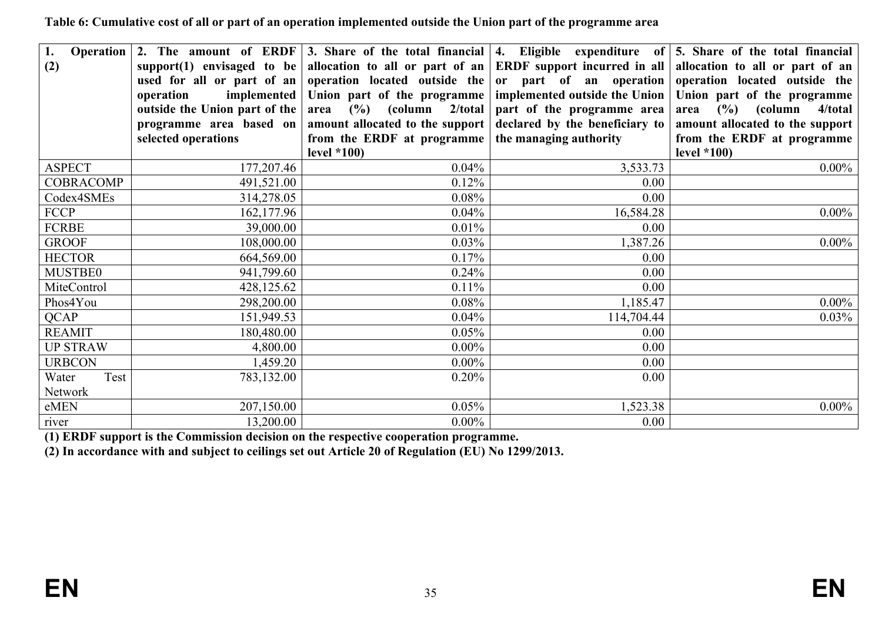**Table 6: Cumulative cost of all or part of an operation implemented outside the Union part of the programme area**

| 1.<br><b>Operation</b><br>(2) | support(1) envisaged to be<br>operation<br>outside the Union part of the $\vert$<br>programme area based on<br>selected operations | used for all or part of an operation located outside the or part of an operation operation located outside the<br>implemented Union part of the programme<br>area $(\% )$ (column 2/total)<br>amount allocated to the support<br>from the ERDF at programme<br>level $*100$ ) | part of the programme area<br>declared by the beneficiary to<br>the managing authority | 2. The amount of ERDF 3. Share of the total financial 4. Eligible expenditure of $\vert$ 5. Share of the total financial<br>allocation to all or part of an ERDF support incurred in all allocation to all or part of an<br>implemented outside the Union   Union part of the programme<br>area $(\%)$ (column<br>4/total<br>amount allocated to the support<br>from the ERDF at programme<br>level $*100$ ) |
|-------------------------------|------------------------------------------------------------------------------------------------------------------------------------|-------------------------------------------------------------------------------------------------------------------------------------------------------------------------------------------------------------------------------------------------------------------------------|----------------------------------------------------------------------------------------|--------------------------------------------------------------------------------------------------------------------------------------------------------------------------------------------------------------------------------------------------------------------------------------------------------------------------------------------------------------------------------------------------------------|
| <b>ASPECT</b>                 | 177, 207. 46                                                                                                                       | 0.04%                                                                                                                                                                                                                                                                         | 3,533.73                                                                               | $0.00\%$                                                                                                                                                                                                                                                                                                                                                                                                     |
| <b>COBRACOMP</b>              | 491,521.00                                                                                                                         | 0.12%                                                                                                                                                                                                                                                                         | 0.00                                                                                   |                                                                                                                                                                                                                                                                                                                                                                                                              |
| Codex4SMEs                    | 314,278.05                                                                                                                         | 0.08%                                                                                                                                                                                                                                                                         | 0.00                                                                                   |                                                                                                                                                                                                                                                                                                                                                                                                              |
| <b>FCCP</b>                   | 162,177.96                                                                                                                         | $0.04\%$                                                                                                                                                                                                                                                                      | 16,584.28                                                                              | $0.00\%$                                                                                                                                                                                                                                                                                                                                                                                                     |
| <b>FCRBE</b>                  | 39,000.00                                                                                                                          | 0.01%                                                                                                                                                                                                                                                                         | 0.00                                                                                   |                                                                                                                                                                                                                                                                                                                                                                                                              |
| <b>GROOF</b>                  | 108,000.00                                                                                                                         | 0.03%                                                                                                                                                                                                                                                                         | 1,387.26                                                                               | $0.00\%$                                                                                                                                                                                                                                                                                                                                                                                                     |
| <b>HECTOR</b>                 | 664,569.00                                                                                                                         | 0.17%                                                                                                                                                                                                                                                                         | 0.00                                                                                   |                                                                                                                                                                                                                                                                                                                                                                                                              |
| MUSTBE0                       | 941,799.60                                                                                                                         | 0.24%                                                                                                                                                                                                                                                                         | 0.00                                                                                   |                                                                                                                                                                                                                                                                                                                                                                                                              |
| MiteControl                   | 428,125.62                                                                                                                         | 0.11%                                                                                                                                                                                                                                                                         | 0.00                                                                                   |                                                                                                                                                                                                                                                                                                                                                                                                              |
| Phos4You                      | 298,200.00                                                                                                                         | 0.08%                                                                                                                                                                                                                                                                         | 1,185.47                                                                               | $0.00\%$                                                                                                                                                                                                                                                                                                                                                                                                     |
| <b>QCAP</b>                   | 151,949.53                                                                                                                         | 0.04%                                                                                                                                                                                                                                                                         | 114,704.44                                                                             | 0.03%                                                                                                                                                                                                                                                                                                                                                                                                        |
| <b>REAMIT</b>                 | 180,480.00                                                                                                                         | 0.05%                                                                                                                                                                                                                                                                         | 0.00                                                                                   |                                                                                                                                                                                                                                                                                                                                                                                                              |
| <b>UP STRAW</b>               | 4,800.00                                                                                                                           | $0.00\%$                                                                                                                                                                                                                                                                      | 0.00                                                                                   |                                                                                                                                                                                                                                                                                                                                                                                                              |
| <b>URBCON</b>                 | 1,459.20                                                                                                                           | $0.00\%$                                                                                                                                                                                                                                                                      | 0.00                                                                                   |                                                                                                                                                                                                                                                                                                                                                                                                              |
| Test<br>Water                 | 783,132.00                                                                                                                         | 0.20%                                                                                                                                                                                                                                                                         | 0.00                                                                                   |                                                                                                                                                                                                                                                                                                                                                                                                              |
| Network                       |                                                                                                                                    |                                                                                                                                                                                                                                                                               |                                                                                        |                                                                                                                                                                                                                                                                                                                                                                                                              |
| eMEN                          | 207,150.00                                                                                                                         | 0.05%                                                                                                                                                                                                                                                                         | 1,523.38                                                                               | $0.00\%$                                                                                                                                                                                                                                                                                                                                                                                                     |
| river                         | 13,200.00                                                                                                                          | $0.00\%$                                                                                                                                                                                                                                                                      | 0.00                                                                                   |                                                                                                                                                                                                                                                                                                                                                                                                              |

<span id="page-34-0"></span>**(1) ERDF support is the Commission decision on the respective cooperation programme.**

<span id="page-34-1"></span>**(2) In accordance with and subject to ceilings set out Article 20 of Regulation (EU) No 1299/2013.**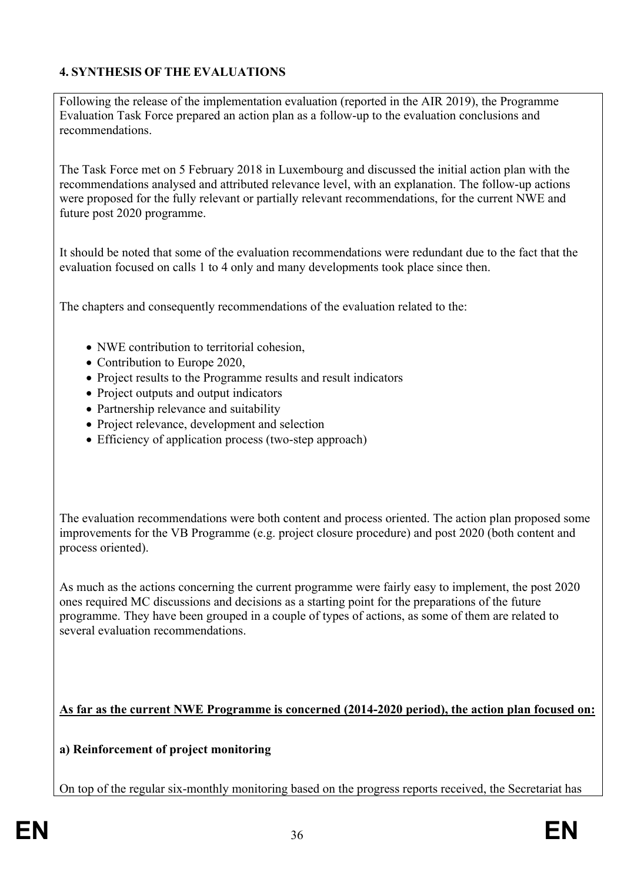## <span id="page-35-0"></span>**4. SYNTHESIS OF THE EVALUATIONS**

Following the release of the implementation evaluation (reported in the AIR 2019), the Programme Evaluation Task Force prepared an action plan as a follow-up to the evaluation conclusions and recommendations.

The Task Force met on 5 February 2018 in Luxembourg and discussed the initial action plan with the recommendations analysed and attributed relevance level, with an explanation. The follow-up actions were proposed for the fully relevant or partially relevant recommendations, for the current NWE and future post 2020 programme.

It should be noted that some of the evaluation recommendations were redundant due to the fact that the evaluation focused on calls 1 to 4 only and many developments took place since then.

The chapters and consequently recommendations of the evaluation related to the:

- NWE contribution to territorial cohesion,
- Contribution to Europe 2020,
- Project results to the Programme results and result indicators
- Project outputs and output indicators
- Partnership relevance and suitability
- Project relevance, development and selection
- Efficiency of application process (two-step approach)

The evaluation recommendations were both content and process oriented. The action plan proposed some improvements for the VB Programme (e.g. project closure procedure) and post 2020 (both content and process oriented).

As much as the actions concerning the current programme were fairly easy to implement, the post 2020 ones required MC discussions and decisions as a starting point for the preparations of the future programme. They have been grouped in a couple of types of actions, as some of them are related to several evaluation recommendations.

**As far as the current NWE Programme is concerned (2014-2020 period), the action plan focused on:**

**a) Reinforcement of project monitoring**

On top of the regular six-monthly monitoring based on the progress reports received, the Secretariat has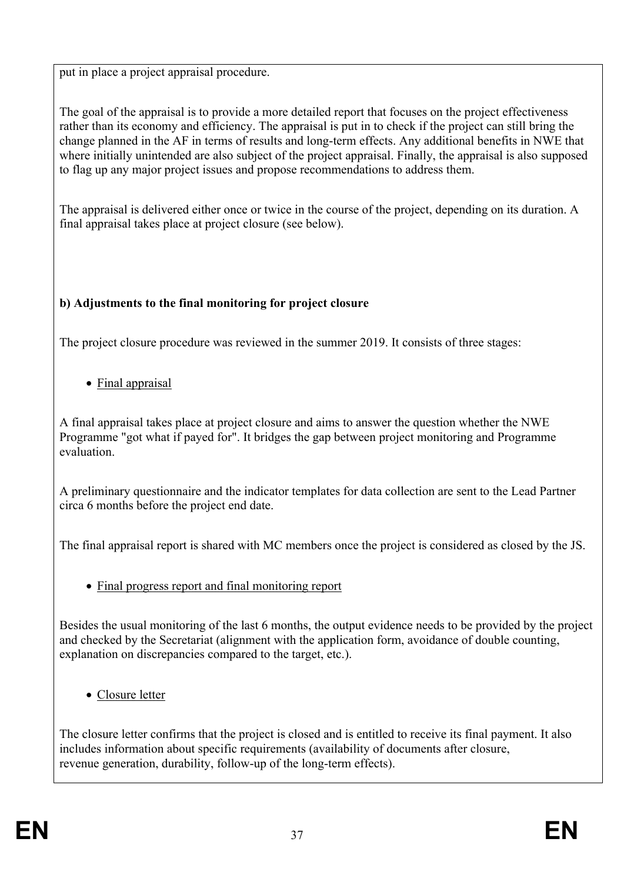put in place a project appraisal procedure.

The goal of the appraisal is to provide a more detailed report that focuses on the project effectiveness rather than its economy and efficiency. The appraisal is put in to check if the project can still bring the change planned in the AF in terms of results and long-term effects. Any additional benefits in NWE that where initially unintended are also subject of the project appraisal. Finally, the appraisal is also supposed to flag up any major project issues and propose recommendations to address them.

The appraisal is delivered either once or twice in the course of the project, depending on its duration. A final appraisal takes place at project closure (see below).

## **b) Adjustments to the final monitoring for project closure**

The project closure procedure was reviewed in the summer 2019. It consists of three stages:

• Final appraisal

A final appraisal takes place at project closure and aims to answer the question whether the NWE Programme "got what if payed for". It bridges the gap between project monitoring and Programme evaluation.

A preliminary questionnaire and the indicator templates for data collection are sent to the Lead Partner circa 6 months before the project end date.

The final appraisal report is shared with MC members once the project is considered as closed by the JS.

• Final progress report and final monitoring report

Besides the usual monitoring of the last 6 months, the output evidence needs to be provided by the project and checked by the Secretariat (alignment with the application form, avoidance of double counting, explanation on discrepancies compared to the target, etc.).

• Closure letter

The closure letter confirms that the project is closed and is entitled to receive its final payment. It also includes information about specific requirements (availability of documents after closure, revenue generation, durability, follow-up of the long-term effects).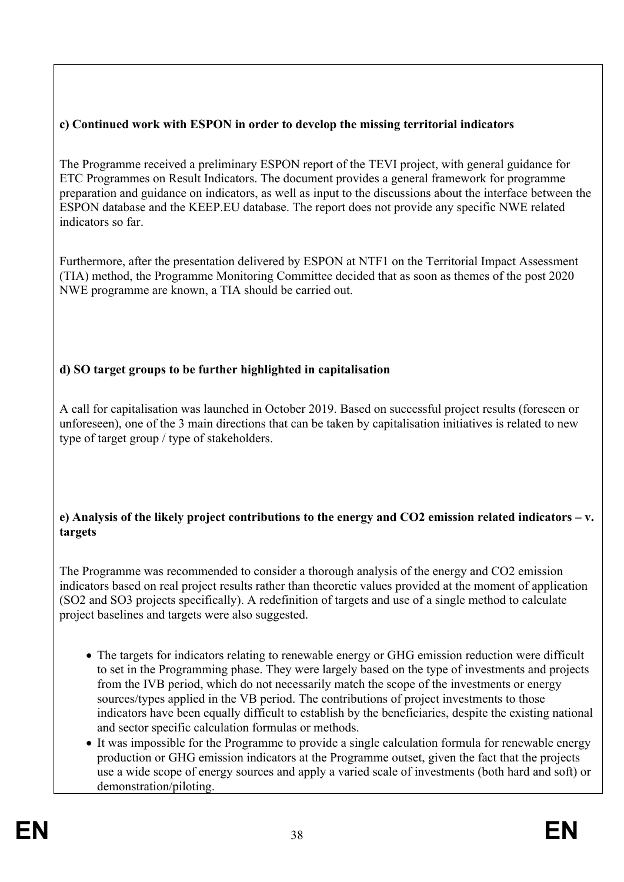## **c) Continued work with ESPON in order to develop the missing territorial indicators**

The Programme received a preliminary ESPON report of the TEVI project, with general guidance for ETC Programmes on Result Indicators. The document provides a general framework for programme preparation and guidance on indicators, as well as input to the discussions about the interface between the ESPON database and the KEEP.EU database. The report does not provide any specific NWE related indicators so far.

Furthermore, after the presentation delivered by ESPON at NTF1 on the Territorial Impact Assessment (TIA) method, the Programme Monitoring Committee decided that as soon as themes of the post 2020 NWE programme are known, a TIA should be carried out.

## **d) SO target groups to be further highlighted in capitalisation**

A call for capitalisation was launched in October 2019. Based on successful project results (foreseen or unforeseen), one of the 3 main directions that can be taken by capitalisation initiatives is related to new type of target group / type of stakeholders.

### **e) Analysis of the likely project contributions to the energy and CO2 emission related indicators – v. targets**

The Programme was recommended to consider a thorough analysis of the energy and CO2 emission indicators based on real project results rather than theoretic values provided at the moment of application (SO2 and SO3 projects specifically). A redefinition of targets and use of a single method to calculate project baselines and targets were also suggested.

- The targets for indicators relating to renewable energy or GHG emission reduction were difficult to set in the Programming phase. They were largely based on the type of investments and projects from the IVB period, which do not necessarily match the scope of the investments or energy sources/types applied in the VB period. The contributions of project investments to those indicators have been equally difficult to establish by the beneficiaries, despite the existing national and sector specific calculation formulas or methods.
- It was impossible for the Programme to provide a single calculation formula for renewable energy production or GHG emission indicators at the Programme outset, given the fact that the projects use a wide scope of energy sources and apply a varied scale of investments (both hard and soft) or demonstration/piloting.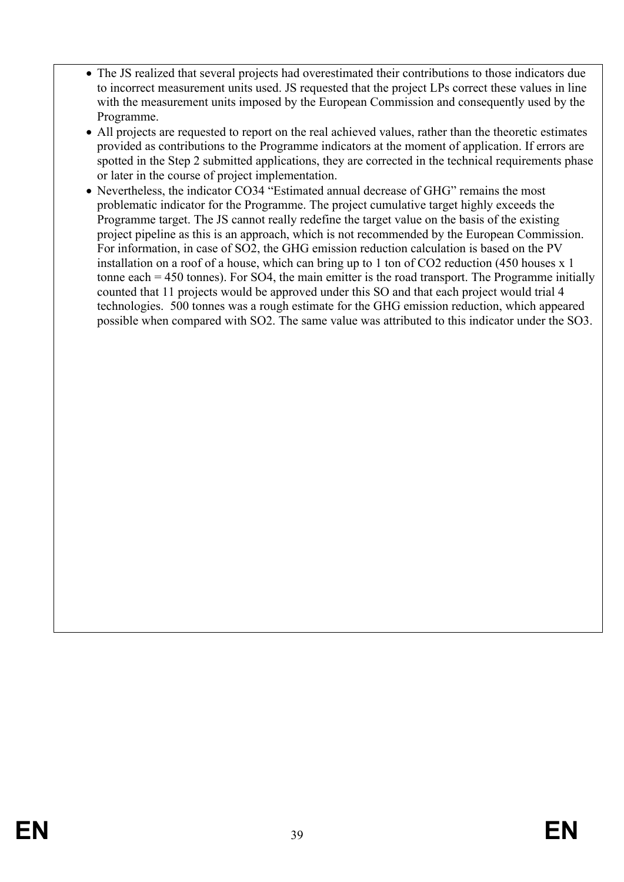- The JS realized that several projects had overestimated their contributions to those indicators due to incorrect measurement units used. JS requested that the project LPs correct these values in line with the measurement units imposed by the European Commission and consequently used by the Programme.
- All projects are requested to report on the real achieved values, rather than the theoretic estimates provided as contributions to the Programme indicators at the moment of application. If errors are spotted in the Step 2 submitted applications, they are corrected in the technical requirements phase or later in the course of project implementation.
- Nevertheless, the indicator CO34 "Estimated annual decrease of GHG" remains the most problematic indicator for the Programme. The project cumulative target highly exceeds the Programme target. The JS cannot really redefine the target value on the basis of the existing project pipeline as this is an approach, which is not recommended by the European Commission. For information, in case of SO2, the GHG emission reduction calculation is based on the PV installation on a roof of a house, which can bring up to 1 ton of CO2 reduction (450 houses x 1 tonne each = 450 tonnes). For SO4, the main emitter is the road transport. The Programme initially counted that 11 projects would be approved under this SO and that each project would trial 4 technologies. 500 tonnes was a rough estimate for the GHG emission reduction, which appeared possible when compared with SO2. The same value was attributed to this indicator under the SO3.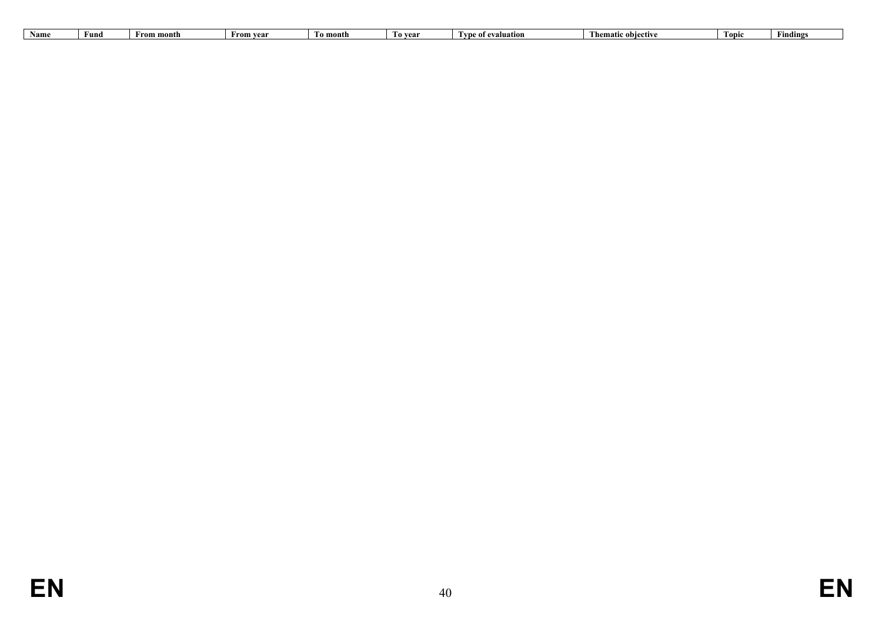| Name<br>I`o vear<br>'o month<br>From year<br>month<br><b>Liver</b><br>- 11 m c<br>* evaluation<br>Froi<br>т инч |  | - |  | Thematic objective | <b>Topic</b> | indings |
|-----------------------------------------------------------------------------------------------------------------|--|---|--|--------------------|--------------|---------|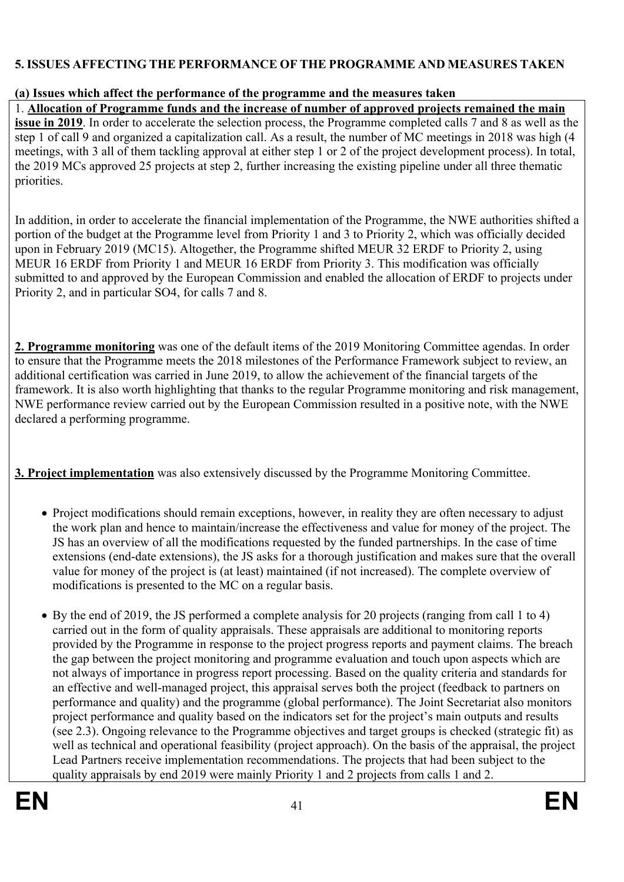## <span id="page-40-0"></span>**5. ISSUES AFFECTING THE PERFORMANCE OF THE PROGRAMME AND MEASURES TAKEN**

### <span id="page-40-1"></span>**(a) Issues which affect the performance of the programme and the measures taken**

1. **Allocation of Programme funds and the increase of number of approved projects remained the main issue in 2019**. In order to accelerate the selection process, the Programme completed calls 7 and 8 as well as the step 1 of call 9 and organized a capitalization call. As a result, the number of MC meetings in 2018 was high (4 meetings, with 3 all of them tackling approval at either step 1 or 2 of the project development process). In total, the 2019 MCs approved 25 projects at step 2, further increasing the existing pipeline under all three thematic priorities.

In addition, in order to accelerate the financial implementation of the Programme, the NWE authorities shifted a portion of the budget at the Programme level from Priority 1 and 3 to Priority 2, which was officially decided upon in February 2019 (MC15). Altogether, the Programme shifted MEUR 32 ERDF to Priority 2, using MEUR 16 ERDF from Priority 1 and MEUR 16 ERDF from Priority 3. This modification was officially submitted to and approved by the European Commission and enabled the allocation of ERDF to projects under Priority 2, and in particular SO4, for calls 7 and 8.

**2. Programme monitoring** was one of the default items of the 2019 Monitoring Committee agendas. In order to ensure that the Programme meets the 2018 milestones of the Performance Framework subject to review, an additional certification was carried in June 2019, to allow the achievement of the financial targets of the framework. It is also worth highlighting that thanks to the regular Programme monitoring and risk management, NWE performance review carried out by the European Commission resulted in a positive note, with the NWE declared a performing programme.

**3. Project implementation** was also extensively discussed by the Programme Monitoring Committee.

- Project modifications should remain exceptions, however, in reality they are often necessary to adjust the work plan and hence to maintain/increase the effectiveness and value for money of the project. The JS has an overview of all the modifications requested by the funded partnerships. In the case of time extensions (end-date extensions), the JS asks for a thorough justification and makes sure that the overall value for money of the project is (at least) maintained (if not increased). The complete overview of modifications is presented to the MC on a regular basis.
- By the end of 2019, the JS performed a complete analysis for 20 projects (ranging from call 1 to 4) carried out in the form of quality appraisals. These appraisals are additional to monitoring reports provided by the Programme in response to the project progress reports and payment claims. The breach the gap between the project monitoring and programme evaluation and touch upon aspects which are not always of importance in progress report processing. Based on the quality criteria and standards for an effective and well-managed project, this appraisal serves both the project (feedback to partners on performance and quality) and the programme (global performance). The Joint Secretariat also monitors project performance and quality based on the indicators set for the project's main outputs and results (see 2.3). Ongoing relevance to the Programme objectives and target groups is checked (strategic fit) as well as technical and operational feasibility (project approach). On the basis of the appraisal, the project Lead Partners receive implementation recommendations. The projects that had been subject to the quality appraisals by end 2019 were mainly Priority 1 and 2 projects from calls 1 and 2.

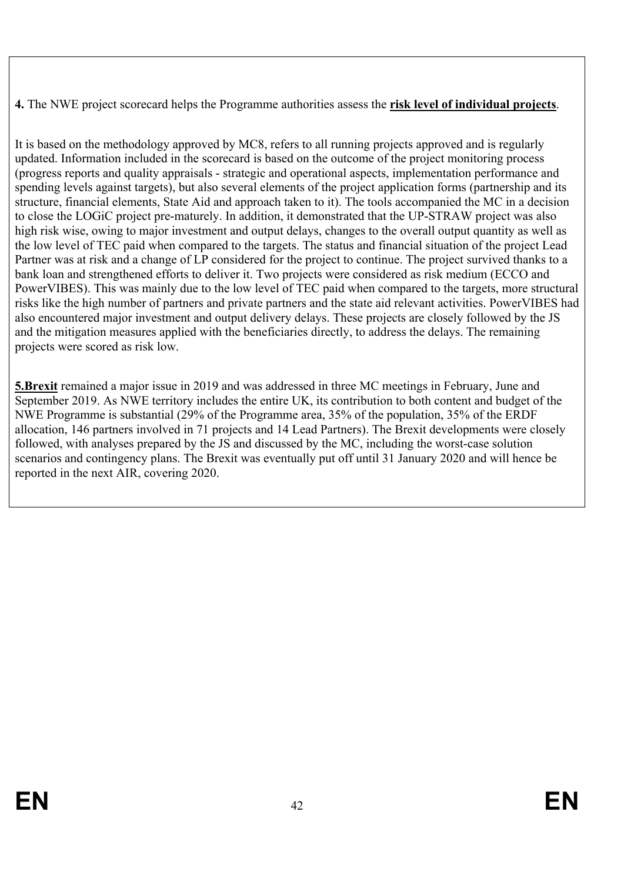**4.** The NWE project scorecard helps the Programme authorities assess the **risk level of individual projects**.

It is based on the methodology approved by MC8, refers to all running projects approved and is regularly updated. Information included in the scorecard is based on the outcome of the project monitoring process (progress reports and quality appraisals - strategic and operational aspects, implementation performance and spending levels against targets), but also several elements of the project application forms (partnership and its structure, financial elements, State Aid and approach taken to it). The tools accompanied the MC in a decision to close the LOGiC project pre-maturely. In addition, it demonstrated that the UP-STRAW project was also high risk wise, owing to major investment and output delays, changes to the overall output quantity as well as the low level of TEC paid when compared to the targets. The status and financial situation of the project Lead Partner was at risk and a change of LP considered for the project to continue. The project survived thanks to a bank loan and strengthened efforts to deliver it. Two projects were considered as risk medium (ECCO and PowerVIBES). This was mainly due to the low level of TEC paid when compared to the targets, more structural risks like the high number of partners and private partners and the state aid relevant activities. PowerVIBES had also encountered major investment and output delivery delays. These projects are closely followed by the JS and the mitigation measures applied with the beneficiaries directly, to address the delays. The remaining projects were scored as risk low.

**5.Brexit** remained a major issue in 2019 and was addressed in three MC meetings in February, June and September 2019. As NWE territory includes the entire UK, its contribution to both content and budget of the NWE Programme is substantial (29% of the Programme area, 35% of the population, 35% of the ERDF allocation, 146 partners involved in 71 projects and 14 Lead Partners). The Brexit developments were closely followed, with analyses prepared by the JS and discussed by the MC, including the worst-case solution scenarios and contingency plans. The Brexit was eventually put off until 31 January 2020 and will hence be reported in the next AIR, covering 2020.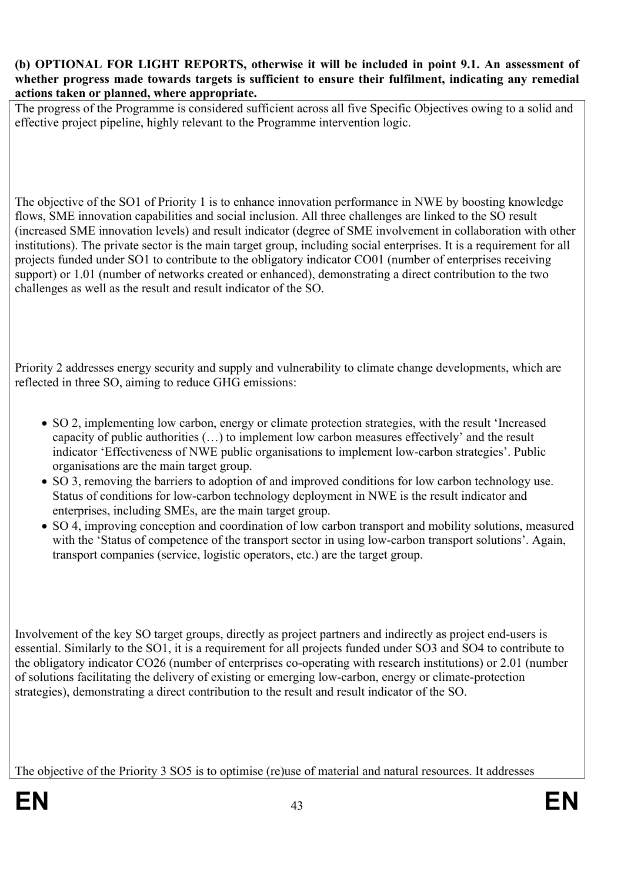#### <span id="page-42-0"></span>**(b) OPTIONAL FOR LIGHT REPORTS, otherwise it will be included in point 9.1. An assessment of whether progress made towards targets is sufficient to ensure their fulfilment, indicating any remedial actions taken or planned, where appropriate.**

The progress of the Programme is considered sufficient across all five Specific Objectives owing to a solid and effective project pipeline, highly relevant to the Programme intervention logic.

The objective of the SO1 of Priority 1 is to enhance innovation performance in NWE by boosting knowledge flows, SME innovation capabilities and social inclusion. All three challenges are linked to the SO result (increased SME innovation levels) and result indicator (degree of SME involvement in collaboration with other institutions). The private sector is the main target group, including social enterprises. It is a requirement for all projects funded under SO1 to contribute to the obligatory indicator CO01 (number of enterprises receiving support) or 1.01 (number of networks created or enhanced), demonstrating a direct contribution to the two challenges as well as the result and result indicator of the SO.

Priority 2 addresses energy security and supply and vulnerability to climate change developments, which are reflected in three SO, aiming to reduce GHG emissions:

- SO 2, implementing low carbon, energy or climate protection strategies, with the result 'Increased capacity of public authorities (…) to implement low carbon measures effectively' and the result indicator 'Effectiveness of NWE public organisations to implement low-carbon strategies'. Public organisations are the main target group.
- SO 3, removing the barriers to adoption of and improved conditions for low carbon technology use. Status of conditions for low-carbon technology deployment in NWE is the result indicator and enterprises, including SMEs, are the main target group.
- SO 4, improving conception and coordination of low carbon transport and mobility solutions, measured with the 'Status of competence of the transport sector in using low-carbon transport solutions'. Again, transport companies (service, logistic operators, etc.) are the target group.

Involvement of the key SO target groups, directly as project partners and indirectly as project end-users is essential. Similarly to the SO1, it is a requirement for all projects funded under SO3 and SO4 to contribute to the obligatory indicator CO26 (number of enterprises co-operating with research institutions) or 2.01 (number of solutions facilitating the delivery of existing or emerging low-carbon, energy or climate-protection strategies), demonstrating a direct contribution to the result and result indicator of the SO.

The objective of the Priority 3 SO5 is to optimise (re)use of material and natural resources. It addresses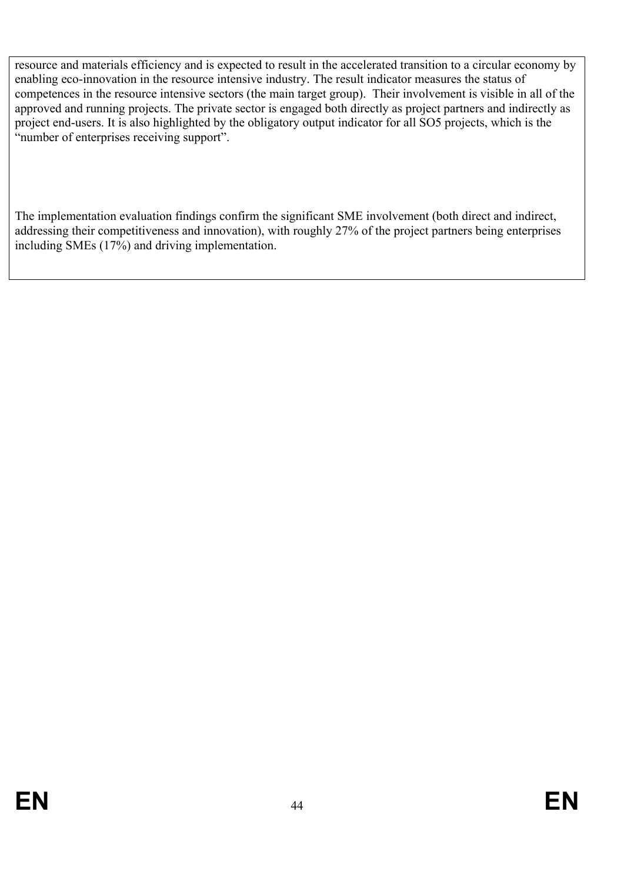resource and materials efficiency and is expected to result in the accelerated transition to a circular economy by enabling eco-innovation in the resource intensive industry. The result indicator measures the status of competences in the resource intensive sectors (the main target group). Their involvement is visible in all of the approved and running projects. The private sector is engaged both directly as project partners and indirectly as project end-users. It is also highlighted by the obligatory output indicator for all SO5 projects, which is the "number of enterprises receiving support".

The implementation evaluation findings confirm the significant SME involvement (both direct and indirect, addressing their competitiveness and innovation), with roughly 27% of the project partners being enterprises including SMEs (17%) and driving implementation.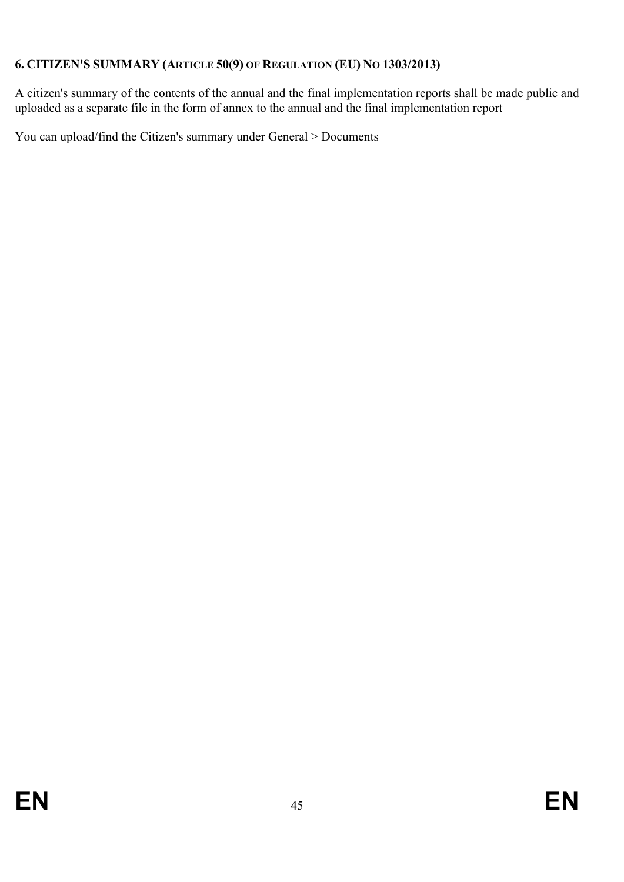## <span id="page-44-0"></span>**6. CITIZEN'S SUMMARY (ARTICLE 50(9) OF REGULATION (EU) NO 1303/2013)**

A citizen's summary of the contents of the annual and the final implementation reports shall be made public and uploaded as a separate file in the form of annex to the annual and the final implementation report

You can upload/find the Citizen's summary under General > Documents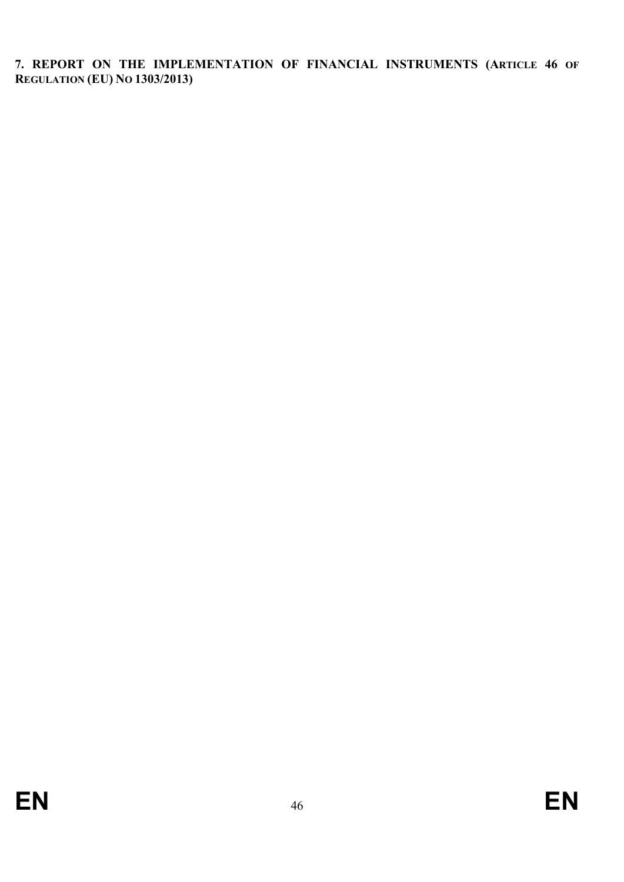<span id="page-45-0"></span>**7. REPORT ON THE IMPLEMENTATION OF FINANCIAL INSTRUMENTS (ARTICLE 46 OF REGULATION (EU) NO 1303/2013)**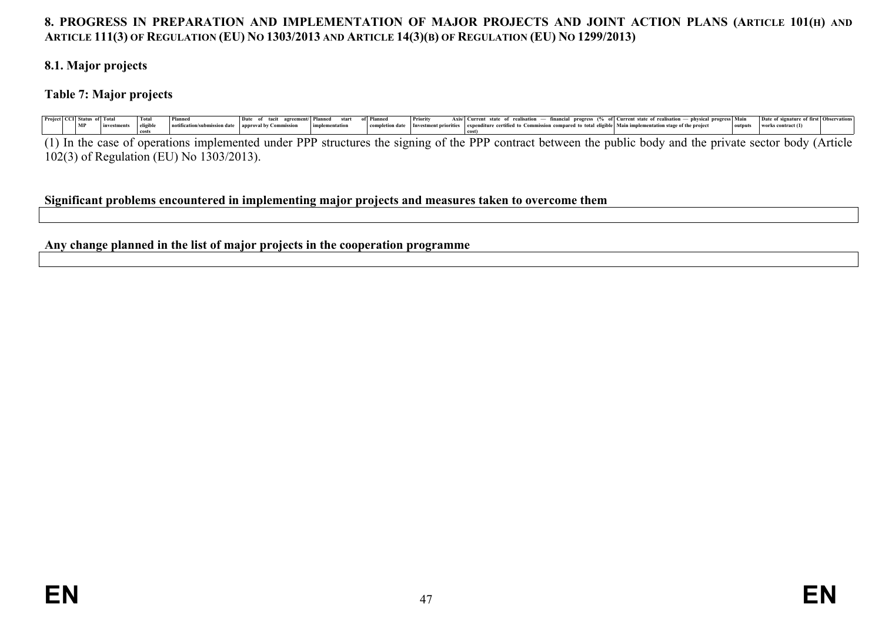## 8. PROGRESS IN PREPARATION AND IMPLEMENTATION OF MAJOR PROJECTS AND JOINT ACTION PLANS (ARTICLE 101(H) AND ARTICLE 111(3) OF REGULATION (EU) NO 1303/2013 AND ARTICLE 14(3)(B) OF REGULATION (EU) NO 1299/2013)

#### **8.1. Major projects**

### **Table 7: Major projects**

|  | Project   CCI   Status of   Total |                      | <b>Tota</b> | Planned                                                                | Date of tacit agreement/ Planned start of Planned |  | Priority | Axis/ Current state of realisation — financial progress (% of Current state of realisation — physical progress Main   Date of signature of first   Observations |  |                            |  |
|--|-----------------------------------|----------------------|-------------|------------------------------------------------------------------------|---------------------------------------------------|--|----------|-----------------------------------------------------------------------------------------------------------------------------------------------------------------|--|----------------------------|--|
|  | MP                                | investments eligible |             | notification/submission date   approval by Commission   implementation |                                                   |  |          | completion date Investment priorities expenditure certified to Commission compared to total eligible Main implementation stage of the project                   |  | outputs works contract (1) |  |
|  |                                   |                      |             |                                                                        |                                                   |  |          |                                                                                                                                                                 |  |                            |  |

(1) In the case of operations implemented under PPP structures the signing of the PPP contract between the public body and the private sector body (Article 102(3) of Regulation (EU) No 1303/2013).

#### **Significant problems encountered in implementing major projects and measures taken to overcome them**

<span id="page-46-4"></span><span id="page-46-3"></span><span id="page-46-2"></span><span id="page-46-1"></span><span id="page-46-0"></span>**Any change planned in the list of major projects in the cooperation programme**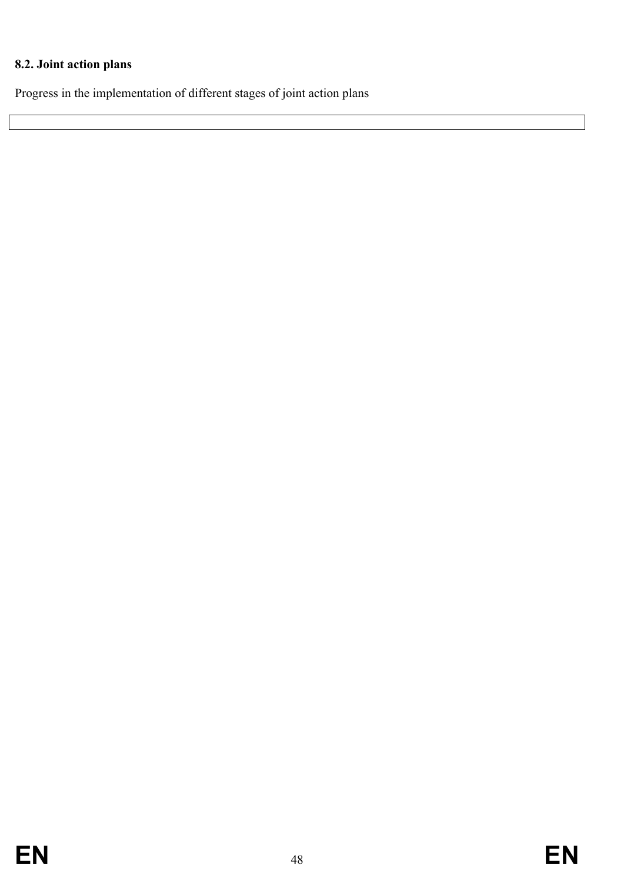## <span id="page-47-0"></span>**8.2. Joint action plans**

Progress in the implementation of different stages of joint action plans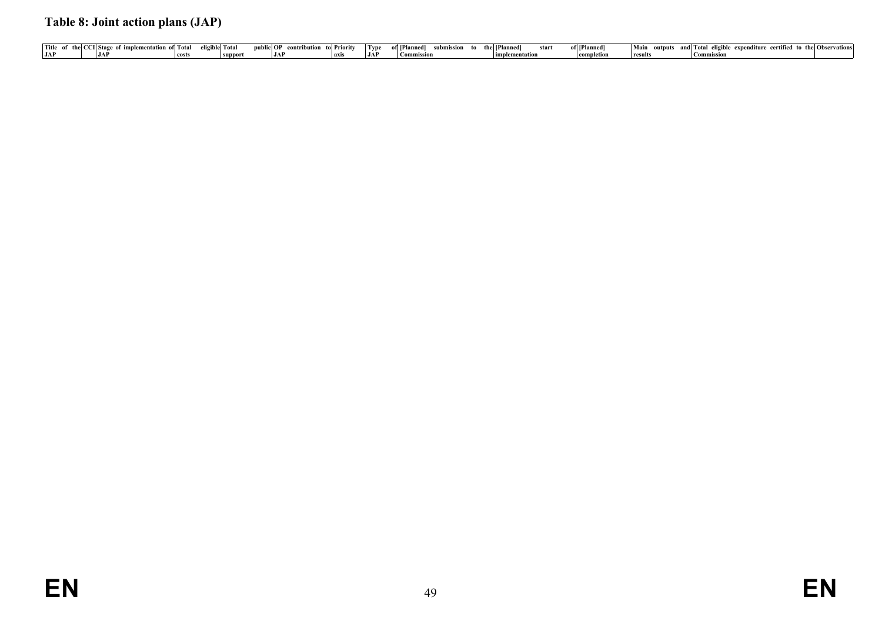## **Table 8: Joint action plans (JAP)**

<span id="page-48-0"></span>

|     |                                                   |       | eligible  Total |     |                                    |          |                            |                  |       |              |         |                                                                           |  |
|-----|---------------------------------------------------|-------|-----------------|-----|------------------------------------|----------|----------------------------|------------------|-------|--------------|---------|---------------------------------------------------------------------------|--|
|     | Title of the CCI Stage of implementation of Total |       |                 |     | public OP contribution to Priority | $ $ Type | of [Planned]<br>submission | to the [Planned] | start | of [Planned] |         | Main outputs and Total eligible expenditure certified to the Observations |  |
|     |                                                   |       |                 |     |                                    |          |                            |                  |       |              |         |                                                                           |  |
| JAP | JAP                                               | costs |                 | JAP |                                    | JAP      | Commission                 | limplementation  |       | completion   | results | ' Commission                                                              |  |
|     |                                                   |       |                 |     |                                    |          |                            |                  |       |              |         |                                                                           |  |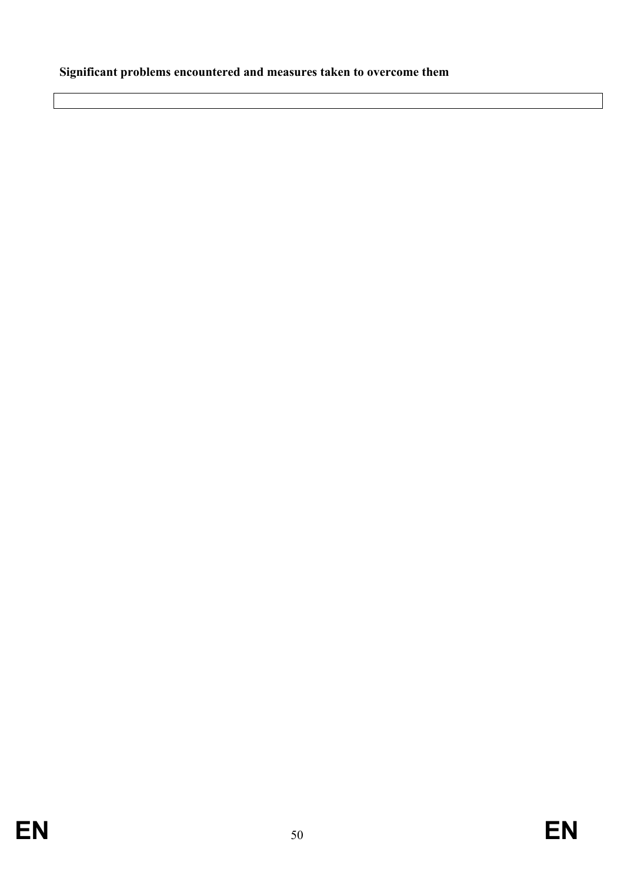# <span id="page-49-0"></span>**Significant problems encountered and measures taken to overcome them**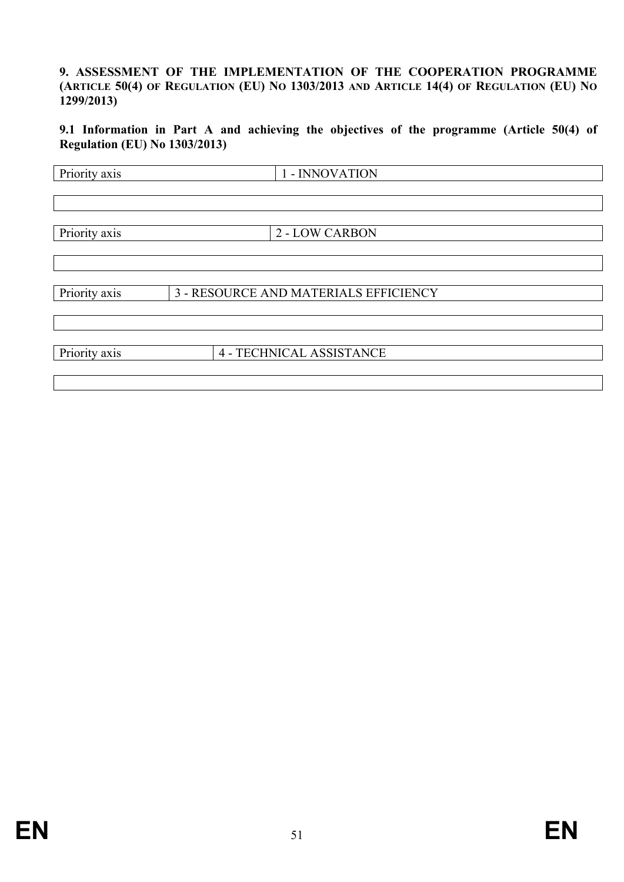#### <span id="page-50-0"></span>**9. ASSESSMENT OF THE IMPLEMENTATION OF THE COOPERATION PROGRAMME** (ARTICLE 50(4) OF REGULATION (EU) NO 1303/2013 AND ARTICLE 14(4) OF REGULATION (EU) NO **1299/2013)**

<span id="page-50-1"></span>**9.1 Information in Part A and achieving the objectives of the programme (Article 50(4) of Regulation (EU) No 1303/2013)**

| Priority axis | 1 - INNOVATION                        |  |
|---------------|---------------------------------------|--|
|               |                                       |  |
|               |                                       |  |
|               |                                       |  |
| Priority axis | <b>2 - LOW CARBON</b>                 |  |
|               |                                       |  |
|               |                                       |  |
| Priority axis | 3 - RESOURCE AND MATERIALS EFFICIENCY |  |
|               |                                       |  |
|               |                                       |  |
| Priority axis | 4 - TECHNICAL ASSISTANCE              |  |
|               |                                       |  |
|               |                                       |  |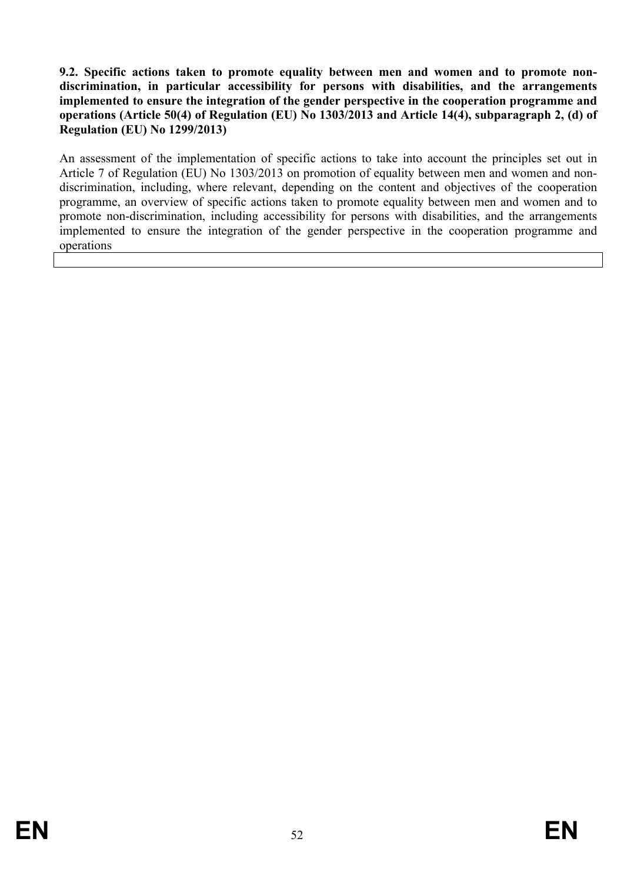#### <span id="page-51-0"></span>**9.2. Specific actions taken to promote equality between men and women and to promote nondiscrimination, in particular accessibility for persons with disabilities, and the arrangements implemented to ensure the integration of the gender perspective in the cooperation programme and operations (Article 50(4) of Regulation (EU) No 1303/2013 and Article 14(4), subparagraph 2, (d) of Regulation (EU) No 1299/2013)**

An assessment of the implementation of specific actions to take into account the principles set out in Article 7 of Regulation (EU) No 1303/2013 on promotion of equality between men and women and nondiscrimination, including, where relevant, depending on the content and objectives of the cooperation programme, an overview of specific actions taken to promote equality between men and women and to promote non-discrimination, including accessibility for persons with disabilities, and the arrangements implemented to ensure the integration of the gender perspective in the cooperation programme and operations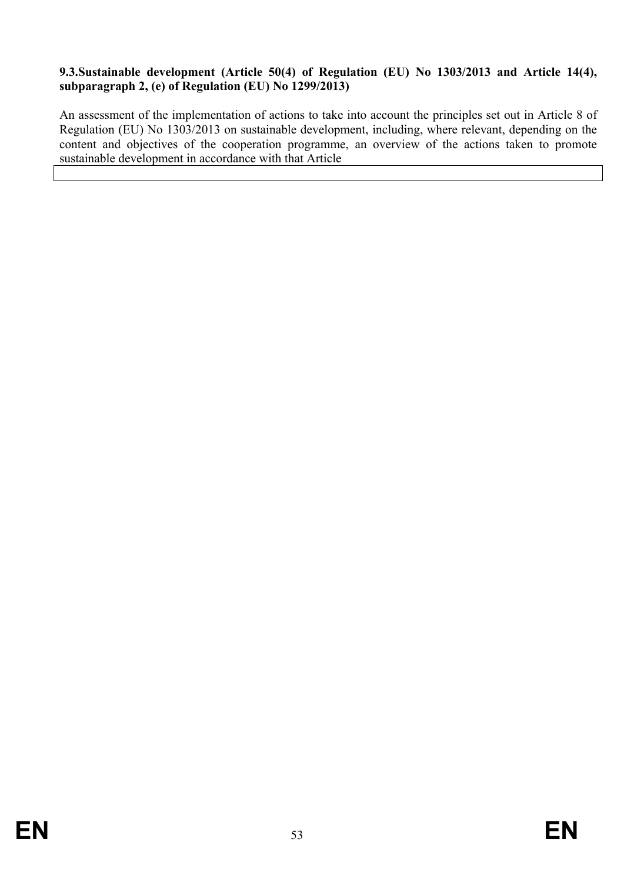### <span id="page-52-0"></span>**9.3.Sustainable development (Article 50(4) of Regulation (EU) No 1303/2013 and Article 14(4), subparagraph 2, (e) of Regulation (EU) No 1299/2013)**

An assessment of the implementation of actions to take into account the principles set out in Article 8 of Regulation (EU) No 1303/2013 on sustainable development, including, where relevant, depending on the content and objectives of the cooperation programme, an overview of the actions taken to promote sustainable development in accordance with that Article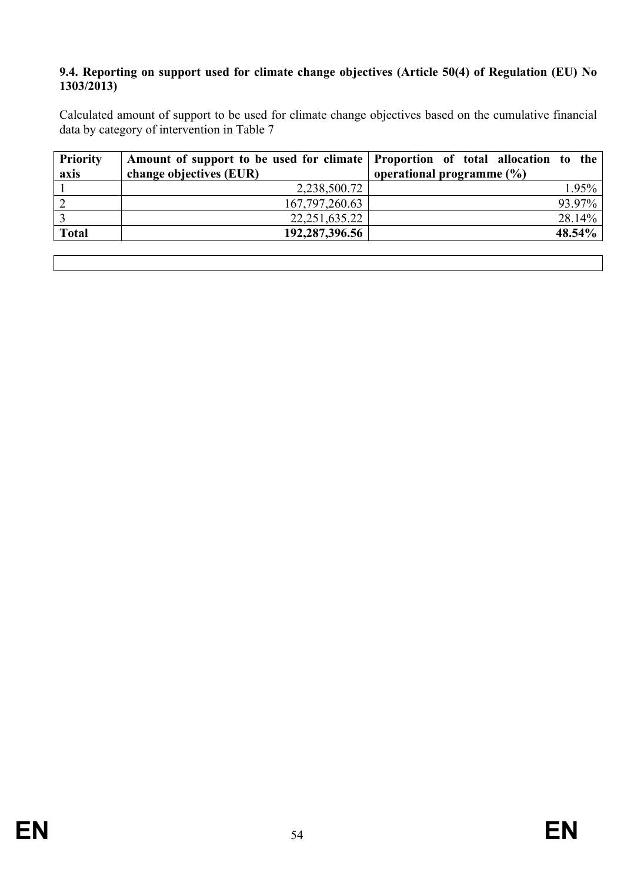#### <span id="page-53-0"></span>**9.4. Reporting on support used for climate change objectives (Article 50(4) of Regulation (EU) No 1303/2013)**

Calculated amount of support to be used for climate change objectives based on the cumulative financial data by category of intervention in Table 7

| <b>Priority</b> | Amount of support to be used for climate Proportion of total allocation to the |                               |
|-----------------|--------------------------------------------------------------------------------|-------------------------------|
| axis            | change objectives (EUR)                                                        | operational programme $(\% )$ |
|                 | 2,238,500.72                                                                   | $1.95\%$                      |
|                 | 167, 797, 260. 63                                                              | 93.97%                        |
|                 | 22, 251, 635. 22                                                               | $28.14\%$                     |
| <b>Total</b>    | 192,287,396.56                                                                 | $48.54\%$                     |
|                 |                                                                                |                               |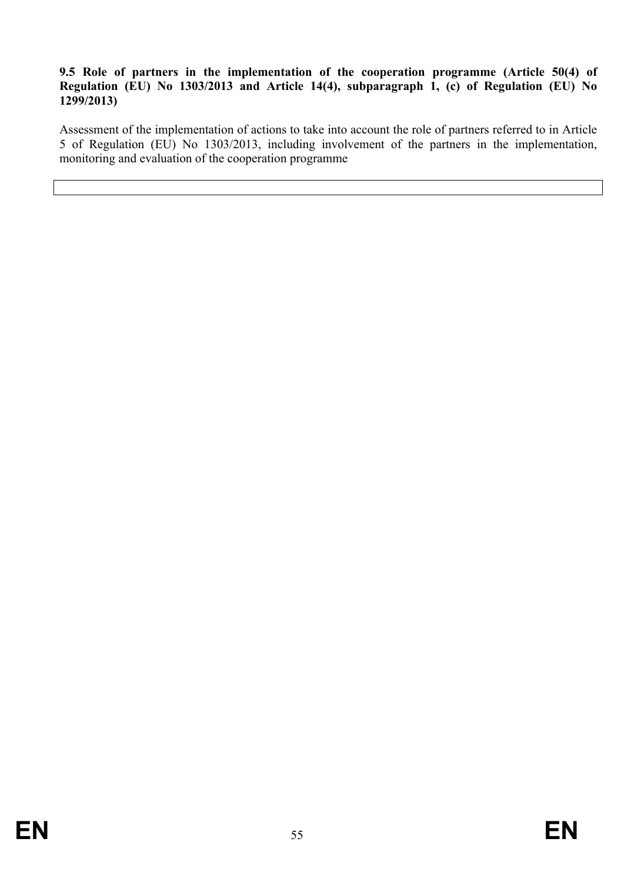### <span id="page-54-0"></span>**9.5 Role of partners in the implementation of the cooperation programme (Article 50(4) of Regulation (EU) No 1303/2013 and Article 14(4), subparagraph 1, (c) of Regulation (EU) No 1299/2013)**

Assessment of the implementation of actions to take into account the role of partners referred to in Article 5 of Regulation (EU) No 1303/2013, including involvement of the partners in the implementation, monitoring and evaluation of the cooperation programme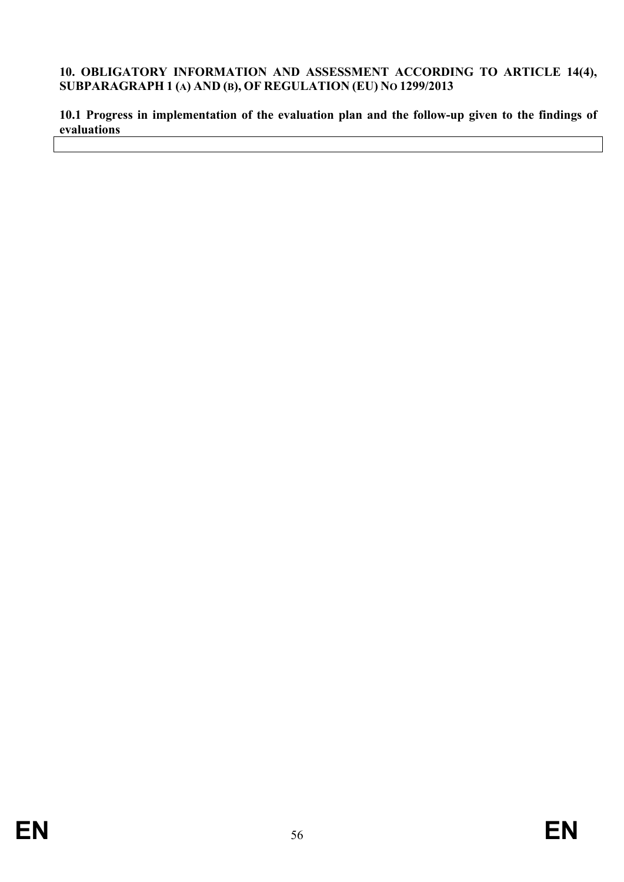#### <span id="page-55-0"></span>**10. OBLIGATORY INFORMATION AND ASSESSMENT ACCORDING TO ARTICLE 14(4), SUBPARAGRAPH 1 (A) AND (B), OF REGULATION (EU) NO 1299/2013**

<span id="page-55-1"></span>**10.1 Progress in implementation of the evaluation plan and the follow-up given to the findings of evaluations**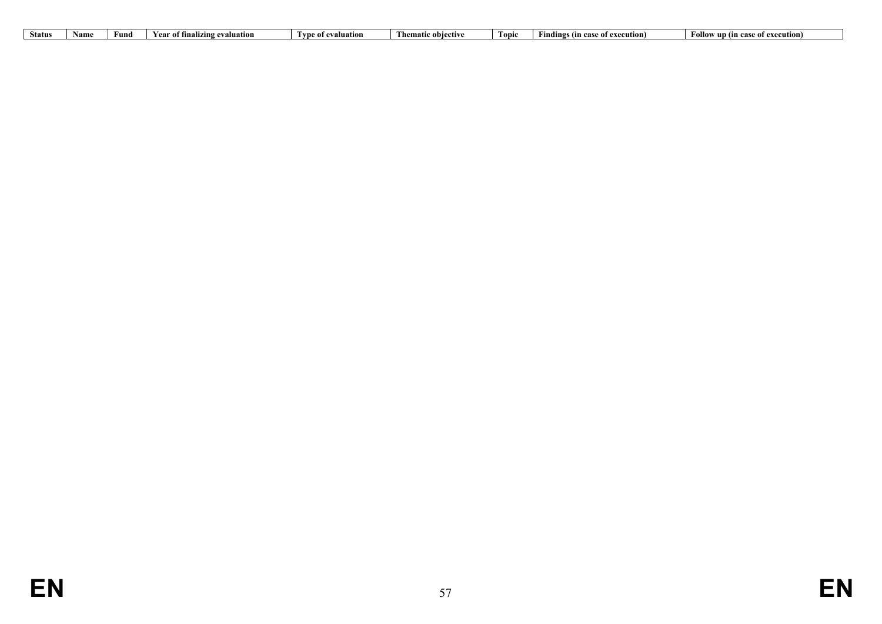| <b>Status</b> | Nam | Fun | Nuation.<br><b>Year of fina</b><br>…nalızın"<br>eva | Type of evaluation | Thematic objective | 'Foni | ិ of execution) =<br>adings (in case | Follow up<br>execution)<br>case of exe<br>- (In |
|---------------|-----|-----|-----------------------------------------------------|--------------------|--------------------|-------|--------------------------------------|-------------------------------------------------|
|               |     |     |                                                     |                    |                    |       |                                      |                                                 |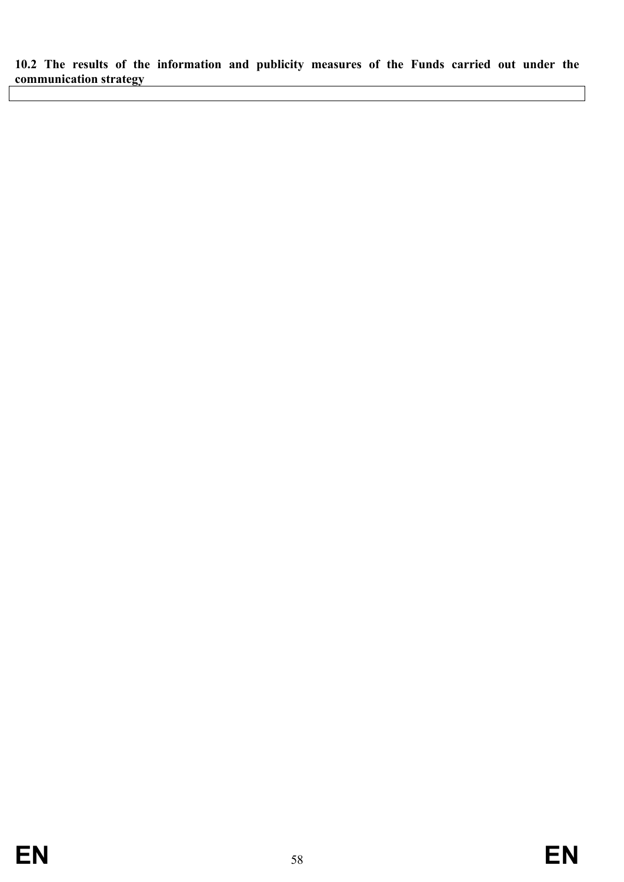<span id="page-57-0"></span>**10.2 The results of the information and publicity measures of the Funds carried out under the communication strategy**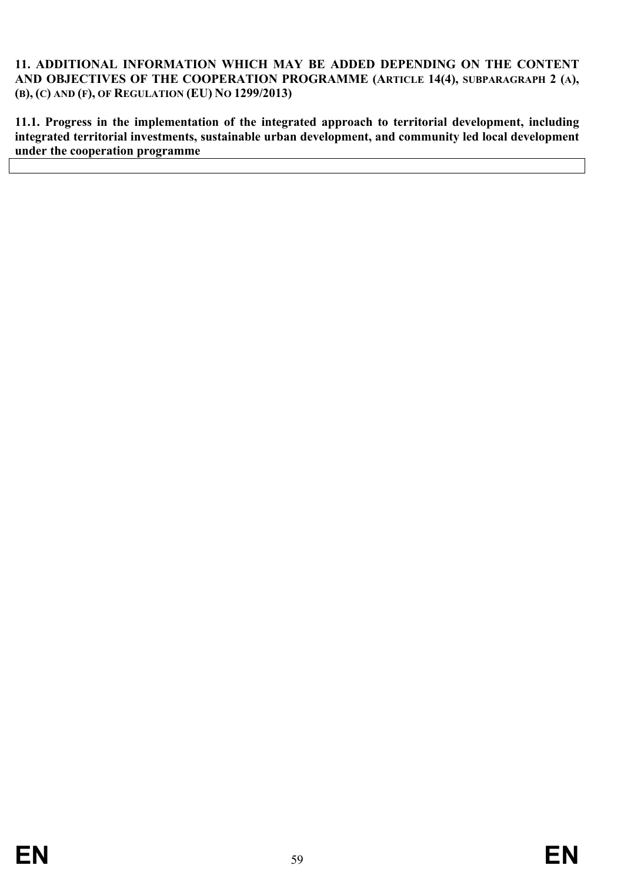#### <span id="page-58-0"></span>**11. ADDITIONAL INFORMATION WHICH MAY BE ADDED DEPENDING ON THE CONTENT AND OBJECTIVES OF THE COOPERATION PROGRAMME (ARTICLE 14(4), SUBPARAGRAPH 2 (A), (B), (C) AND (F), OF REGULATION (EU) NO 1299/2013)**

<span id="page-58-1"></span>**11.1. Progress in the implementation of the integrated approach to territorial development, including integrated territorial investments, sustainable urban development, and community led local development under the cooperation programme**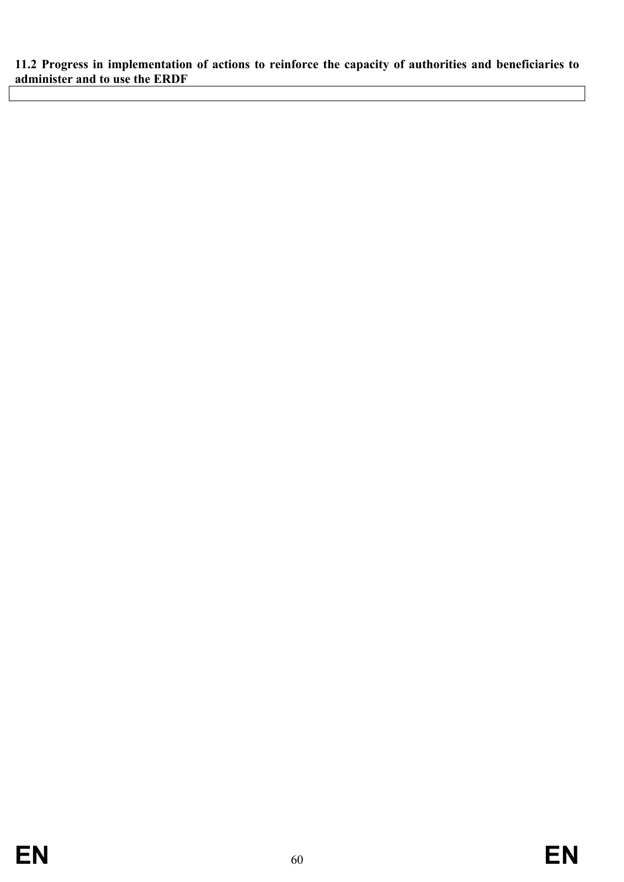<span id="page-59-0"></span>**11.2 Progress in implementation of actions to reinforce the capacity of authorities and beneficiaries to administer and to use the ERDF**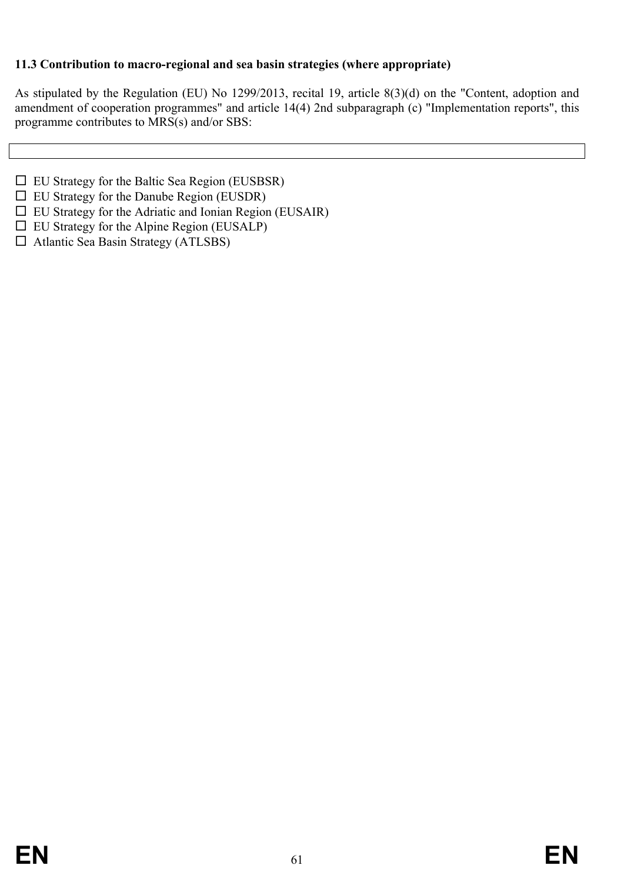### <span id="page-60-0"></span>**11.3 Contribution to macro-regional and sea basin strategies (where appropriate)**

As stipulated by the Regulation (EU) No 1299/2013, recital 19, article 8(3)(d) on the "Content, adoption and amendment of cooperation programmes" and article 14(4) 2nd subparagraph (c) "Implementation reports", this programme contributes to MRS(s) and/or SBS:

- $\Box$  EU Strategy for the Baltic Sea Region (EUSBSR)
- $\Box$  EU Strategy for the Danube Region (EUSDR)
- $\Box$  EU Strategy for the Adriatic and Ionian Region (EUSAIR)
- $\Box$  EU Strategy for the Alpine Region (EUSALP)
- $\Box$  Atlantic Sea Basin Strategy (ATLSBS)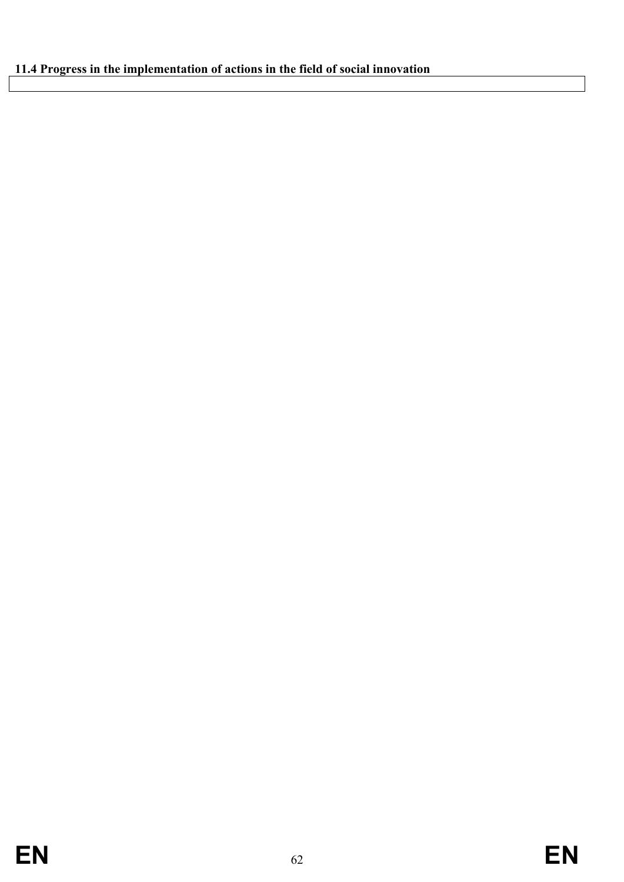# <span id="page-61-0"></span>**11.4 Progress in the implementation of actions in the field of social innovation**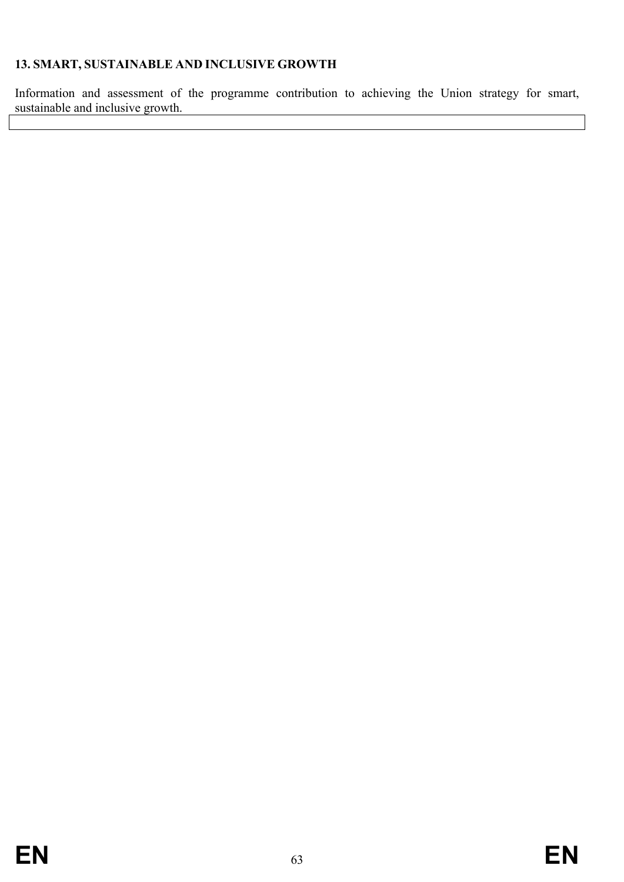## <span id="page-62-0"></span>**13. SMART, SUSTAINABLE AND INCLUSIVE GROWTH**

Information and assessment of the programme contribution to achieving the Union strategy for smart, sustainable and inclusive growth.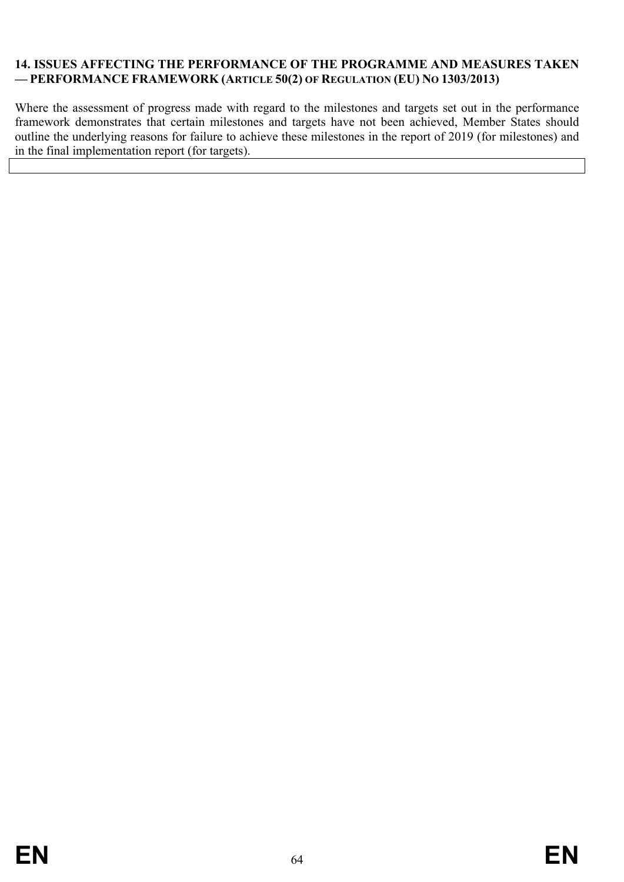### <span id="page-63-0"></span>**14. ISSUES AFFECTING THE PERFORMANCE OF THE PROGRAMME AND MEASURES TAKEN — PERFORMANCE FRAMEWORK (ARTICLE 50(2) OF REGULATION (EU) NO 1303/2013)**

Where the assessment of progress made with regard to the milestones and targets set out in the performance framework demonstrates that certain milestones and targets have not been achieved, Member States should outline the underlying reasons for failure to achieve these milestones in the report of 2019 (for milestones) and in the final implementation report (for targets).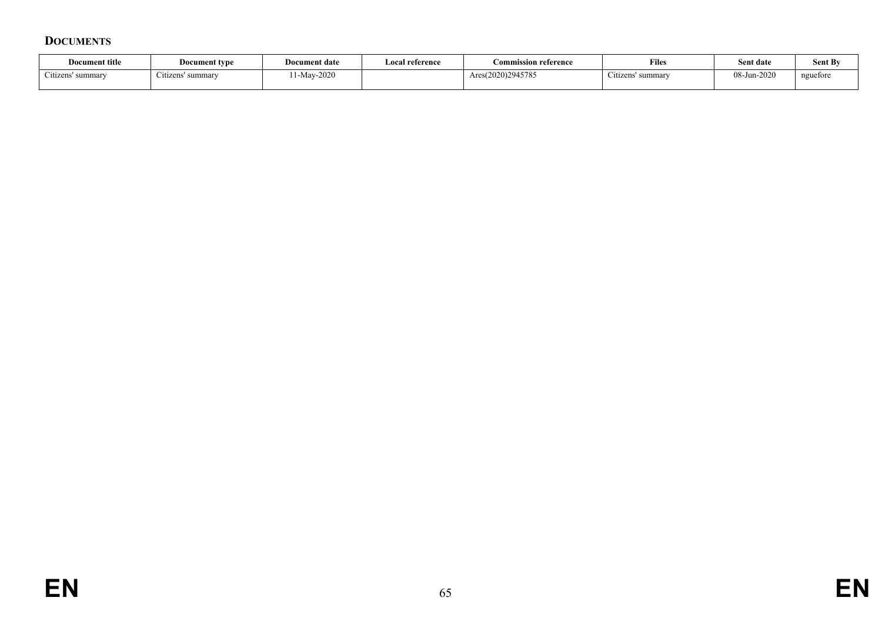### **DOCUMENTS**

<span id="page-64-0"></span>

| Document title         | Document type     | Document date | Local reference | Commission reference | <b>Files</b>                | Sent date   | <b>Sent By</b> |
|------------------------|-------------------|---------------|-----------------|----------------------|-----------------------------|-------------|----------------|
| ~<br>Citizens' summary | Citizens' summary | $-Mav-2020$   |                 | Ares(2020)2945785    | $\sim$<br>Citizens' summary | 08-Jun-2020 | nguefore       |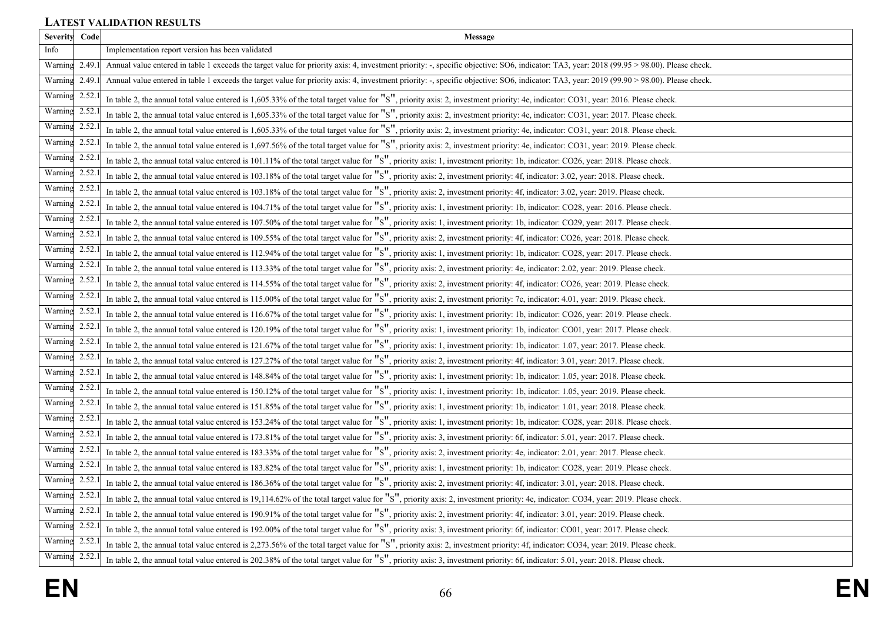## **LATEST VALIDATION RESULTS**

<span id="page-65-0"></span>

| <b>Severity</b> | Code   | Message                                                                                                                                                                                   |
|-----------------|--------|-------------------------------------------------------------------------------------------------------------------------------------------------------------------------------------------|
| Info            |        | Implementation report version has been validated                                                                                                                                          |
| Warning         | 2.49.1 | Annual value entered in table 1 exceeds the target value for priority axis: 4, investment priority: -, specific objective: SO6, indicator: TA3, year: 2018 (99.95 > 98.00). Please check. |
| Warning         | 2.49.  | Annual value entered in table 1 exceeds the target value for priority axis: 4, investment priority: -, specific objective: SO6, indicator: TA3, year: 2019 (99.90 > 98.00). Please check. |
| Warning 2.52.   |        | In table 2, the annual total value entered is 1,605.33% of the total target value for "S", priority axis: 2, investment priority: 4e, indicator: CO31, year: 2016. Please check.          |
| Warning 2.52.   |        | In table 2, the annual total value entered is 1,605.33% of the total target value for "S", priority axis: 2, investment priority: 4e, indicator: CO31, year: 2017. Please check.          |
| Warning 2.52.   |        | In table 2, the annual total value entered is 1,605.33% of the total target value for "S", priority axis: 2, investment priority: 4e, indicator: CO31, year: 2018. Please check.          |
| Warning 2.52.   |        | In table 2, the annual total value entered is 1,697.56% of the total target value for "S", priority axis: 2, investment priority: 4e, indicator: CO31, year: 2019. Please check.          |
| Warning 2.52.   |        | In table 2, the annual total value entered is 101.11% of the total target value for "S", priority axis: 1, investment priority: 1b, indicator: CO26, year: 2018. Please check.            |
| Warning         | 2.52   | In table 2, the annual total value entered is 103.18% of the total target value for "S", priority axis: 2, investment priority: 4f, indicator: 3.02, year: 2018. Please check.            |
| Warning         | 2.52   | In table 2, the annual total value entered is 103.18% of the total target value for "S", priority axis: 2, investment priority: 4f, indicator: 3.02, year: 2019. Please check.            |
| Warning 2.52    |        | In table 2, the annual total value entered is 104.71% of the total target value for "S", priority axis: 1, investment priority: 1b, indicator: CO28, year: 2016. Please check.            |
| Warning 2.52.   |        | In table 2, the annual total value entered is 107.50% of the total target value for "S", priority axis: 1, investment priority: 1b, indicator: CO29, year: 2017. Please check             |
| Warning 2.52.   |        | In table 2, the annual total value entered is 109.55% of the total target value for "S", priority axis: 2, investment priority: 4f, indicator: CO26, year: 2018. Please check.            |
| Warning 2.52.   |        | In table 2, the annual total value entered is 112.94% of the total target value for "S", priority axis: 1, investment priority: 1b, indicator: CO28, year: 2017. Please check             |
| Warning 2.52    |        | In table 2, the annual total value entered is 113.33% of the total target value for "S", priority axis: 2, investment priority: 4e, indicator: 2.02, year: 2019. Please check.            |
| Warning 2.52.   |        | In table 2, the annual total value entered is 114.55% of the total target value for "S", priority axis: 2, investment priority: 4f, indicator: CO26, year: 2019. Please check.            |
| Warning 2.52.   |        | In table 2, the annual total value entered is 115.00% of the total target value for "S", priority axis: 2, investment priority: 7c, indicator: 4.01, year: 2019. Please check.            |
| Warning 2.52    |        | In table 2, the annual total value entered is 116.67% of the total target value for "S", priority axis: 1, investment priority: 1b, indicator: CO26, year: 2019. Please check.            |
| Warning 2.52.   |        | In table 2, the annual total value entered is 120.19% of the total target value for "S", priority axis: 1, investment priority: 1b, indicator: CO01, year: 2017. Please check.            |
| Warning 2.52.   |        | In table 2, the annual total value entered is 121.67% of the total target value for "S", priority axis: 1, investment priority: 1b, indicator: 1.07, year: 2017. Please check.            |
| Warning 2.52    |        | In table 2, the annual total value entered is 127.27% of the total target value for "S", priority axis: 2, investment priority: 4f, indicator: 3.01, year: 2017. Please check.            |
| Warning 2.52.   |        | In table 2, the annual total value entered is 148.84% of the total target value for "S", priority axis: 1, investment priority: 1b, indicator: 1.05, year: 2018. Please check.            |
| Warning 2.52.   |        | In table 2, the annual total value entered is 150.12% of the total target value for "S", priority axis: 1, investment priority: 1b, indicator: 1.05, year: 2019. Please check.            |
| Warning         | 2.52.  | In table 2, the annual total value entered is 151.85% of the total target value for "S", priority axis: 1, investment priority: 1b, indicator: 1.01, year: 2018. Please check.            |
| Warning         | 2.52   | In table 2, the annual total value entered is 153.24% of the total target value for "S", priority axis: 1, investment priority: 1b, indicator: CO28, year: 2018. Please check             |
| Warning 2.52    |        | In table 2, the annual total value entered is 173.81% of the total target value for "S", priority axis: 3, investment priority: 6f, indicator: 5.01, year: 2017. Please check.            |
| Warning 2.52.   |        | In table 2, the annual total value entered is 183.33% of the total target value for "S", priority axis: 2, investment priority: 4e, indicator: 2.01, year: 2017. Please check.            |
| Warning 2.52.   |        | In table 2, the annual total value entered is 183.82% of the total target value for "S", priority axis: 1, investment priority: 1b, indicator: CO28, year: 2019. Please check             |
| Warning 2.52.   |        | In table 2, the annual total value entered is 186.36% of the total target value for "S", priority axis: 2, investment priority: 4f, indicator: 3.01, year: 2018. Please check.            |
| Warning 2.52.   |        | In table 2, the annual total value entered is 19,114.62% of the total target value for "S", priority axis: 2, investment priority: 4e, indicator: CO34, year: 2019. Please check.         |
| Warning 2.52.   |        | In table 2, the annual total value entered is 190.91% of the total target value for "S", priority axis: 2, investment priority: 4f, indicator: 3.01, year: 2019. Please check.            |
| Warning 2.52.   |        | In table 2, the annual total value entered is 192.00% of the total target value for "S", priority axis: 3, investment priority: 6f, indicator: CO01, year: 2017. Please check.            |
| Warning 2.52.   |        | In table 2, the annual total value entered is 2,273.56% of the total target value for "S", priority axis: 2, investment priority: 4f, indicator: CO34, year: 2019. Please check.          |
| Warning         | 2.52.  | In table 2, the annual total value entered is 202.38% of the total target value for "S", priority axis: 3, investment priority: 6f, indicator: 5.01, year: 2018. Please check.            |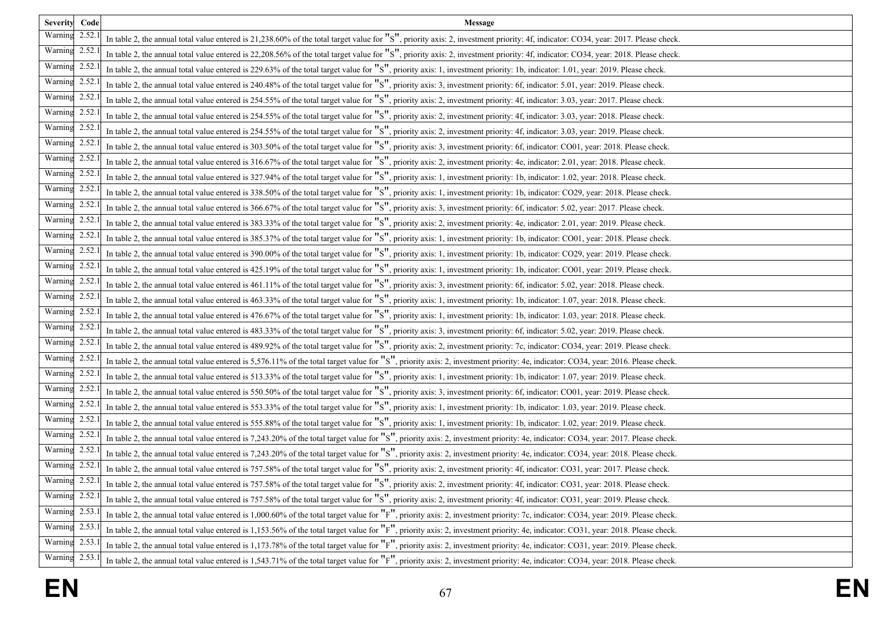| Severity Code  | Message                                                                                                                                                                           |
|----------------|-----------------------------------------------------------------------------------------------------------------------------------------------------------------------------------|
| Warning 2.52.1 | In table 2, the annual total value entered is 21,238.60% of the total target value for "S", priority axis: 2, investment priority: 4f, indicator: CO34, year: 2017. Please check. |
| Warning 2.52.  | In table 2, the annual total value entered is 22,208.56% of the total target value for "S", priority axis: 2, investment priority: 4f, indicator: CO34, year: 2018. Please check. |
| Warning 2.52.  | In table 2, the annual total value entered is 229.63% of the total target value for "S", priority axis: 1, investment priority: 1b, indicator: 1.01, year: 2019. Please check.    |
| Warning 2.52.  | In table 2, the annual total value entered is 240.48% of the total target value for "S", priority axis: 3, investment priority: 6f, indicator: 5.01, year: 2019. Please check.    |
| Warning 2.52.  | In table 2, the annual total value entered is 254.55% of the total target value for "S", priority axis: 2, investment priority: 4f, indicator: 3.03, year: 2017. Please check.    |
| Warning 2.52.  | In table 2, the annual total value entered is 254.55% of the total target value for "S", priority axis: 2, investment priority: 4f, indicator: 3.03, year: 2018. Please check.    |
| Warning 2.52.  | In table 2, the annual total value entered is 254.55% of the total target value for "S", priority axis: 2, investment priority: 4f, indicator: 3.03, year: 2019. Please check.    |
| Warning 2.52.  | In table 2, the annual total value entered is 303.50% of the total target value for "S", priority axis: 3, investment priority: 6f, indicator: CO01, year: 2018. Please check.    |
| Warning 2.52.  | In table 2, the annual total value entered is 316.67% of the total target value for "S", priority axis: 2, investment priority: 4e, indicator: 2.01, year: 2018. Please check.    |
| Warning 2.52.  | In table 2, the annual total value entered is 327.94% of the total target value for "S", priority axis: 1, investment priority: 1b, indicator: 1.02, year: 2018. Please check.    |
| Warning 2.52.  | In table 2, the annual total value entered is 338.50% of the total target value for "S", priority axis: 1, investment priority: 1b, indicator: CO29, year: 2018. Please check.    |
| Warning 2.52.  | In table 2, the annual total value entered is 366.67% of the total target value for "S", priority axis: 3, investment priority: 6f, indicator: 5.02, year: 2017. Please check.    |
| Warning 2.52.  | In table 2, the annual total value entered is 383.33% of the total target value for "S", priority axis: 2, investment priority: 4e, indicator: 2.01, year: 2019. Please check.    |
| Warning 2.52.  | In table 2, the annual total value entered is 385.37% of the total target value for "S", priority axis: 1, investment priority: 1b, indicator: CO01, year: 2018. Please check.    |
| Warning 2.52.  | In table 2, the annual total value entered is 390.00% of the total target value for "S", priority axis: 1, investment priority: 1b, indicator: CO29, year: 2019. Please check.    |
| Warning 2.52.  | In table 2, the annual total value entered is 425.19% of the total target value for "S", priority axis: 1, investment priority: 1b, indicator: CO01, year: 2019. Please check.    |
| Warning 2.52.  | In table 2, the annual total value entered is 461.11% of the total target value for "S", priority axis: 3, investment priority: 6f, indicator: 5.02, year: 2018. Please check.    |
| Warning 2.52.  | In table 2, the annual total value entered is 463.33% of the total target value for "S", priority axis: 1, investment priority: 1b, indicator: 1.07, year: 2018. Please check.    |
| Warning 2.52.  | In table 2, the annual total value entered is 476.67% of the total target value for "S", priority axis: 1, investment priority: 1b, indicator: 1.03, year: 2018. Please check.    |
| Warning 2.52.  | In table 2, the annual total value entered is 483.33% of the total target value for "S", priority axis: 3, investment priority: 6f, indicator: 5.02, year: 2019. Please check.    |
| Warning 2.52.  | In table 2, the annual total value entered is 489.92% of the total target value for "S", priority axis: 2, investment priority: 7c, indicator: CO34, year: 2019. Please check.    |
| Warning 2.52.  | In table 2, the annual total value entered is 5,576.11% of the total target value for "S", priority axis: 2, investment priority: 4e, indicator: CO34, year: 2016. Please check.  |
| Warning 2.52.  | In table 2, the annual total value entered is 513.33% of the total target value for "S", priority axis: 1, investment priority: 1b, indicator: 1.07, year: 2019. Please check.    |
| Warning 2.52.  | In table 2, the annual total value entered is 550.50% of the total target value for "S", priority axis: 3, investment priority: 6f, indicator: CO01, year: 2019. Please check.    |
| Warning 2.52.  | In table 2, the annual total value entered is 553.33% of the total target value for "S", priority axis: 1, investment priority: 1b, indicator: 1.03, year: 2019. Please check.    |
| Warning 2.52.  | In table 2, the annual total value entered is 555.88% of the total target value for "S", priority axis: 1, investment priority: 1b, indicator: 1.02, year: 2019. Please check.    |
| Warning 2.52.  | In table 2, the annual total value entered is 7,243.20% of the total target value for "S", priority axis: 2, investment priority: 4e, indicator: CO34, year: 2017. Please check.  |
| Warning 2.52.  | In table 2, the annual total value entered is 7,243.20% of the total target value for "S", priority axis: 2, investment priority: 4e, indicator: CO34, year: 2018. Please check.  |
| Warning 2.52.  | In table 2, the annual total value entered is 757.58% of the total target value for "S", priority axis: 2, investment priority: 4f, indicator: CO31, year: 2017. Please check.    |
| Warning 2.52.1 | In table 2, the annual total value entered is 757.58% of the total target value for "S", priority axis: 2, investment priority: 4f, indicator: CO31, year: 2018. Please check.    |
| Warning 2.52.  | In table 2, the annual total value entered is 757.58% of the total target value for "S", priority axis: 2, investment priority: 4f, indicator: CO31, year: 2019. Please check.    |
| Warning 2.53.  | In table 2, the annual total value entered is 1,000.60% of the total target value for "F", priority axis: 2, investment priority: 7c, indicator: CO34, year: 2019. Please check.  |
| Warning 2.53.1 | In table 2, the annual total value entered is 1,153.56% of the total target value for "F", priority axis: 2, investment priority: 4e, indicator: CO31, year: 2018. Please check.  |
| Warning 2.53.  | In table 2, the annual total value entered is 1,173.78% of the total target value for "F", priority axis: 2, investment priority: 4e, indicator: CO31, year: 2019. Please check.  |
| Warning 2.53.1 | In table 2, the annual total value entered is 1,543.71% of the total target value for "F", priority axis: 2, investment priority: 4e, indicator: CO34, year: 2018. Please check.  |